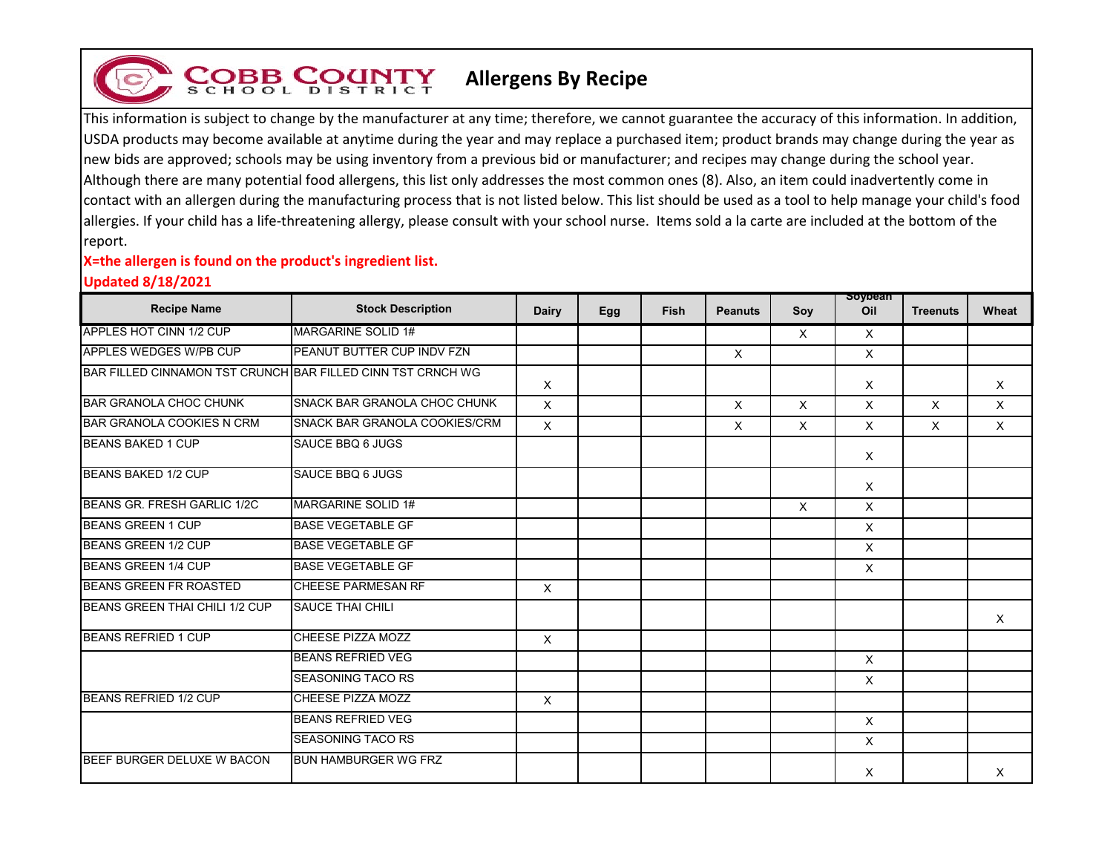## **Allergens By Recipe**

This information is subject to change by the manufacturer at any time; therefore, we cannot guarantee the accuracy of this information. In addition, USDA products may become available at anytime during the year and may replace a purchased item; product brands may change during the year as new bids are approved; schools may be using inventory from a previous bid or manufacturer; and recipes may change during the school year. Although there are many potential food allergens, this list only addresses the most common ones (8). Also, an item could inadvertently come in contact with an allergen during the manufacturing process that is not listed below. This list should be used as a tool to help manage your child's food allergies. If your child has a life-threatening allergy, please consult with your school nurse. Items sold a la carte are included at the bottom of the report.

## **X=the allergen is found on the product's ingredient list.**

**COBB COUNTY** 

## **Updated 8/18/2021**

| <b>Recipe Name</b>                                          | <b>Stock Description</b>      | Dairy    | Egg | <b>Fish</b> | <b>Peanuts</b> | Soy      | soypean<br>Oil | <b>Treenuts</b> | Wheat    |
|-------------------------------------------------------------|-------------------------------|----------|-----|-------------|----------------|----------|----------------|-----------------|----------|
| APPLES HOT CINN 1/2 CUP                                     | MARGARINE SOLID 1#            |          |     |             |                | X        | X              |                 |          |
| APPLES WEDGES W/PB CUP                                      | PEANUT BUTTER CUP INDV FZN    |          |     |             | $\times$       |          | $\times$       |                 |          |
| BAR FILLED CINNAMON TST CRUNCH BAR FILLED CINN TST CRNCH WG |                               | X        |     |             |                |          | $\times$       |                 | X        |
| <b>BAR GRANOLA CHOC CHUNK</b>                               | SNACK BAR GRANOLA CHOC CHUNK  | X        |     |             | X              | $\times$ | $\times$       | X               | $\times$ |
| <b>BAR GRANOLA COOKIES N CRM</b>                            | SNACK BAR GRANOLA COOKIES/CRM | X        |     |             | X              | $\times$ | $\times$       | X               | $\times$ |
| <b>BEANS BAKED 1 CUP</b>                                    | SAUCE BBQ 6 JUGS              |          |     |             |                |          | $\times$       |                 |          |
| <b>BEANS BAKED 1/2 CUP</b>                                  | <b>SAUCE BBQ 6 JUGS</b>       |          |     |             |                |          | $\times$       |                 |          |
| BEANS GR. FRESH GARLIC 1/2C                                 | <b>MARGARINE SOLID 1#</b>     |          |     |             |                | $\times$ | $\times$       |                 |          |
| <b>BEANS GREEN 1 CUP</b>                                    | <b>BASE VEGETABLE GF</b>      |          |     |             |                |          | $\mathsf{X}$   |                 |          |
| BEANS GREEN 1/2 CUP                                         | <b>BASE VEGETABLE GF</b>      |          |     |             |                |          | $\times$       |                 |          |
| <b>BEANS GREEN 1/4 CUP</b>                                  | <b>BASE VEGETABLE GF</b>      |          |     |             |                |          | X              |                 |          |
| <b>BEANS GREEN FR ROASTED</b>                               | <b>CHEESE PARMESAN RF</b>     | $\times$ |     |             |                |          |                |                 |          |
| BEANS GREEN THAI CHILI 1/2 CUP                              | <b>SAUCE THAI CHILI</b>       |          |     |             |                |          |                |                 | $\times$ |
| <b>BEANS REFRIED 1 CUP</b>                                  | CHEESE PIZZA MOZZ             | $\times$ |     |             |                |          |                |                 |          |
|                                                             | <b>BEANS REFRIED VEG</b>      |          |     |             |                |          | $\times$       |                 |          |
|                                                             | <b>SEASONING TACO RS</b>      |          |     |             |                |          | $\times$       |                 |          |
| <b>BEANS REFRIED 1/2 CUP</b>                                | CHEESE PIZZA MOZZ             | $\times$ |     |             |                |          |                |                 |          |
|                                                             | <b>BEANS REFRIED VEG</b>      |          |     |             |                |          | $\times$       |                 |          |
|                                                             | <b>SEASONING TACO RS</b>      |          |     |             |                |          | $\times$       |                 |          |
| BEEF BURGER DELUXE W BACON                                  | <b>BUN HAMBURGER WG FRZ</b>   |          |     |             |                |          | X              |                 | Χ        |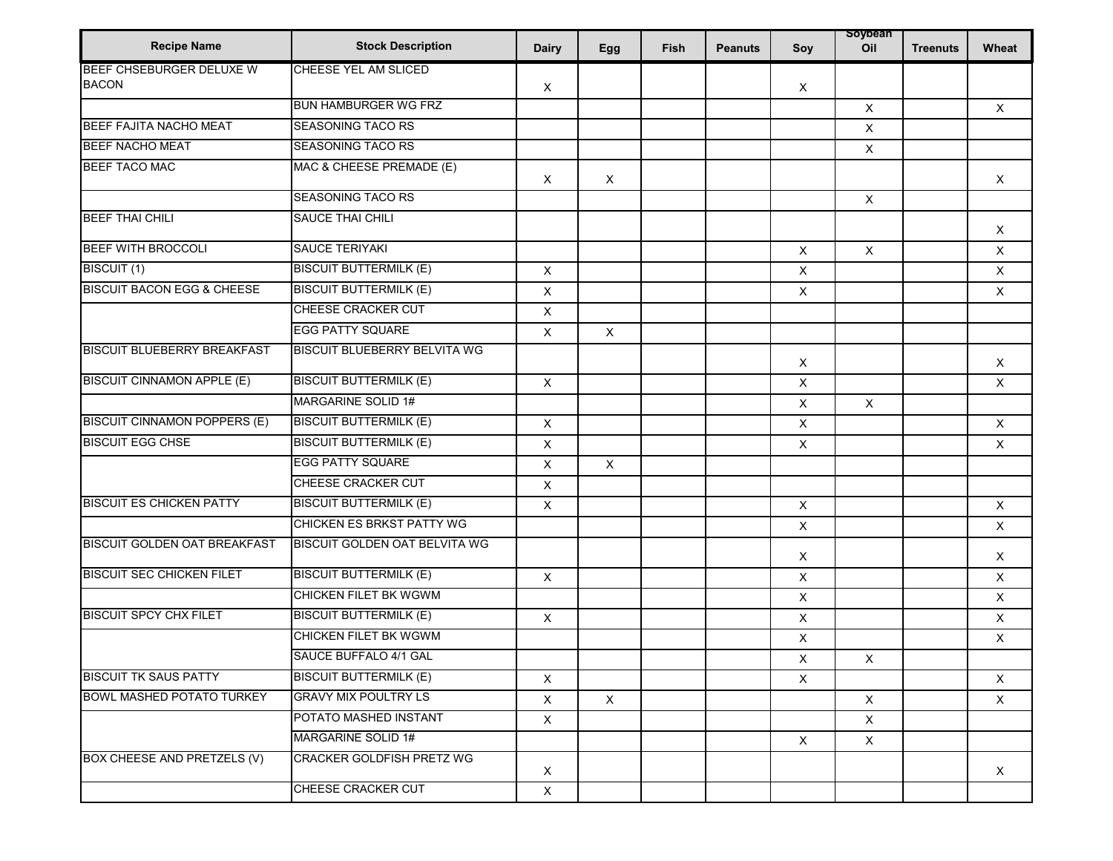| <b>Recipe Name</b>                    | <b>Stock Description</b>             | <b>Dairy</b>              | Egg          | Fish | <b>Peanuts</b> | Soy                       | soypean<br>Oil | <b>Treenuts</b> | Wheat        |
|---------------------------------------|--------------------------------------|---------------------------|--------------|------|----------------|---------------------------|----------------|-----------------|--------------|
| BEEF CHSEBURGER DELUXE W              | CHEESE YEL AM SLICED                 |                           |              |      |                |                           |                |                 |              |
| <b>BACON</b>                          |                                      | $\boldsymbol{\mathsf{X}}$ |              |      |                | X                         |                |                 |              |
|                                       | <b>BUN HAMBURGER WG FRZ</b>          |                           |              |      |                |                           | $\times$       |                 | $\times$     |
| <b>BEEF FAJITA NACHO MEAT</b>         | SEASONING TACO RS                    |                           |              |      |                |                           | $\mathsf{X}$   |                 |              |
| <b>BEEF NACHO MEAT</b>                | <b>SEASONING TACO RS</b>             |                           |              |      |                |                           | $\mathsf X$    |                 |              |
| <b>BEEF TACO MAC</b>                  | MAC & CHEESE PREMADE (E)             | $\boldsymbol{\mathsf{X}}$ | X            |      |                |                           |                |                 | $\times$     |
|                                       | <b>SEASONING TACO RS</b>             |                           |              |      |                |                           | X              |                 |              |
| <b>BEEF THAI CHILI</b>                | SAUCE THAI CHILI                     |                           |              |      |                |                           |                |                 | X            |
| <b>BEEF WITH BROCCOLI</b>             | <b>SAUCE TERIYAKI</b>                |                           |              |      |                | $\boldsymbol{\mathsf{X}}$ | $\mathsf{X}$   |                 | $\times$     |
| BISCUIT (1)                           | <b>BISCUIT BUTTERMILK (E)</b>        | $\pmb{\times}$            |              |      |                | $\mathsf{X}$              |                |                 | $\mathsf{X}$ |
| <b>BISCUIT BACON EGG &amp; CHEESE</b> | <b>BISCUIT BUTTERMILK (E)</b>        | X                         |              |      |                | $\pmb{\times}$            |                |                 | $\mathsf{X}$ |
|                                       | CHEESE CRACKER CUT                   | X                         |              |      |                |                           |                |                 |              |
|                                       | <b>EGG PATTY SQUARE</b>              | $\mathsf{X}$              | $\mathsf{X}$ |      |                |                           |                |                 |              |
| <b>BISCUIT BLUEBERRY BREAKFAST</b>    | <b>BISCUIT BLUEBERRY BELVITA WG</b>  |                           |              |      |                | $\boldsymbol{\mathsf{X}}$ |                |                 | $\times$     |
| <b>BISCUIT CINNAMON APPLE (E)</b>     | <b>BISCUIT BUTTERMILK (E)</b>        | $\mathsf X$               |              |      |                | $\pmb{\times}$            |                |                 | $\mathsf{X}$ |
|                                       | MARGARINE SOLID 1#                   |                           |              |      |                | X                         | $\mathsf{X}$   |                 |              |
| <b>BISCUIT CINNAMON POPPERS (E)</b>   | <b>BISCUIT BUTTERMILK (E)</b>        | X                         |              |      |                | $\pmb{\times}$            |                |                 | $\mathsf X$  |
| <b>BISCUIT EGG CHSE</b>               | <b>BISCUIT BUTTERMILK (E)</b>        | $\pmb{\times}$            |              |      |                | X                         |                |                 | $\mathsf X$  |
|                                       | <b>EGG PATTY SQUARE</b>              | $\mathsf X$               | $\mathsf{X}$ |      |                |                           |                |                 |              |
|                                       | CHEESE CRACKER CUT                   | X                         |              |      |                |                           |                |                 |              |
| <b>BISCUIT ES CHICKEN PATTY</b>       | <b>BISCUIT BUTTERMILK (E)</b>        | X                         |              |      |                | $\boldsymbol{\mathsf{X}}$ |                |                 | $\times$     |
|                                       | <b>CHICKEN ES BRKST PATTY WG</b>     |                           |              |      |                | $\boldsymbol{\mathsf{X}}$ |                |                 | $\mathsf{X}$ |
| <b>BISCUIT GOLDEN OAT BREAKFAST</b>   | <b>BISCUIT GOLDEN OAT BELVITA WG</b> |                           |              |      |                | $\boldsymbol{\mathsf{X}}$ |                |                 | $\times$     |
| <b>BISCUIT SEC CHICKEN FILET</b>      | <b>BISCUIT BUTTERMILK (E)</b>        | $\mathsf X$               |              |      |                | X                         |                |                 | X            |
|                                       | CHICKEN FILET BK WGWM                |                           |              |      |                | X                         |                |                 | X            |
| <b>BISCUIT SPCY CHX FILET</b>         | <b>BISCUIT BUTTERMILK (E)</b>        | $\mathsf X$               |              |      |                | $\boldsymbol{\mathsf{X}}$ |                |                 | $\mathsf{X}$ |
|                                       | CHICKEN FILET BK WGWM                |                           |              |      |                | X                         |                |                 | $\times$     |
|                                       | SAUCE BUFFALO 4/1 GAL                |                           |              |      |                | X                         | $\mathsf X$    |                 |              |
| <b>BISCUIT TK SAUS PATTY</b>          | <b>BISCUIT BUTTERMILK (E)</b>        | X                         |              |      |                | X                         |                |                 | $\mathsf{X}$ |
| <b>BOWL MASHED POTATO TURKEY</b>      | <b>GRAVY MIX POULTRY LS</b>          | X                         | $\mathsf X$  |      |                |                           | $\mathsf{X}$   |                 | X            |
|                                       | POTATO MASHED INSTANT                | $\mathsf X$               |              |      |                |                           | $\mathsf X$    |                 |              |
|                                       | MARGARINE SOLID 1#                   |                           |              |      |                | $\boldsymbol{\mathsf{X}}$ | $\mathsf{X}$   |                 |              |
| BOX CHEESE AND PRETZELS (V)           | <b>CRACKER GOLDFISH PRETZ WG</b>     | $\boldsymbol{\mathsf{X}}$ |              |      |                |                           |                |                 | X            |
|                                       | CHEESE CRACKER CUT                   | $\mathsf X$               |              |      |                |                           |                |                 |              |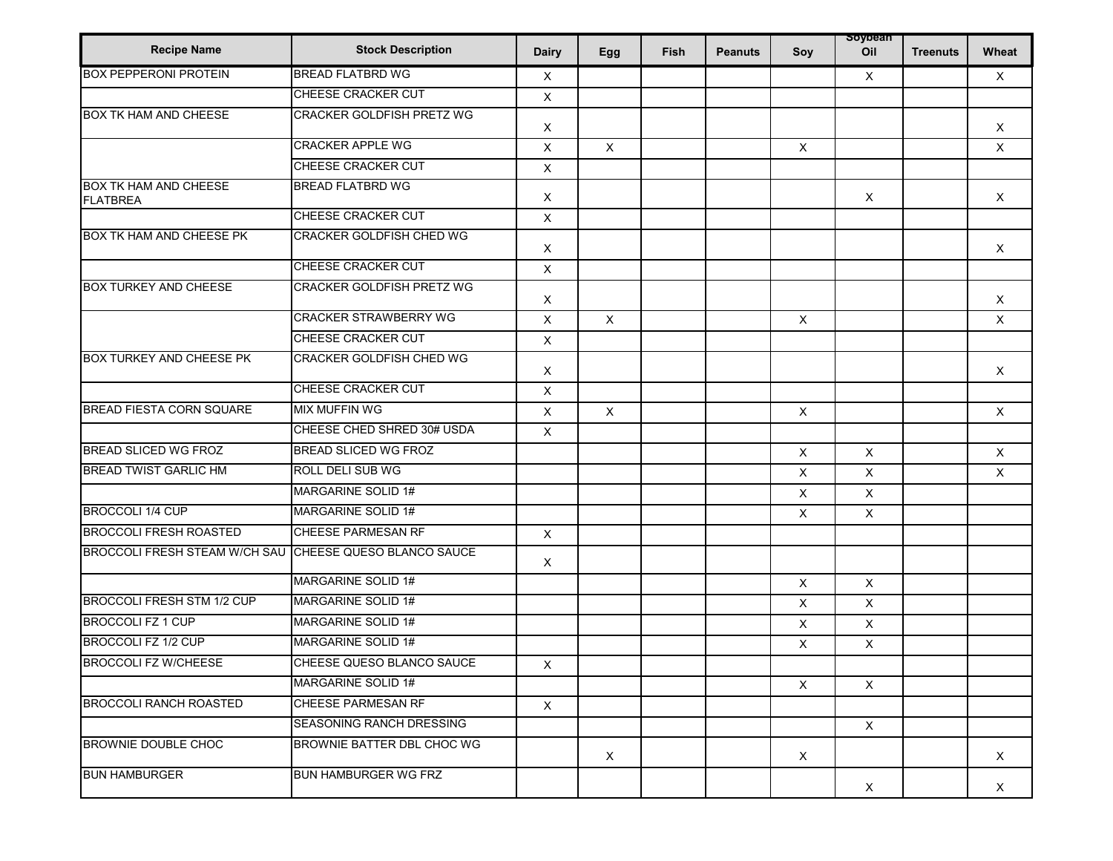| <b>Recipe Name</b>                              | <b>Stock Description</b>         | <b>Dairy</b> | Egg                       | <b>Fish</b> | <b>Peanuts</b> | Soy          | soypean<br>Oil | <b>Treenuts</b> | Wheat        |
|-------------------------------------------------|----------------------------------|--------------|---------------------------|-------------|----------------|--------------|----------------|-----------------|--------------|
| <b>BOX PEPPERONI PROTEIN</b>                    | <b>BREAD FLATBRD WG</b>          | Χ            |                           |             |                |              | $\times$       |                 | $\times$     |
|                                                 | CHEESE CRACKER CUT               | $\mathsf X$  |                           |             |                |              |                |                 |              |
| <b>BOX TK HAM AND CHEESE</b>                    | <b>CRACKER GOLDFISH PRETZ WG</b> | X            |                           |             |                |              |                |                 | $\times$     |
|                                                 | <b>CRACKER APPLE WG</b>          | X            | $\mathsf X$               |             |                | $\mathsf{X}$ |                |                 | $\mathsf{X}$ |
|                                                 | CHEESE CRACKER CUT               | $\mathsf X$  |                           |             |                |              |                |                 |              |
| <b>BOX TK HAM AND CHEESE</b><br><b>FLATBREA</b> | <b>BREAD FLATBRD WG</b>          | X            |                           |             |                |              | $\times$       |                 | $\times$     |
|                                                 | CHEESE CRACKER CUT               | X            |                           |             |                |              |                |                 |              |
| BOX TK HAM AND CHEESE PK                        | CRACKER GOLDFISH CHED WG         | X            |                           |             |                |              |                |                 | $\times$     |
|                                                 | <b>CHEESE CRACKER CUT</b>        | X            |                           |             |                |              |                |                 |              |
| <b>BOX TURKEY AND CHEESE</b>                    | CRACKER GOLDFISH PRETZ WG        | X            |                           |             |                |              |                |                 | X            |
|                                                 | <b>CRACKER STRAWBERRY WG</b>     | X            | $\boldsymbol{\mathsf{X}}$ |             |                | $\mathsf{X}$ |                |                 | $\mathsf X$  |
|                                                 | <b>CHEESE CRACKER CUT</b>        | X            |                           |             |                |              |                |                 |              |
| <b>BOX TURKEY AND CHEESE PK</b>                 | CRACKER GOLDFISH CHED WG         | X            |                           |             |                |              |                |                 | $\mathsf{X}$ |
|                                                 | CHEESE CRACKER CUT               | X            |                           |             |                |              |                |                 |              |
| <b>BREAD FIESTA CORN SQUARE</b>                 | <b>MIX MUFFIN WG</b>             | X            | $\mathsf X$               |             |                | $\mathsf{X}$ |                |                 | $\times$     |
|                                                 | CHEESE CHED SHRED 30# USDA       | X            |                           |             |                |              |                |                 |              |
| <b>BREAD SLICED WG FROZ</b>                     | BREAD SLICED WG FROZ             |              |                           |             |                | $\sf X$      | $\mathsf{X}$   |                 | $\times$     |
| <b>BREAD TWIST GARLIC HM</b>                    | <b>ROLL DELI SUB WG</b>          |              |                           |             |                | X            | $\times$       |                 | X            |
|                                                 | MARGARINE SOLID 1#               |              |                           |             |                | X            | X              |                 |              |
| <b>BROCCOLI 1/4 CUP</b>                         | MARGARINE SOLID 1#               |              |                           |             |                | X            | $\mathsf X$    |                 |              |
| <b>BROCCOLI FRESH ROASTED</b>                   | CHEESE PARMESAN RF               | $\mathsf{X}$ |                           |             |                |              |                |                 |              |
| <b>BROCCOLI FRESH STEAM W/CH SAU</b>            | CHEESE QUESO BLANCO SAUCE        | Χ            |                           |             |                |              |                |                 |              |
|                                                 | MARGARINE SOLID 1#               |              |                           |             |                | X            | $\mathsf{X}$   |                 |              |
| <b>BROCCOLI FRESH STM 1/2 CUP</b>               | MARGARINE SOLID 1#               |              |                           |             |                | X            | $\mathsf X$    |                 |              |
| <b>BROCCOLI FZ 1 CUP</b>                        | <b>MARGARINE SOLID 1#</b>        |              |                           |             |                | X            | $\mathsf{X}$   |                 |              |
| <b>BROCCOLI FZ 1/2 CUP</b>                      | <b>MARGARINE SOLID 1#</b>        |              |                           |             |                | X            | $\mathsf{X}$   |                 |              |
| <b>BROCCOLI FZ W/CHEESE</b>                     | CHEESE QUESO BLANCO SAUCE        | $\mathsf{X}$ |                           |             |                |              |                |                 |              |
|                                                 | MARGARINE SOLID 1#               |              |                           |             |                | $\mathsf{X}$ | $\mathsf{X}$   |                 |              |
| <b>BROCCOLI RANCH ROASTED</b>                   | CHEESE PARMESAN RF               | $\mathsf{X}$ |                           |             |                |              |                |                 |              |
|                                                 | SEASONING RANCH DRESSING         |              |                           |             |                |              | $\mathsf{X}$   |                 |              |
| BROWNIE DOUBLE CHOC                             | BROWNIE BATTER DBL CHOC WG       |              | $\mathsf{x}$              |             |                | $\mathsf{X}$ |                |                 | X            |
| <b>BUN HAMBURGER</b>                            | <b>BUN HAMBURGER WG FRZ</b>      |              |                           |             |                |              | X              |                 | X            |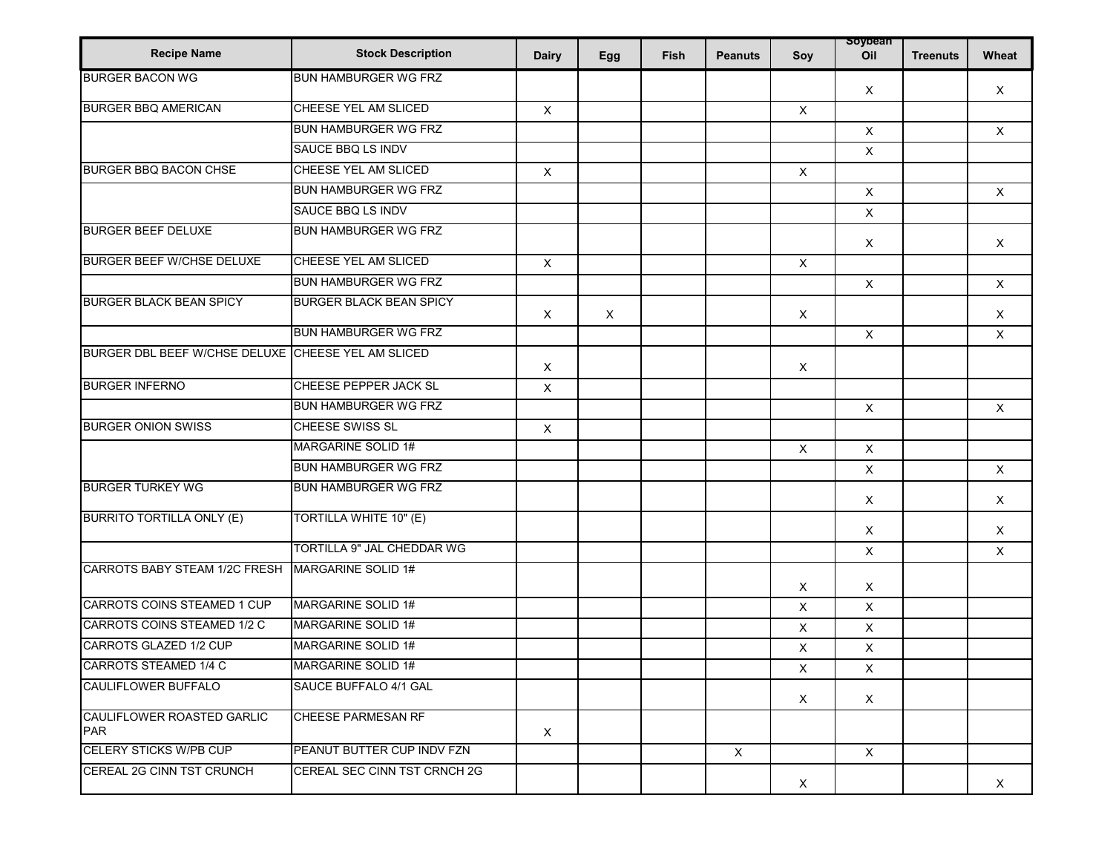| <b>Recipe Name</b>                                 | <b>Stock Description</b>       | <b>Dairy</b> | Egg         | Fish | <b>Peanuts</b> | Soy          | soypean<br>Oil | <b>Treenuts</b> | Wheat        |
|----------------------------------------------------|--------------------------------|--------------|-------------|------|----------------|--------------|----------------|-----------------|--------------|
| <b>BURGER BACON WG</b>                             | <b>BUN HAMBURGER WG FRZ</b>    |              |             |      |                |              | $\times$       |                 | X            |
| <b>BURGER BBQ AMERICAN</b>                         | <b>CHEESE YEL AM SLICED</b>    | $\mathsf X$  |             |      |                | $\mathsf{X}$ |                |                 |              |
|                                                    | BUN HAMBURGER WG FRZ           |              |             |      |                |              | $\mathsf{X}$   |                 | $\mathsf{X}$ |
|                                                    | <b>SAUCE BBQ LS INDV</b>       |              |             |      |                |              | $\mathsf{X}$   |                 |              |
| <b>BURGER BBQ BACON CHSE</b>                       | CHEESE YEL AM SLICED           | $\mathsf{X}$ |             |      |                | X            |                |                 |              |
|                                                    | <b>BUN HAMBURGER WG FRZ</b>    |              |             |      |                |              | $\mathsf{X}$   |                 | X            |
|                                                    | <b>SAUCE BBQ LS INDV</b>       |              |             |      |                |              | X              |                 |              |
| <b>BURGER BEEF DELUXE</b>                          | <b>BUN HAMBURGER WG FRZ</b>    |              |             |      |                |              | X              |                 | $\times$     |
| <b>BURGER BEEF W/CHSE DELUXE</b>                   | CHEESE YEL AM SLICED           | $\mathsf{X}$ |             |      |                | $\mathsf{X}$ |                |                 |              |
|                                                    | <b>BUN HAMBURGER WG FRZ</b>    |              |             |      |                |              | $\mathsf{X}$   |                 | $\mathsf X$  |
| <b>BURGER BLACK BEAN SPICY</b>                     | <b>BURGER BLACK BEAN SPICY</b> | $\times$     | $\mathsf X$ |      |                | $\mathsf X$  |                |                 | X            |
|                                                    | <b>BUN HAMBURGER WG FRZ</b>    |              |             |      |                |              | $\mathsf{X}$   |                 | X            |
| BURGER DBL BEEF W/CHSE DELUXE CHEESE YEL AM SLICED |                                | X            |             |      |                | X            |                |                 |              |
| <b>BURGER INFERNO</b>                              | CHEESE PEPPER JACK SL          | $\mathsf X$  |             |      |                |              |                |                 |              |
|                                                    | <b>BUN HAMBURGER WG FRZ</b>    |              |             |      |                |              | X              |                 | X            |
| <b>BURGER ONION SWISS</b>                          | CHEESE SWISS SL                | $\mathsf X$  |             |      |                |              |                |                 |              |
|                                                    | <b>MARGARINE SOLID 1#</b>      |              |             |      |                | $\mathsf{X}$ | $\mathsf{X}$   |                 |              |
|                                                    | <b>BUN HAMBURGER WG FRZ</b>    |              |             |      |                |              | $\mathsf{X}$   |                 | $\times$     |
| <b>BURGER TURKEY WG</b>                            | <b>BUN HAMBURGER WG FRZ</b>    |              |             |      |                |              | $\mathsf X$    |                 | X            |
| <b>BURRITO TORTILLA ONLY (E)</b>                   | <b>TORTILLA WHITE 10" (E)</b>  |              |             |      |                |              | X              |                 | X            |
|                                                    | TORTILLA 9" JAL CHEDDAR WG     |              |             |      |                |              | $\mathsf X$    |                 | X            |
| CARROTS BABY STEAM 1/2C FRESH                      | MARGARINE SOLID 1#             |              |             |      |                | X            | $\times$       |                 |              |
| <b>CARROTS COINS STEAMED 1 CUP</b>                 | MARGARINE SOLID 1#             |              |             |      |                | X            | $\mathsf{X}$   |                 |              |
| CARROTS COINS STEAMED 1/2 C                        | MARGARINE SOLID 1#             |              |             |      |                | X            | X              |                 |              |
| <b>CARROTS GLAZED 1/2 CUP</b>                      | MARGARINE SOLID 1#             |              |             |      |                | X            | $\mathsf{X}$   |                 |              |
| <b>CARROTS STEAMED 1/4 C</b>                       | MARGARINE SOLID 1#             |              |             |      |                | X            | $\mathsf X$    |                 |              |
| CAULIFLOWER BUFFALO                                | SAUCE BUFFALO 4/1 GAL          |              |             |      |                | X            | $\mathsf{X}$   |                 |              |
| CAULIFLOWER ROASTED GARLIC<br><b>PAR</b>           | CHEESE PARMESAN RF             | $\mathsf{x}$ |             |      |                |              |                |                 |              |
| <b>CELERY STICKS W/PB CUP</b>                      | PEANUT BUTTER CUP INDV FZN     |              |             |      | $\mathsf X$    |              | $\times$       |                 |              |
| <b>CEREAL 2G CINN TST CRUNCH</b>                   | CEREAL SEC CINN TST CRNCH 2G   |              |             |      |                | X            |                |                 | X            |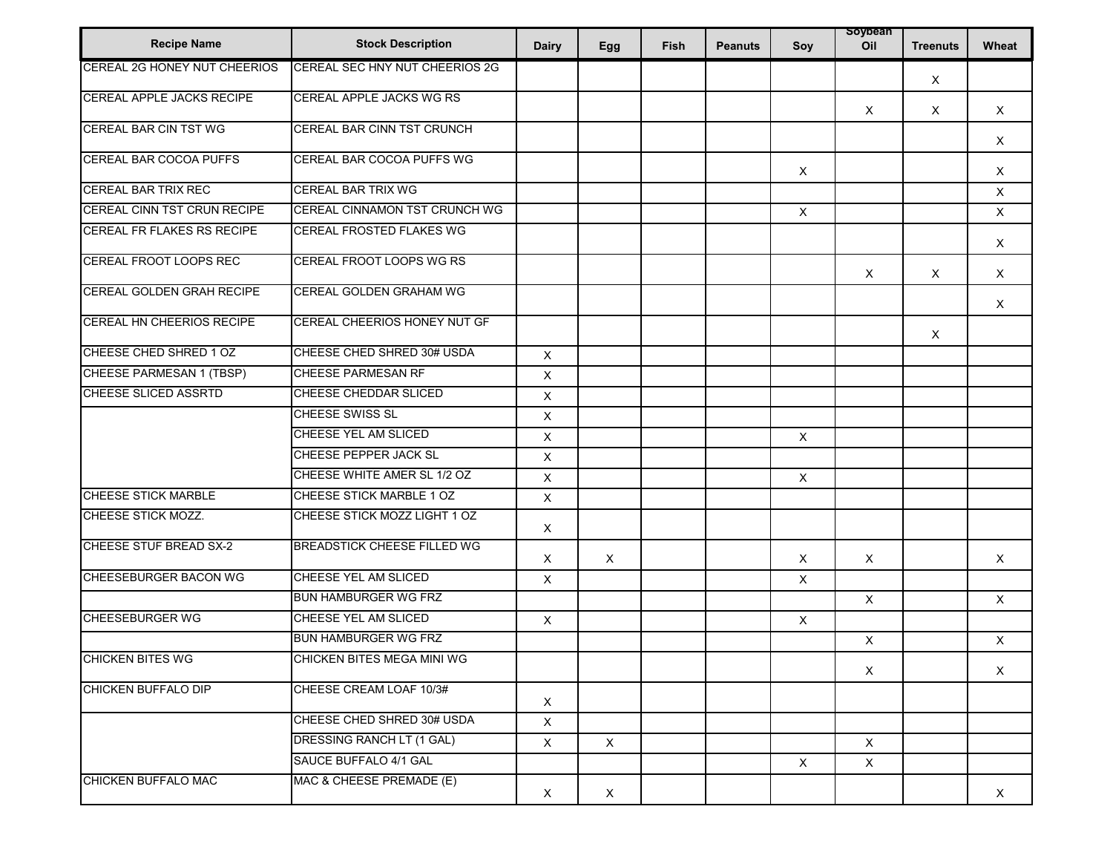| <b>Recipe Name</b>            | <b>Stock Description</b>              | <b>Dairy</b>              | Egg      | Fish | <b>Peanuts</b> | Soy                       | soypean<br>Oil | <b>Treenuts</b> | Wheat        |
|-------------------------------|---------------------------------------|---------------------------|----------|------|----------------|---------------------------|----------------|-----------------|--------------|
| CEREAL 2G HONEY NUT CHEERIOS  | <b>CEREAL SEC HNY NUT CHEERIOS 2G</b> |                           |          |      |                |                           |                | X               |              |
| CEREAL APPLE JACKS RECIPE     | CEREAL APPLE JACKS WG RS              |                           |          |      |                |                           | X              | $\times$        | $\times$     |
| <b>CEREAL BAR CIN TST WG</b>  | CEREAL BAR CINN TST CRUNCH            |                           |          |      |                |                           |                |                 | $\times$     |
| CEREAL BAR COCOA PUFFS        | CEREAL BAR COCOA PUFFS WG             |                           |          |      |                | $\mathsf X$               |                |                 | $\mathsf X$  |
| <b>CEREAL BAR TRIX REC</b>    | <b>CEREAL BAR TRIX WG</b>             |                           |          |      |                |                           |                |                 | $\mathsf X$  |
| CEREAL CINN TST CRUN RECIPE   | CEREAL CINNAMON TST CRUNCH WG         |                           |          |      |                | $\boldsymbol{\mathsf{X}}$ |                |                 | $\mathsf{X}$ |
| CEREAL FR FLAKES RS RECIPE    | <b>CEREAL FROSTED FLAKES WG</b>       |                           |          |      |                |                           |                |                 | $\times$     |
| CEREAL FROOT LOOPS REC        | CEREAL FROOT LOOPS WG RS              |                           |          |      |                |                           | X              | X               | $\times$     |
| CEREAL GOLDEN GRAH RECIPE     | CEREAL GOLDEN GRAHAM WG               |                           |          |      |                |                           |                |                 | $\mathsf{X}$ |
| CEREAL HN CHEERIOS RECIPE     | CEREAL CHEERIOS HONEY NUT GF          |                           |          |      |                |                           |                | $\times$        |              |
| CHEESE CHED SHRED 1 OZ        | CHEESE CHED SHRED 30# USDA            | $\boldsymbol{\mathsf{X}}$ |          |      |                |                           |                |                 |              |
| CHEESE PARMESAN 1 (TBSP)      | <b>CHEESE PARMESAN RF</b>             | $\boldsymbol{\mathsf{X}}$ |          |      |                |                           |                |                 |              |
| <b>CHEESE SLICED ASSRTD</b>   | CHEESE CHEDDAR SLICED                 | $\mathsf X$               |          |      |                |                           |                |                 |              |
|                               | CHEESE SWISS SL                       | $\mathsf X$               |          |      |                |                           |                |                 |              |
|                               | CHEESE YEL AM SLICED                  | $\boldsymbol{\mathsf{X}}$ |          |      |                | $\boldsymbol{\mathsf{X}}$ |                |                 |              |
|                               | CHEESE PEPPER JACK SL                 | X                         |          |      |                |                           |                |                 |              |
|                               | CHEESE WHITE AMER SL 1/2 OZ           | $\boldsymbol{\mathsf{X}}$ |          |      |                | $\boldsymbol{\mathsf{X}}$ |                |                 |              |
| <b>CHEESE STICK MARBLE</b>    | CHEESE STICK MARBLE 1 OZ              | $\mathsf X$               |          |      |                |                           |                |                 |              |
| CHEESE STICK MOZZ.            | CHEESE STICK MOZZ LIGHT 1 OZ          | X                         |          |      |                |                           |                |                 |              |
| <b>CHEESE STUF BREAD SX-2</b> | <b>BREADSTICK CHEESE FILLED WG</b>    | X                         | X        |      |                | $\times$                  | X              |                 | $\times$     |
| CHEESEBURGER BACON WG         | CHEESE YEL AM SLICED                  | $\boldsymbol{\mathsf{X}}$ |          |      |                | $\boldsymbol{\mathsf{X}}$ |                |                 |              |
|                               | <b>BUN HAMBURGER WG FRZ</b>           |                           |          |      |                |                           | $\mathsf{X}$   |                 | $\times$     |
| CHEESEBURGER WG               | CHEESE YEL AM SLICED                  | $\boldsymbol{\mathsf{X}}$ |          |      |                | $\times$                  |                |                 |              |
|                               | <b>BUN HAMBURGER WG FRZ</b>           |                           |          |      |                |                           | $\pmb{\times}$ |                 | $\mathsf X$  |
| <b>CHICKEN BITES WG</b>       | CHICKEN BITES MEGA MINI WG            |                           |          |      |                |                           | X              |                 | X            |
| <b>CHICKEN BUFFALO DIP</b>    | CHEESE CREAM LOAF 10/3#               | $\times$                  |          |      |                |                           |                |                 |              |
|                               | CHEESE CHED SHRED 30# USDA            | $\mathsf X$               |          |      |                |                           |                |                 |              |
|                               | DRESSING RANCH LT (1 GAL)             | $\times$                  | $\times$ |      |                |                           | $\times$       |                 |              |
|                               | SAUCE BUFFALO 4/1 GAL                 |                           |          |      |                | $\mathsf{x}$              | $\times$       |                 |              |
| CHICKEN BUFFALO MAC           | MAC & CHEESE PREMADE (E)              | X                         | X        |      |                |                           |                |                 | X            |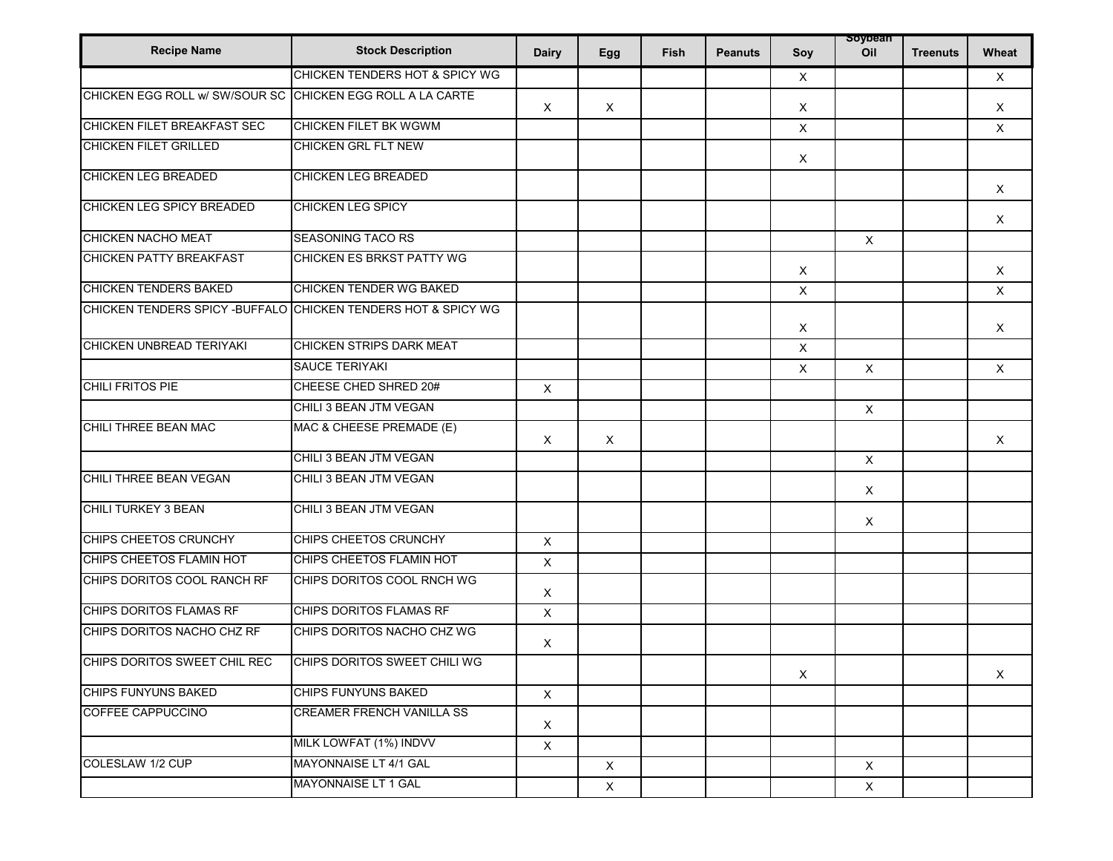| <b>Recipe Name</b>                                          | <b>Stock Description</b>                                       | <b>Dairy</b>              | Egg          | Fish | <b>Peanuts</b> | Soy                       | soypean<br>Oil            | <b>Treenuts</b> | Wheat        |
|-------------------------------------------------------------|----------------------------------------------------------------|---------------------------|--------------|------|----------------|---------------------------|---------------------------|-----------------|--------------|
|                                                             | CHICKEN TENDERS HOT & SPICY WG                                 |                           |              |      |                | $\times$                  |                           |                 | $\times$     |
| CHICKEN EGG ROLL W/ SW/SOUR SC CHICKEN EGG ROLL A LA CARTE  |                                                                | $\times$                  | X            |      |                | $\boldsymbol{\mathsf{X}}$ |                           |                 | $\times$     |
| CHICKEN FILET BREAKFAST SEC                                 | <b>CHICKEN FILET BK WGWM</b>                                   |                           |              |      |                | $\boldsymbol{\mathsf{X}}$ |                           |                 | $\mathsf{X}$ |
| <b>CHICKEN FILET GRILLED</b>                                | <b>CHICKEN GRL FLT NEW</b>                                     |                           |              |      |                | $\boldsymbol{\mathsf{X}}$ |                           |                 |              |
| <b>CHICKEN LEG BREADED</b>                                  | <b>CHICKEN LEG BREADED</b>                                     |                           |              |      |                |                           |                           |                 | X            |
| CHICKEN LEG SPICY BREADED                                   | <b>CHICKEN LEG SPICY</b>                                       |                           |              |      |                |                           |                           |                 | $\times$     |
| CHICKEN NACHO MEAT                                          | <b>SEASONING TACO RS</b>                                       |                           |              |      |                |                           | $\mathsf{X}$              |                 |              |
| <b>CHICKEN PATTY BREAKFAST</b>                              | CHICKEN ES BRKST PATTY WG                                      |                           |              |      |                | $\boldsymbol{\mathsf{X}}$ |                           |                 | $\times$     |
| <b>CHICKEN TENDERS BAKED</b>                                | CHICKEN TENDER WG BAKED                                        |                           |              |      |                | $\boldsymbol{\mathsf{X}}$ |                           |                 | X            |
|                                                             | CHICKEN TENDERS SPICY - BUFFALO CHICKEN TENDERS HOT & SPICY WG |                           |              |      |                | $\times$                  |                           |                 | $\times$     |
| CHICKEN UNBREAD TERIYAKI                                    | CHICKEN STRIPS DARK MEAT                                       |                           |              |      |                | $\mathsf{X}$              |                           |                 |              |
|                                                             | <b>SAUCE TERIYAKI</b>                                          |                           |              |      |                | $\times$                  | $\times$                  |                 | $\times$     |
| CHILI FRITOS PIE                                            | CHEESE CHED SHRED 20#                                          | $\mathsf X$               |              |      |                |                           |                           |                 |              |
|                                                             | CHILI 3 BEAN JTM VEGAN                                         |                           |              |      |                |                           | $\boldsymbol{\mathsf{X}}$ |                 |              |
| CHILI THREE BEAN MAC                                        | MAC & CHEESE PREMADE (E)                                       | $\times$                  | X            |      |                |                           |                           |                 | $\times$     |
|                                                             | CHILI 3 BEAN JTM VEGAN                                         |                           |              |      |                |                           | $\mathsf X$               |                 |              |
| CHILI THREE BEAN VEGAN                                      | CHILI 3 BEAN JTM VEGAN                                         |                           |              |      |                |                           | $\boldsymbol{\mathsf{X}}$ |                 |              |
| <b>CHILI TURKEY 3 BEAN</b>                                  | CHILI 3 BEAN JTM VEGAN                                         |                           |              |      |                |                           | $\boldsymbol{\mathsf{X}}$ |                 |              |
| CHIPS CHEETOS CRUNCHY                                       | CHIPS CHEETOS CRUNCHY                                          | $\boldsymbol{\mathsf{X}}$ |              |      |                |                           |                           |                 |              |
| CHIPS CHEETOS FLAMIN HOT                                    | CHIPS CHEETOS FLAMIN HOT                                       | X                         |              |      |                |                           |                           |                 |              |
| CHIPS DORITOS COOL RANCH RF                                 | CHIPS DORITOS COOL RNCH WG                                     | X                         |              |      |                |                           |                           |                 |              |
| CHIPS DORITOS FLAMAS RF                                     | CHIPS DORITOS FLAMAS RF                                        | $\pmb{\times}$            |              |      |                |                           |                           |                 |              |
| CHIPS DORITOS NACHO CHZ RF                                  | CHIPS DORITOS NACHO CHZ WG                                     | X                         |              |      |                |                           |                           |                 |              |
| CHIPS DORITOS SWEET CHIL REC   CHIPS DORITOS SWEET CHILI WG |                                                                |                           |              |      |                | X                         |                           |                 | X            |
| <b>CHIPS FUNYUNS BAKED</b>                                  | <b>CHIPS FUNYUNS BAKED</b>                                     | $\mathsf X$               |              |      |                |                           |                           |                 |              |
| COFFEE CAPPUCCINO                                           | <b>CREAMER FRENCH VANILLA SS</b>                               | $\mathsf X$               |              |      |                |                           |                           |                 |              |
|                                                             | MILK LOWFAT (1%) INDVV                                         | $\mathsf X$               |              |      |                |                           |                           |                 |              |
| COLESLAW 1/2 CUP                                            | MAYONNAISE LT 4/1 GAL                                          |                           | $\mathsf{X}$ |      |                |                           | $\mathsf{X}$              |                 |              |
|                                                             | MAYONNAISE LT 1 GAL                                            |                           | $\mathsf X$  |      |                |                           | $\mathsf{X}$              |                 |              |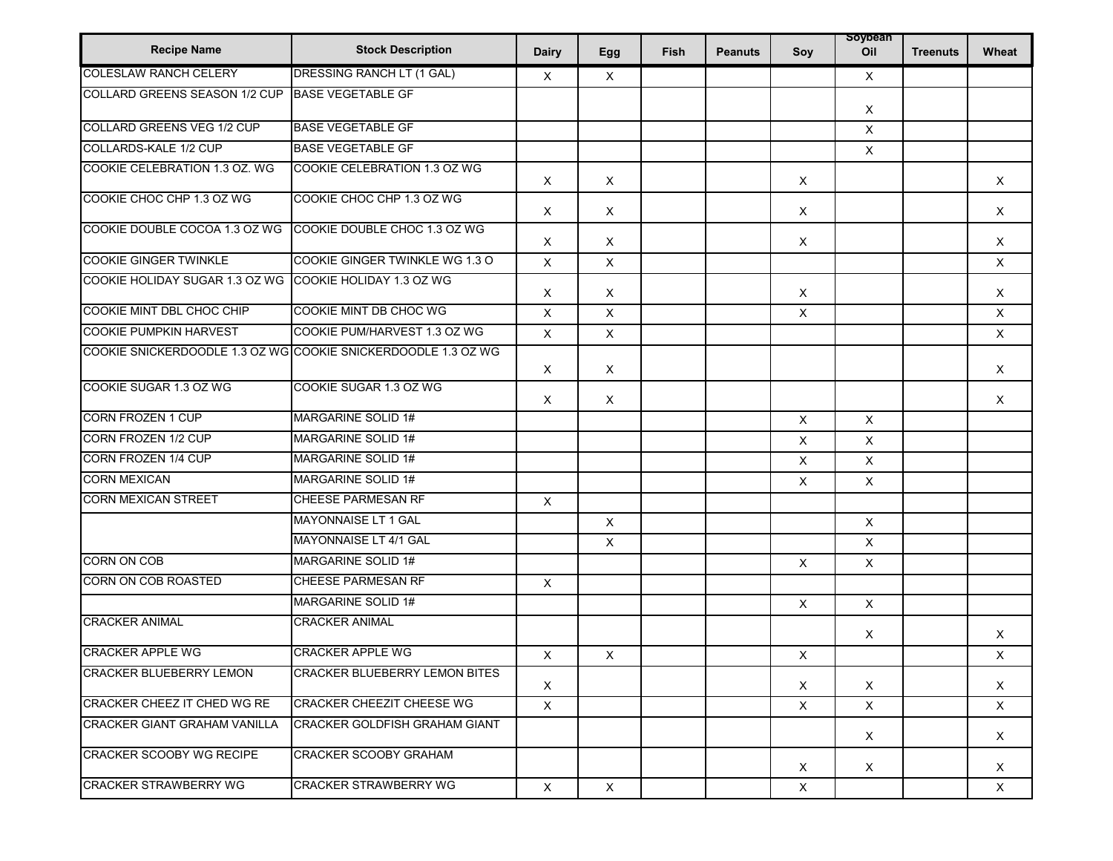| <b>Recipe Name</b>                   | <b>Stock Description</b>                                      | <b>Dairy</b>              | Egg         | Fish | <b>Peanuts</b> | Soy                       | soypean<br>Oil            | <b>Treenuts</b> | Wheat        |
|--------------------------------------|---------------------------------------------------------------|---------------------------|-------------|------|----------------|---------------------------|---------------------------|-----------------|--------------|
| <b>COLESLAW RANCH CELERY</b>         | DRESSING RANCH LT (1 GAL)                                     | $\times$                  | X           |      |                |                           | $\mathsf{X}$              |                 |              |
| <b>COLLARD GREENS SEASON 1/2 CUP</b> | <b>BASE VEGETABLE GF</b>                                      |                           |             |      |                |                           | $\times$                  |                 |              |
| COLLARD GREENS VEG 1/2 CUP           | <b>BASE VEGETABLE GF</b>                                      |                           |             |      |                |                           | $\mathsf{X}$              |                 |              |
| COLLARDS-KALE 1/2 CUP                | <b>BASE VEGETABLE GF</b>                                      |                           |             |      |                |                           | $\boldsymbol{\mathsf{X}}$ |                 |              |
| COOKIE CELEBRATION 1.3 OZ. WG        | COOKIE CELEBRATION 1.3 OZ WG                                  | $\boldsymbol{\mathsf{X}}$ | X           |      |                | $\times$                  |                           |                 | $\times$     |
| COOKIE CHOC CHP 1.3 OZ WG            | COOKIE CHOC CHP 1.3 OZ WG                                     | X                         | $\mathsf X$ |      |                | $\boldsymbol{\mathsf{X}}$ |                           |                 | X            |
| COOKIE DOUBLE COCOA 1.3 OZ WG        | COOKIE DOUBLE CHOC 1.3 OZ WG                                  | $\times$                  | X           |      |                | $\times$                  |                           |                 | $\times$     |
| <b>COOKIE GINGER TWINKLE</b>         | COOKIE GINGER TWINKLE WG 1.3 O                                | X                         | X           |      |                |                           |                           |                 | X            |
| COOKIE HOLIDAY SUGAR 1.3 OZ WG       | COOKIE HOLIDAY 1.3 OZ WG                                      | Χ                         | $\times$    |      |                | $\times$                  |                           |                 | $\times$     |
| COOKIE MINT DBL CHOC CHIP            | COOKIE MINT DB CHOC WG                                        | X                         | X           |      |                | $\boldsymbol{\mathsf{X}}$ |                           |                 | X            |
| <b>COOKIE PUMPKIN HARVEST</b>        | COOKIE PUM/HARVEST 1.3 OZ WG                                  | X                         | $\mathsf X$ |      |                |                           |                           |                 | X            |
|                                      | COOKIE SNICKERDOODLE 1.3 OZ WG COOKIE SNICKERDOODLE 1.3 OZ WG | Χ                         | X           |      |                |                           |                           |                 | $\times$     |
| COOKIE SUGAR 1.3 OZ WG               | COOKIE SUGAR 1.3 OZ WG                                        | X                         | $\times$    |      |                |                           |                           |                 | $\times$     |
| <b>CORN FROZEN 1 CUP</b>             | MARGARINE SOLID 1#                                            |                           |             |      |                | $\times$                  | $\times$                  |                 |              |
| CORN FROZEN 1/2 CUP                  | MARGARINE SOLID 1#                                            |                           |             |      |                | X                         | $\mathsf{X}$              |                 |              |
| <b>CORN FROZEN 1/4 CUP</b>           | MARGARINE SOLID 1#                                            |                           |             |      |                | X                         | $\boldsymbol{\mathsf{X}}$ |                 |              |
| <b>CORN MEXICAN</b>                  | MARGARINE SOLID 1#                                            |                           |             |      |                | X                         | $\mathsf X$               |                 |              |
| <b>CORN MEXICAN STREET</b>           | <b>CHEESE PARMESAN RF</b>                                     | $\boldsymbol{\mathsf{X}}$ |             |      |                |                           |                           |                 |              |
|                                      | MAYONNAISE LT 1 GAL                                           |                           | $\mathsf X$ |      |                |                           | $\times$                  |                 |              |
|                                      | MAYONNAISE LT 4/1 GAL                                         |                           | X           |      |                |                           | $\mathsf{X}$              |                 |              |
| <b>CORN ON COB</b>                   | MARGARINE SOLID 1#                                            |                           |             |      |                | $\times$                  | $\mathsf{X}$              |                 |              |
| CORN ON COB ROASTED                  | <b>CHEESE PARMESAN RF</b>                                     | $\mathsf X$               |             |      |                |                           |                           |                 |              |
|                                      | <b>MARGARINE SOLID 1#</b>                                     |                           |             |      |                | $\mathsf X$               | $\mathsf{X}$              |                 |              |
| <b>CRACKER ANIMAL</b>                | <b>CRACKER ANIMAL</b>                                         |                           |             |      |                |                           | $\boldsymbol{\mathsf{X}}$ |                 | Χ            |
| <b>CRACKER APPLE WG</b>              | <b>CRACKER APPLE WG</b>                                       | $\boldsymbol{\mathsf{X}}$ | X           |      |                | $\boldsymbol{\mathsf{X}}$ |                           |                 | X            |
| CRACKER BLUEBERRY LEMON              | <b>CRACKER BLUEBERRY LEMON BITES</b>                          | X                         |             |      |                | X                         | X                         |                 | X            |
| CRACKER CHEEZ IT CHED WG RE          | <b>CRACKER CHEEZIT CHEESE WG</b>                              | $\mathsf{X}$              |             |      |                | $\times$                  | $\times$                  |                 | $\times$     |
| <b>CRACKER GIANT GRAHAM VANILLA</b>  | <b>CRACKER GOLDFISH GRAHAM GIANT</b>                          |                           |             |      |                |                           | $\mathsf{X}$              |                 | X            |
| <b>CRACKER SCOOBY WG RECIPE</b>      | <b>CRACKER SCOOBY GRAHAM</b>                                  |                           |             |      |                | $\mathsf{X}$              | $\mathsf{X}$              |                 | X            |
| <b>CRACKER STRAWBERRY WG</b>         | <b>CRACKER STRAWBERRY WG</b>                                  | $\mathsf{X}$              | $\times$    |      |                | X                         |                           |                 | $\mathsf{X}$ |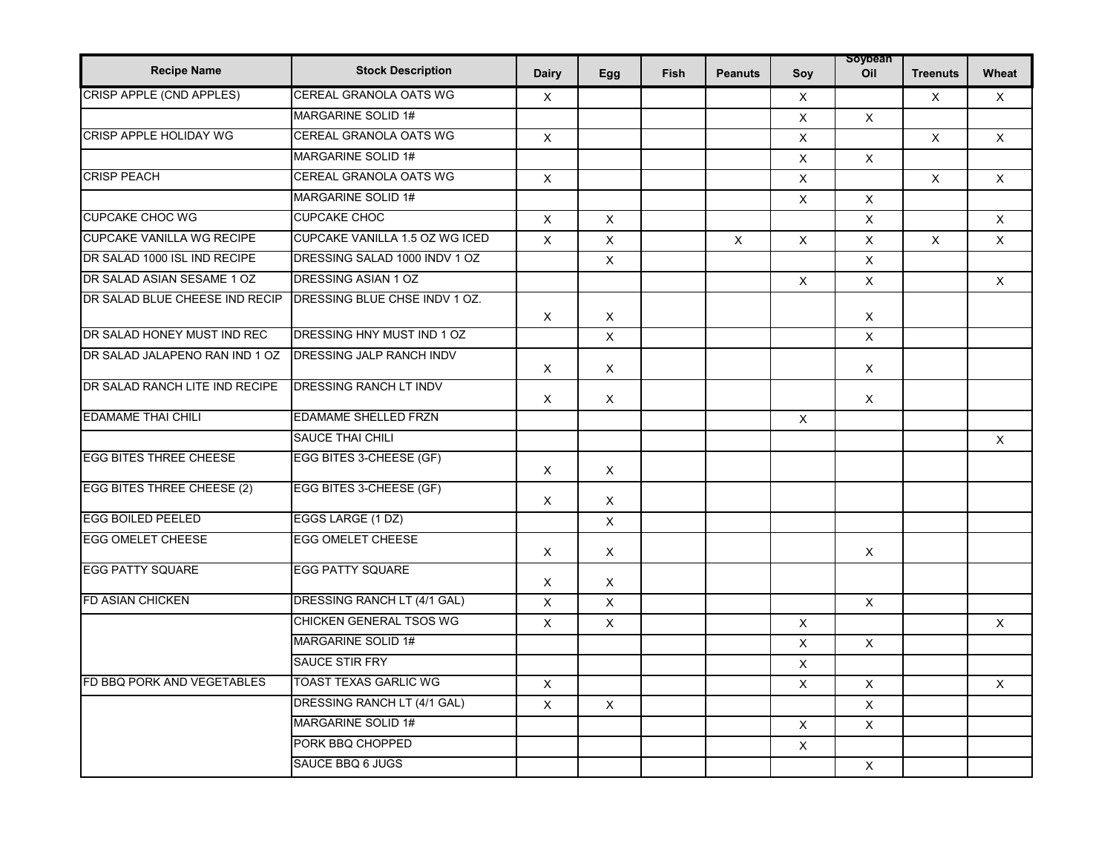| <b>Recipe Name</b>                | <b>Stock Description</b>       | <b>Dairy</b>              | Egg            | <b>Fish</b> | <b>Peanuts</b> | Soy                       | soypean<br>Oil | <b>Treenuts</b> | Wheat        |
|-----------------------------------|--------------------------------|---------------------------|----------------|-------------|----------------|---------------------------|----------------|-----------------|--------------|
| CRISP APPLE (CND APPLES)          | CEREAL GRANOLA OATS WG         | X                         |                |             |                | $\mathsf{X}$              |                | $\mathsf X$     | X            |
|                                   | MARGARINE SOLID 1#             |                           |                |             |                | $\boldsymbol{\mathsf{X}}$ | $\mathsf{X}$   |                 |              |
| <b>CRISP APPLE HOLIDAY WG</b>     | <b>CEREAL GRANOLA OATS WG</b>  | $\times$                  |                |             |                | X                         |                | $\mathsf{X}$    | $\times$     |
|                                   | <b>MARGARINE SOLID 1#</b>      |                           |                |             |                | X                         | $\mathsf{X}$   |                 |              |
| <b>CRISP PEACH</b>                | CEREAL GRANOLA OATS WG         | $\pmb{\times}$            |                |             |                | X                         |                | X               | $\times$     |
|                                   | <b>MARGARINE SOLID 1#</b>      |                           |                |             |                | X                         | $\times$       |                 |              |
| <b>CUPCAKE CHOC WG</b>            | <b>CUPCAKE CHOC</b>            | X                         | X              |             |                |                           | X              |                 | X            |
| <b>CUPCAKE VANILLA WG RECIPE</b>  | CUPCAKE VANILLA 1.5 OZ WG ICED | X                         | X              |             | X              | X                         | $\mathsf{X}$   | X               | X            |
| DR SALAD 1000 ISL IND RECIPE      | DRESSING SALAD 1000 INDV 1 OZ  |                           | $\pmb{\times}$ |             |                |                           | X              |                 |              |
| DR SALAD ASIAN SESAME 1 OZ        | DRESSING ASIAN 1 OZ            |                           |                |             |                | $\times$                  | $\mathsf{X}$   |                 | $\mathsf{X}$ |
| DR SALAD BLUE CHEESE IND RECIP    | DRESSING BLUE CHSE INDV 1 OZ.  | X                         | X              |             |                |                           | X              |                 |              |
| DR SALAD HONEY MUST IND REC       | DRESSING HNY MUST IND 1 OZ     |                           | X              |             |                |                           | $\times$       |                 |              |
| DR SALAD JALAPENO RAN IND 1 OZ    | DRESSING JALP RANCH INDV       |                           |                |             |                |                           |                |                 |              |
|                                   |                                | $\times$                  | $\times$       |             |                |                           | $\times$       |                 |              |
| DR SALAD RANCH LITE IND RECIPE    | <b>DRESSING RANCH LT INDV</b>  | $\boldsymbol{\mathsf{X}}$ | X              |             |                |                           | $\times$       |                 |              |
| <b>EDAMAME THAI CHILI</b>         | <b>EDAMAME SHELLED FRZN</b>    |                           |                |             |                | $\times$                  |                |                 |              |
|                                   | <b>SAUCE THAI CHILI</b>        |                           |                |             |                |                           |                |                 | $\times$     |
| <b>EGG BITES THREE CHEESE</b>     | EGG BITES 3-CHEESE (GF)        | $\times$                  | X              |             |                |                           |                |                 |              |
| <b>EGG BITES THREE CHEESE (2)</b> | EGG BITES 3-CHEESE (GF)        | X                         | X              |             |                |                           |                |                 |              |
| <b>EGG BOILED PEELED</b>          | EGGS LARGE (1 DZ)              |                           | $\mathsf X$    |             |                |                           |                |                 |              |
| <b>EGG OMELET CHEESE</b>          | <b>EGG OMELET CHEESE</b>       | X                         | X              |             |                |                           | $\times$       |                 |              |
| <b>EGG PATTY SQUARE</b>           | <b>EGG PATTY SQUARE</b>        | X                         | $\mathsf X$    |             |                |                           |                |                 |              |
| <b>FD ASIAN CHICKEN</b>           | DRESSING RANCH LT (4/1 GAL)    | $\times$                  | $\mathsf X$    |             |                |                           | $\times$       |                 |              |
|                                   | <b>CHICKEN GENERAL TSOS WG</b> | X                         | $\times$       |             |                | X                         |                |                 | $\times$     |
|                                   | MARGARINE SOLID 1#             |                           |                |             |                | X                         | $\mathsf{X}$   |                 |              |
|                                   | <b>SAUCE STIR FRY</b>          |                           |                |             |                | X                         |                |                 |              |
| FD BBQ PORK AND VEGETABLES        | TOAST TEXAS GARLIC WG          | X                         |                |             |                | X                         | X              |                 | X            |
|                                   | DRESSING RANCH LT (4/1 GAL)    | X                         | X              |             |                |                           | $\mathsf{X}$   |                 |              |
|                                   | <b>MARGARINE SOLID 1#</b>      |                           |                |             |                | $\mathsf{X}$              | $\mathsf X$    |                 |              |
|                                   | PORK BBQ CHOPPED               |                           |                |             |                | X                         |                |                 |              |
|                                   | SAUCE BBQ 6 JUGS               |                           |                |             |                |                           | $\mathsf X$    |                 |              |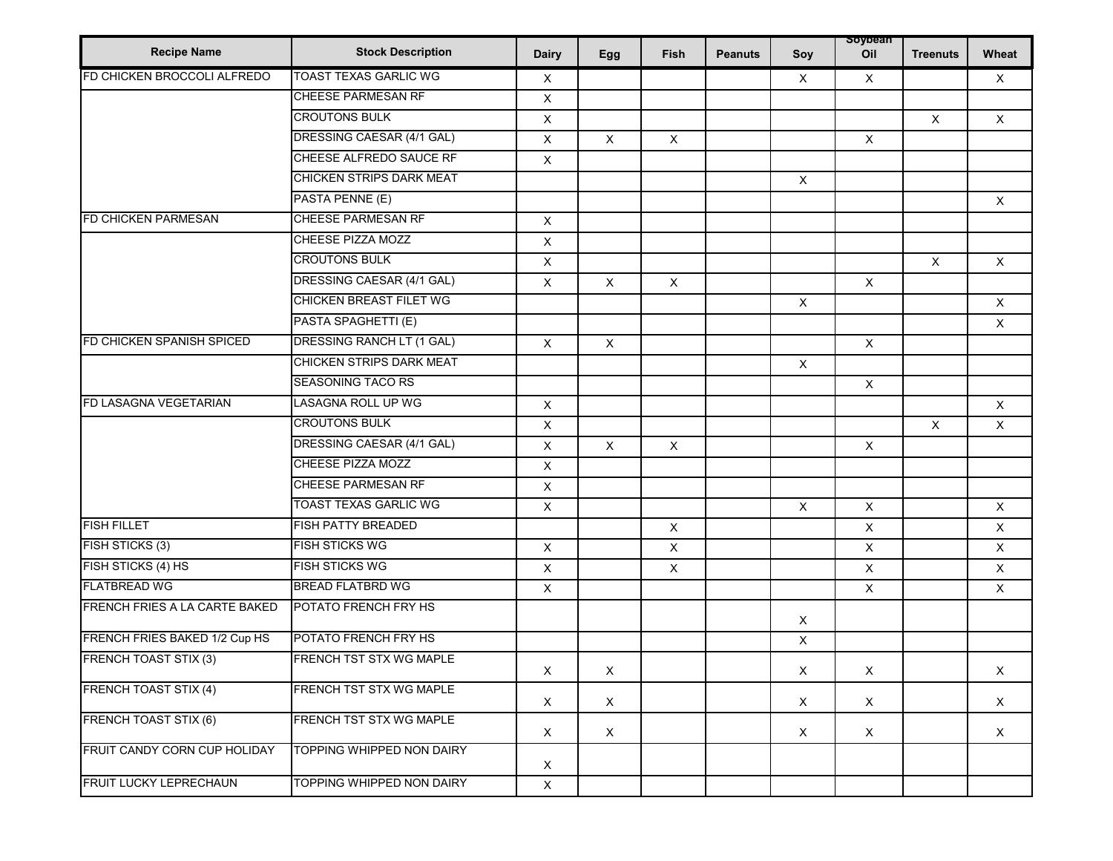| <b>Recipe Name</b>            | <b>Stock Description</b>       | Dairy        | Egg                       | Fish           | <b>Peanuts</b> | Soy          | soypean<br>Oil | <b>Treenuts</b>           | Wheat        |
|-------------------------------|--------------------------------|--------------|---------------------------|----------------|----------------|--------------|----------------|---------------------------|--------------|
| FD CHICKEN BROCCOLI ALFREDO   | <b>TOAST TEXAS GARLIC WG</b>   | X            |                           |                |                | X            | $\mathsf{X}$   |                           | X            |
|                               | CHEESE PARMESAN RF             | $\mathsf X$  |                           |                |                |              |                |                           |              |
|                               | <b>CROUTONS BULK</b>           | X            |                           |                |                |              |                | $\boldsymbol{\mathsf{X}}$ | X            |
|                               | DRESSING CAESAR (4/1 GAL)      | $\mathsf X$  | $\boldsymbol{\mathsf{X}}$ | $\mathsf{X}$   |                |              | $\mathsf{X}$   |                           |              |
|                               | CHEESE ALFREDO SAUCE RF        | X            |                           |                |                |              |                |                           |              |
|                               | CHICKEN STRIPS DARK MEAT       |              |                           |                |                | $\mathsf{X}$ |                |                           |              |
|                               | PASTA PENNE (E)                |              |                           |                |                |              |                |                           | $\times$     |
| FD CHICKEN PARMESAN           | CHEESE PARMESAN RF             | $\mathsf X$  |                           |                |                |              |                |                           |              |
|                               | CHEESE PIZZA MOZZ              | $\mathsf X$  |                           |                |                |              |                |                           |              |
|                               | <b>CROUTONS BULK</b>           | $\mathsf X$  |                           |                |                |              |                | $\times$                  | $\times$     |
|                               | DRESSING CAESAR (4/1 GAL)      | $\mathsf X$  | $\times$                  | $\mathsf X$    |                |              | $\mathsf{X}$   |                           |              |
|                               | CHICKEN BREAST FILET WG        |              |                           |                |                | $\mathsf X$  |                |                           | $\mathsf{X}$ |
|                               | PASTA SPAGHETTI (E)            |              |                           |                |                |              |                |                           | $\times$     |
| FD CHICKEN SPANISH SPICED     | DRESSING RANCH LT (1 GAL)      | $\mathsf{X}$ | $\pmb{\times}$            |                |                |              | $\mathsf{X}$   |                           |              |
|                               | CHICKEN STRIPS DARK MEAT       |              |                           |                |                | X            |                |                           |              |
|                               | <b>SEASONING TACO RS</b>       |              |                           |                |                |              | $\mathsf{X}$   |                           |              |
| FD LASAGNA VEGETARIAN         | <b>LASAGNA ROLL UP WG</b>      | $\mathsf X$  |                           |                |                |              |                |                           | $\times$     |
|                               | <b>CROUTONS BULK</b>           | $\mathsf{X}$ |                           |                |                |              |                | X                         | X            |
|                               | DRESSING CAESAR (4/1 GAL)      | X            | $\pmb{\times}$            | $\mathsf X$    |                |              | $\mathsf{X}$   |                           |              |
|                               | CHEESE PIZZA MOZZ              | X            |                           |                |                |              |                |                           |              |
|                               | <b>CHEESE PARMESAN RF</b>      | $\mathsf X$  |                           |                |                |              |                |                           |              |
|                               | <b>TOAST TEXAS GARLIC WG</b>   | $\mathsf X$  |                           |                |                | X            | $\mathsf X$    |                           | $\times$     |
| <b>FISH FILLET</b>            | <b>FISH PATTY BREADED</b>      |              |                           | $\mathsf X$    |                |              | X              |                           | $\mathsf{X}$ |
| FISH STICKS (3)               | <b>FISH STICKS WG</b>          | $\mathsf X$  |                           | X              |                |              | X              |                           | X            |
| FISH STICKS (4) HS            | <b>FISH STICKS WG</b>          | $\mathsf X$  |                           | $\pmb{\times}$ |                |              | $\mathsf{X}$   |                           | $\mathsf X$  |
| <b>FLATBREAD WG</b>           | <b>BREAD FLATBRD WG</b>        | $\mathsf X$  |                           |                |                |              | $\mathsf{X}$   |                           | $\mathsf{X}$ |
| FRENCH FRIES A LA CARTE BAKED | POTATO FRENCH FRY HS           |              |                           |                |                | $\times$     |                |                           |              |
| FRENCH FRIES BAKED 1/2 Cup HS | POTATO FRENCH FRY HS           |              |                           |                |                | X            |                |                           |              |
| <b>FRENCH TOAST STIX (3)</b>  | <b>FRENCH TST STX WG MAPLE</b> | X            | X                         |                |                | X            | X              |                           | X            |
| <b>FRENCH TOAST STIX (4)</b>  | FRENCH TST STX WG MAPLE        | $\times$     | $\boldsymbol{\mathsf{X}}$ |                |                | $\mathsf{X}$ | $\mathsf{X}$   |                           | $\times$     |
| <b>FRENCH TOAST STIX (6)</b>  | FRENCH TST STX WG MAPLE        | $\times$     | $\mathsf{X}$              |                |                | $\mathsf{X}$ | X              |                           | $\mathsf{X}$ |
| FRUIT CANDY CORN CUP HOLIDAY  | TOPPING WHIPPED NON DAIRY      | $\mathsf{X}$ |                           |                |                |              |                |                           |              |
| FRUIT LUCKY LEPRECHAUN        | TOPPING WHIPPED NON DAIRY      | $\mathsf X$  |                           |                |                |              |                |                           |              |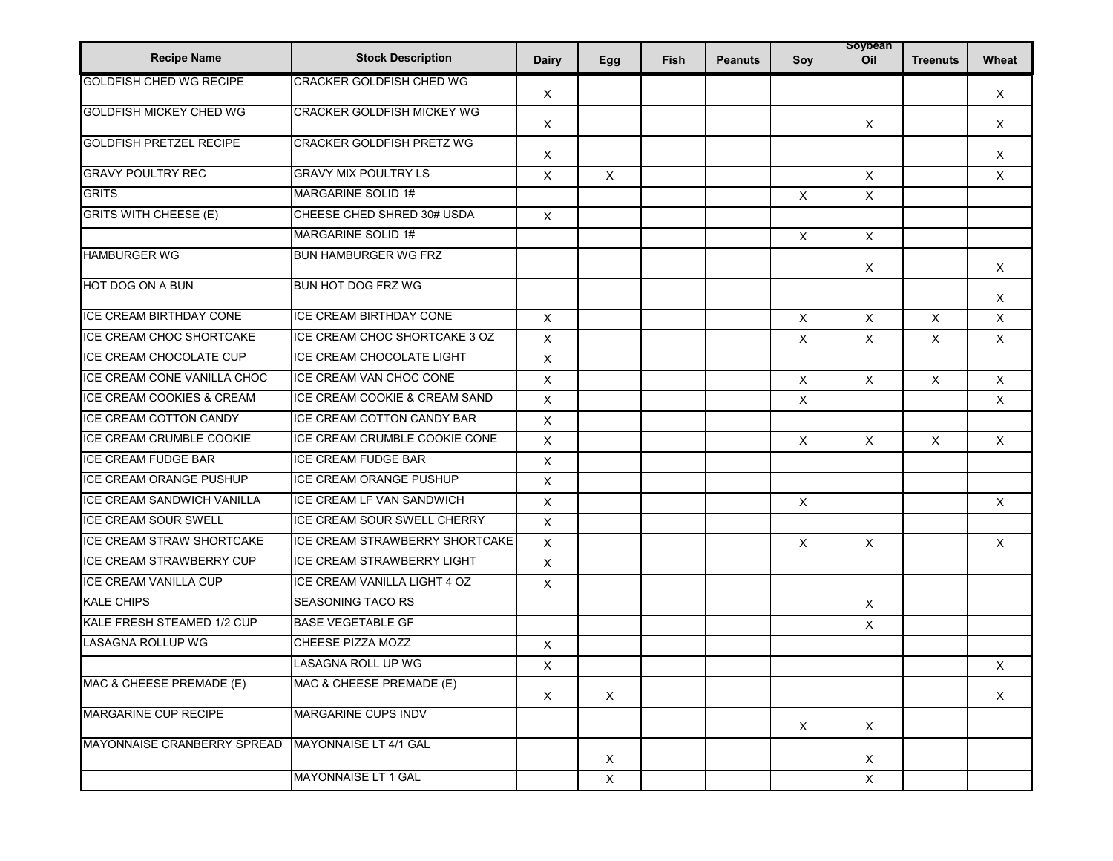| <b>Recipe Name</b>                   | <b>Stock Description</b>          | <b>Dairy</b>              | Egg         | Fish | <b>Peanuts</b> | Soy                       | soypean<br>Oil            | <b>Treenuts</b> | Wheat        |
|--------------------------------------|-----------------------------------|---------------------------|-------------|------|----------------|---------------------------|---------------------------|-----------------|--------------|
| <b>GOLDFISH CHED WG RECIPE</b>       | CRACKER GOLDFISH CHED WG          | X                         |             |      |                |                           |                           |                 | X            |
| <b>GOLDFISH MICKEY CHED WG</b>       | <b>CRACKER GOLDFISH MICKEY WG</b> | X                         |             |      |                |                           | $\boldsymbol{\mathsf{X}}$ |                 | $\mathsf{X}$ |
| <b>GOLDFISH PRETZEL RECIPE</b>       | CRACKER GOLDFISH PRETZ WG         | X                         |             |      |                |                           |                           |                 | X            |
| <b>GRAVY POULTRY REC</b>             | <b>GRAVY MIX POULTRY LS</b>       | X                         | X           |      |                |                           | X                         |                 | X            |
| <b>GRITS</b>                         | MARGARINE SOLID 1#                |                           |             |      |                | $\boldsymbol{\mathsf{X}}$ | $\mathsf{X}$              |                 |              |
| <b>GRITS WITH CHEESE (E)</b>         | CHEESE CHED SHRED 30# USDA        | $\pmb{\times}$            |             |      |                |                           |                           |                 |              |
|                                      | MARGARINE SOLID 1#                |                           |             |      |                | $\boldsymbol{\mathsf{X}}$ | $\mathsf{X}$              |                 |              |
| <b>HAMBURGER WG</b>                  | <b>BUN HAMBURGER WG FRZ</b>       |                           |             |      |                |                           | X                         |                 | $\mathsf{X}$ |
| HOT DOG ON A BUN                     | BUN HOT DOG FRZ WG                |                           |             |      |                |                           |                           |                 | $\times$     |
| <b>ICE CREAM BIRTHDAY CONE</b>       | ICE CREAM BIRTHDAY CONE           | $\pmb{\times}$            |             |      |                | $\boldsymbol{\mathsf{X}}$ | $\mathsf{X}$              | $\mathsf{X}$    | $\mathsf{X}$ |
| <b>ICE CREAM CHOC SHORTCAKE</b>      | ICE CREAM CHOC SHORTCAKE 3 OZ     | X                         |             |      |                | $\boldsymbol{\mathsf{X}}$ | $\times$                  | $\mathsf{X}$    | $\mathsf{X}$ |
| ICE CREAM CHOCOLATE CUP              | ICE CREAM CHOCOLATE LIGHT         | X                         |             |      |                |                           |                           |                 |              |
| ICE CREAM CONE VANILLA CHOC          | ICE CREAM VAN CHOC CONE           | X                         |             |      |                | X                         | $\times$                  | X               | $\mathsf{X}$ |
| <b>ICE CREAM COOKIES &amp; CREAM</b> | ICE CREAM COOKIE & CREAM SAND     | $\pmb{\times}$            |             |      |                | X                         |                           |                 | $\times$     |
| <b>ICE CREAM COTTON CANDY</b>        | ICE CREAM COTTON CANDY BAR        | X                         |             |      |                |                           |                           |                 |              |
| ICE CREAM CRUMBLE COOKIE             | ICE CREAM CRUMBLE COOKIE CONE     | X                         |             |      |                | $\mathsf{X}$              | $\times$                  | $\mathsf{X}$    | $\mathsf{X}$ |
| <b>ICE CREAM FUDGE BAR</b>           | <b>ICE CREAM FUDGE BAR</b>        | X                         |             |      |                |                           |                           |                 |              |
| <b>ICE CREAM ORANGE PUSHUP</b>       | ICE CREAM ORANGE PUSHUP           | X                         |             |      |                |                           |                           |                 |              |
| <b>ICE CREAM SANDWICH VANILLA</b>    | ICE CREAM LF VAN SANDWICH         | X                         |             |      |                | $\boldsymbol{\mathsf{X}}$ |                           |                 | $\mathsf{X}$ |
| <b>ICE CREAM SOUR SWELL</b>          | ICE CREAM SOUR SWELL CHERRY       | X                         |             |      |                |                           |                           |                 |              |
| <b>ICE CREAM STRAW SHORTCAKE</b>     | ICE CREAM STRAWBERRY SHORTCAKE    | X                         |             |      |                | $\boldsymbol{\mathsf{X}}$ | $\mathsf{X}$              |                 | X            |
| <b>ICE CREAM STRAWBERRY CUP</b>      | <b>ICE CREAM STRAWBERRY LIGHT</b> | X                         |             |      |                |                           |                           |                 |              |
| ICE CREAM VANILLA CUP                | ICE CREAM VANILLA LIGHT 4 OZ      | X                         |             |      |                |                           |                           |                 |              |
| <b>KALE CHIPS</b>                    | <b>SEASONING TACO RS</b>          |                           |             |      |                |                           | X                         |                 |              |
| KALE FRESH STEAMED 1/2 CUP           | <b>BASE VEGETABLE GF</b>          |                           |             |      |                |                           | $\times$                  |                 |              |
| LASAGNA ROLLUP WG                    | CHEESE PIZZA MOZZ                 | $\mathsf X$               |             |      |                |                           |                           |                 |              |
|                                      | <b>LASAGNA ROLL UP WG</b>         | X                         |             |      |                |                           |                           |                 | X            |
| MAC & CHEESE PREMADE (E)             | MAC & CHEESE PREMADE (E)          | $\boldsymbol{\mathsf{X}}$ | X           |      |                |                           |                           |                 | X            |
| <b>MARGARINE CUP RECIPE</b>          | <b>MARGARINE CUPS INDV</b>        |                           |             |      |                | X                         | $\times$                  |                 |              |
| MAYONNAISE CRANBERRY SPREAD          | MAYONNAISE LT 4/1 GAL             |                           | X           |      |                |                           | X                         |                 |              |
|                                      | MAYONNAISE LT 1 GAL               |                           | $\mathsf X$ |      |                |                           | X                         |                 |              |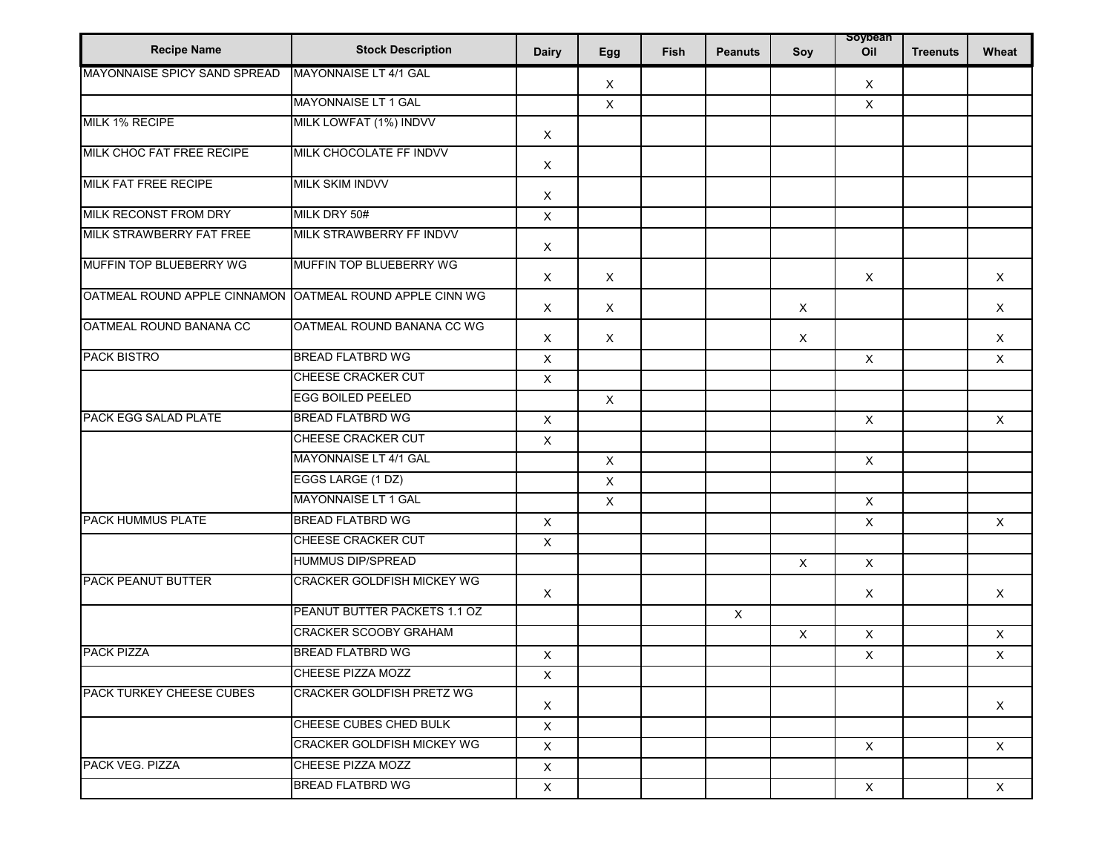| <b>Recipe Name</b>              | <b>Stock Description</b>     | <b>Dairy</b>              | Egg            | Fish | <b>Peanuts</b> | Soy                       | soypean<br>Oil | <b>Treenuts</b> | Wheat       |
|---------------------------------|------------------------------|---------------------------|----------------|------|----------------|---------------------------|----------------|-----------------|-------------|
| MAYONNAISE SPICY SAND SPREAD    | MAYONNAISE LT 4/1 GAL        |                           | $\mathsf X$    |      |                |                           | X              |                 |             |
|                                 | <b>MAYONNAISE LT 1 GAL</b>   |                           | $\mathsf X$    |      |                |                           | $\mathsf{X}$   |                 |             |
| MILK 1% RECIPE                  | MILK LOWFAT (1%) INDVV       | X                         |                |      |                |                           |                |                 |             |
| MILK CHOC FAT FREE RECIPE       | MILK CHOCOLATE FF INDVV      | X                         |                |      |                |                           |                |                 |             |
| <b>MILK FAT FREE RECIPE</b>     | MILK SKIM INDVV              | X                         |                |      |                |                           |                |                 |             |
| <b>MILK RECONST FROM DRY</b>    | MILK DRY 50#                 | $\times$                  |                |      |                |                           |                |                 |             |
| MILK STRAWBERRY FAT FREE        | MILK STRAWBERRY FF INDVV     | X                         |                |      |                |                           |                |                 |             |
| <b>MUFFIN TOP BLUEBERRY WG</b>  | MUFFIN TOP BLUEBERRY WG      | X                         | X              |      |                |                           | X              |                 | $\times$    |
| OATMEAL ROUND APPLE CINNAMON    | OATMEAL ROUND APPLE CINN WG  | X                         | $\mathsf X$    |      |                | X                         |                |                 | $\mathsf X$ |
| OATMEAL ROUND BANANA CC         | OATMEAL ROUND BANANA CC WG   | X                         | X              |      |                | $\boldsymbol{\mathsf{X}}$ |                |                 | $\times$    |
| <b>PACK BISTRO</b>              | <b>BREAD FLATBRD WG</b>      | X                         |                |      |                |                           | $\pmb{\times}$ |                 | $\times$    |
|                                 | CHEESE CRACKER CUT           | $\mathsf X$               |                |      |                |                           |                |                 |             |
|                                 | <b>EGG BOILED PEELED</b>     |                           | $\mathsf X$    |      |                |                           |                |                 |             |
| PACK EGG SALAD PLATE            | <b>BREAD FLATBRD WG</b>      | $\mathsf X$               |                |      |                |                           | $\mathsf X$    |                 | $\times$    |
|                                 | CHEESE CRACKER CUT           | X                         |                |      |                |                           |                |                 |             |
|                                 | MAYONNAISE LT 4/1 GAL        |                           | $\pmb{\times}$ |      |                |                           | $\mathsf{X}$   |                 |             |
|                                 | EGGS LARGE (1 DZ)            |                           | X              |      |                |                           |                |                 |             |
|                                 | MAYONNAISE LT 1 GAL          |                           | $\mathsf X$    |      |                |                           | $\mathsf X$    |                 |             |
| <b>PACK HUMMUS PLATE</b>        | <b>BREAD FLATBRD WG</b>      | $\mathsf X$               |                |      |                |                           | X              |                 | $\times$    |
|                                 | <b>CHEESE CRACKER CUT</b>    | X                         |                |      |                |                           |                |                 |             |
|                                 | <b>HUMMUS DIP/SPREAD</b>     |                           |                |      |                | $\boldsymbol{\mathsf{x}}$ | $\mathsf{X}$   |                 |             |
| <b>PACK PEANUT BUTTER</b>       | CRACKER GOLDFISH MICKEY WG   | $\boldsymbol{\mathsf{X}}$ |                |      |                |                           | $\times$       |                 | $\times$    |
|                                 | PEANUT BUTTER PACKETS 1.1 OZ |                           |                |      | $\mathsf X$    |                           |                |                 |             |
|                                 | <b>CRACKER SCOOBY GRAHAM</b> |                           |                |      |                | $\boldsymbol{\mathsf{X}}$ | $\mathsf X$    |                 | X           |
| <b>PACK PIZZA</b>               | <b>BREAD FLATBRD WG</b>      | $\mathsf X$               |                |      |                |                           | X              |                 | $\mathsf X$ |
|                                 | CHEESE PIZZA MOZZ            | Χ                         |                |      |                |                           |                |                 |             |
| <b>PACK TURKEY CHEESE CUBES</b> | CRACKER GOLDFISH PRETZ WG    | $\mathsf{X}$              |                |      |                |                           |                |                 | $\times$    |
|                                 | CHEESE CUBES CHED BULK       | $\mathsf X$               |                |      |                |                           |                |                 |             |
|                                 | CRACKER GOLDFISH MICKEY WG   | $\mathsf{X}$              |                |      |                |                           | $\mathsf{X}$   |                 | $\times$    |
| <b>PACK VEG. PIZZA</b>          | CHEESE PIZZA MOZZ            | $\times$                  |                |      |                |                           |                |                 |             |
|                                 | <b>BREAD FLATBRD WG</b>      | X                         |                |      |                |                           | $\times$       |                 | X           |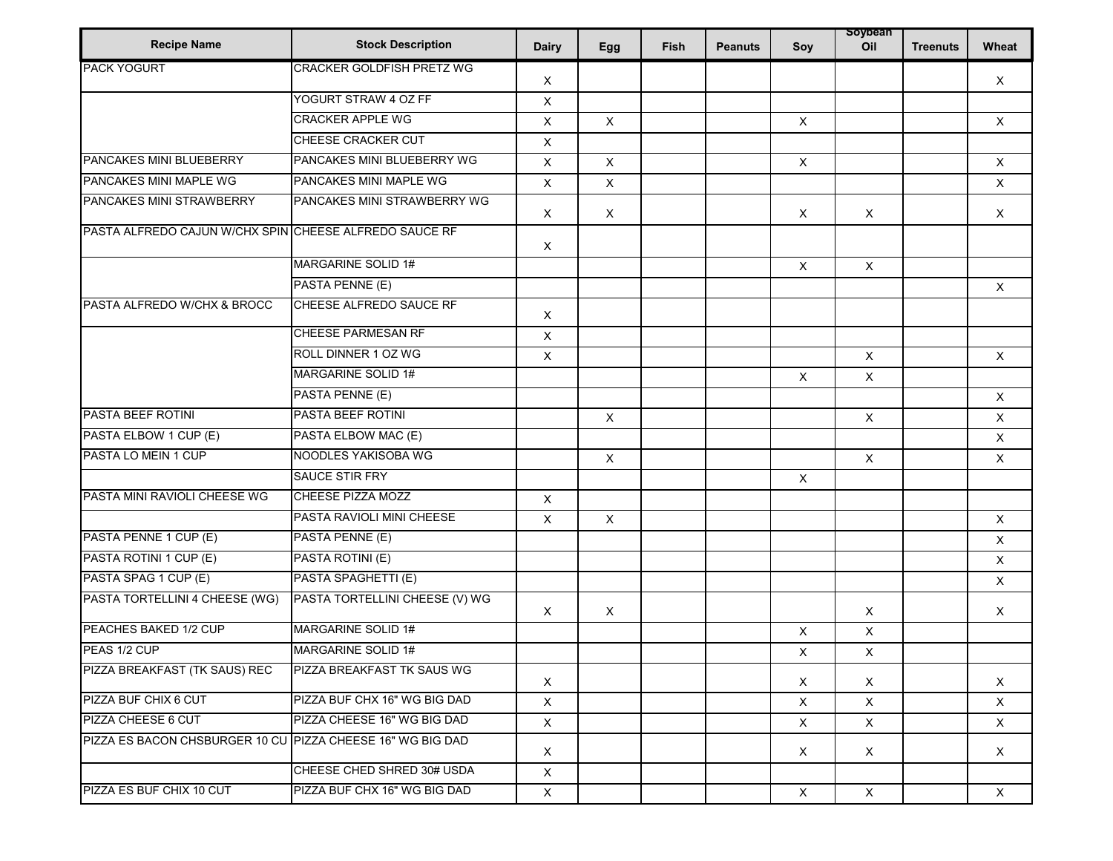| <b>Recipe Name</b>                                         | <b>Stock Description</b>         | <b>Dairy</b> | Egg                       | Fish | <b>Peanuts</b> | Soy                       | soypean<br>Oil | <b>Treenuts</b> | Wheat          |
|------------------------------------------------------------|----------------------------------|--------------|---------------------------|------|----------------|---------------------------|----------------|-----------------|----------------|
| <b>PACK YOGURT</b>                                         | <b>CRACKER GOLDFISH PRETZ WG</b> | Χ            |                           |      |                |                           |                |                 | $\mathsf{X}$   |
|                                                            | YOGURT STRAW 4 OZ FF             | X            |                           |      |                |                           |                |                 |                |
|                                                            | <b>CRACKER APPLE WG</b>          | X            | $\boldsymbol{\mathsf{X}}$ |      |                | $\pmb{\times}$            |                |                 | $\mathsf{X}$   |
|                                                            | <b>CHEESE CRACKER CUT</b>        | $\mathsf X$  |                           |      |                |                           |                |                 |                |
| PANCAKES MINI BLUEBERRY                                    | PANCAKES MINI BLUEBERRY WG       | X            | $\mathsf{X}$              |      |                | $\mathsf X$               |                |                 | $\mathsf{X}$   |
| PANCAKES MINI MAPLE WG                                     | PANCAKES MINI MAPLE WG           | X            | $\mathsf X$               |      |                |                           |                |                 | $\mathsf{X}$   |
| PANCAKES MINI STRAWBERRY                                   | PANCAKES MINI STRAWBERRY WG      | $\times$     | X                         |      |                | $\boldsymbol{\mathsf{X}}$ | $\mathsf{X}$   |                 | $\mathsf{X}$   |
| PASTA ALFREDO CAJUN W/CHX SPIN CHEESE ALFREDO SAUCE RF     |                                  | $\times$     |                           |      |                |                           |                |                 |                |
|                                                            | <b>MARGARINE SOLID 1#</b>        |              |                           |      |                | $\mathsf X$               | $\mathsf{X}$   |                 |                |
|                                                            | PASTA PENNE (E)                  |              |                           |      |                |                           |                |                 | $\mathsf{X}$   |
| PASTA ALFREDO W/CHX & BROCC                                | CHEESE ALFREDO SAUCE RF          | X            |                           |      |                |                           |                |                 |                |
|                                                            | <b>CHEESE PARMESAN RF</b>        | $\times$     |                           |      |                |                           |                |                 |                |
|                                                            | ROLL DINNER 1 OZ WG              | $\times$     |                           |      |                |                           | $\mathsf{X}$   |                 | $\mathsf{X}$   |
|                                                            | MARGARINE SOLID 1#               |              |                           |      |                | $\sf X$                   | $\mathsf{X}$   |                 |                |
|                                                            | PASTA PENNE (E)                  |              |                           |      |                |                           |                |                 | $\pmb{\times}$ |
| PASTA BEEF ROTINI                                          | PASTA BEEF ROTINI                |              | X                         |      |                |                           | $\mathsf{X}$   |                 | $\mathsf X$    |
| PASTA ELBOW 1 CUP (E)                                      | PASTA ELBOW MAC (E)              |              |                           |      |                |                           |                |                 | $\mathsf{X}$   |
| PASTA LO MEIN 1 CUP                                        | NOODLES YAKISOBA WG              |              | $\pmb{\times}$            |      |                |                           | $\mathsf X$    |                 | $\mathsf{X}$   |
|                                                            | SAUCE STIR FRY                   |              |                           |      |                | $\boldsymbol{\mathsf{X}}$ |                |                 |                |
| PASTA MINI RAVIOLI CHEESE WG                               | <b>CHEESE PIZZA MOZZ</b>         | $\mathsf{X}$ |                           |      |                |                           |                |                 |                |
|                                                            | PASTA RAVIOLI MINI CHEESE        | Χ            | X                         |      |                |                           |                |                 | X              |
| PASTA PENNE 1 CUP (E)                                      | PASTA PENNE (E)                  |              |                           |      |                |                           |                |                 | $\mathsf{X}$   |
| PASTA ROTINI 1 CUP (E)                                     | PASTA ROTINI (E)                 |              |                           |      |                |                           |                |                 | $\mathsf X$    |
| PASTA SPAG 1 CUP (E)                                       | PASTA SPAGHETTI (E)              |              |                           |      |                |                           |                |                 | $\mathsf{X}$   |
| PASTA TORTELLINI 4 CHEESE (WG)                             | PASTA TORTELLINI CHEESE (V) WG   | Χ            | $\mathsf X$               |      |                |                           | $\sf X$        |                 | X              |
| PEACHES BAKED 1/2 CUP                                      | <b>MARGARINE SOLID 1#</b>        |              |                           |      |                | X                         | $\mathsf{X}$   |                 |                |
| PEAS 1/2 CUP                                               | MARGARINE SOLID 1#               |              |                           |      |                | X                         | X              |                 |                |
| PIZZA BREAKFAST (TK SAUS) REC                              | PIZZA BREAKFAST TK SAUS WG       | X            |                           |      |                | X                         | X              |                 | X              |
| PIZZA BUF CHIX 6 CUT                                       | PIZZA BUF CHX 16" WG BIG DAD     | $\times$     |                           |      |                | $\boldsymbol{\mathsf{X}}$ | $\mathsf X$    |                 | $\mathsf{X}$   |
| PIZZA CHEESE 6 CUT                                         | PIZZA CHEESE 16" WG BIG DAD      | $\times$     |                           |      |                | $\times$                  | $\mathsf{X}$   |                 | $\mathsf{X}$   |
| PIZZA ES BACON CHSBURGER 10 CU PIZZA CHEESE 16" WG BIG DAD |                                  | $\times$     |                           |      |                | $\mathsf{X}$              | $\mathsf{X}$   |                 | X              |
|                                                            | CHEESE CHED SHRED 30# USDA       | X            |                           |      |                |                           |                |                 |                |
| PIZZA ES BUF CHIX 10 CUT                                   | PIZZA BUF CHX 16" WG BIG DAD     | $\mathsf{X}$ |                           |      |                | $\mathsf X$               | $\times$       |                 | X              |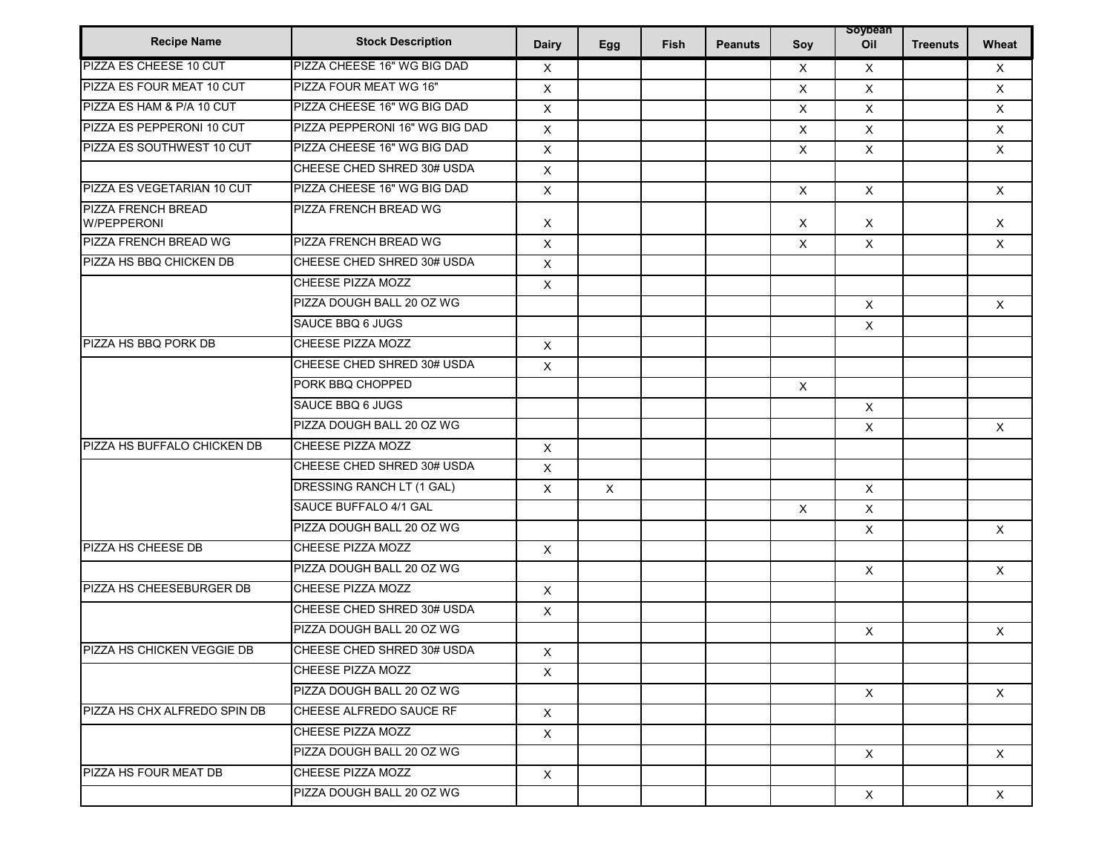| <b>Recipe Name</b>                       | <b>Stock Description</b>       | <b>Dairy</b>              |             | <b>Fish</b> | <b>Peanuts</b> |                           | soybean<br>Oil |                 | Wheat        |
|------------------------------------------|--------------------------------|---------------------------|-------------|-------------|----------------|---------------------------|----------------|-----------------|--------------|
| PIZZA ES CHEESE 10 CUT                   | PIZZA CHEESE 16" WG BIG DAD    |                           | Egg         |             |                | Soy                       |                | <b>Treenuts</b> |              |
| PIZZA ES FOUR MEAT 10 CUT                | PIZZA FOUR MEAT WG 16"         | X                         |             |             |                | X                         | $\times$       |                 | $\times$     |
| PIZZA ES HAM & P/A 10 CUT                | PIZZA CHEESE 16" WG BIG DAD    | X                         |             |             |                | $\mathsf X$               | $\times$       |                 | $\mathsf{X}$ |
|                                          |                                | X                         |             |             |                | $\times$                  | $\times$       |                 | $\times$     |
| PIZZA ES PEPPERONI 10 CUT                | PIZZA PEPPERONI 16" WG BIG DAD | X                         |             |             |                | X                         | $\times$       |                 | $\times$     |
| PIZZA ES SOUTHWEST 10 CUT                | PIZZA CHEESE 16" WG BIG DAD    | X                         |             |             |                | $\times$                  | $\mathsf{X}$   |                 | $\times$     |
|                                          | CHEESE CHED SHRED 30# USDA     | X                         |             |             |                |                           |                |                 |              |
| PIZZA ES VEGETARIAN 10 CUT               | PIZZA CHEESE 16" WG BIG DAD    | $\mathsf X$               |             |             |                | $\times$                  | $\mathsf{X}$   |                 | $\mathsf{X}$ |
| <b>PIZZA FRENCH BREAD</b><br>W/PEPPERONI | PIZZA FRENCH BREAD WG          | Χ                         |             |             |                | $\times$                  | $\times$       |                 | $\times$     |
| PIZZA FRENCH BREAD WG                    | PIZZA FRENCH BREAD WG          | X                         |             |             |                | $\times$                  | X              |                 | $\mathsf{X}$ |
| PIZZA HS BBQ CHICKEN DB                  | CHEESE CHED SHRED 30# USDA     | X                         |             |             |                |                           |                |                 |              |
|                                          | CHEESE PIZZA MOZZ              | $\boldsymbol{\mathsf{X}}$ |             |             |                |                           |                |                 |              |
|                                          | PIZZA DOUGH BALL 20 OZ WG      |                           |             |             |                |                           | $\mathsf{X}$   |                 | $\times$     |
|                                          | SAUCE BBQ 6 JUGS               |                           |             |             |                |                           | $\mathsf{X}$   |                 |              |
| PIZZA HS BBQ PORK DB                     | CHEESE PIZZA MOZZ              | $\mathsf{X}$              |             |             |                |                           |                |                 |              |
|                                          | CHEESE CHED SHRED 30# USDA     | $\times$                  |             |             |                |                           |                |                 |              |
|                                          | PORK BBQ CHOPPED               |                           |             |             |                | $\times$                  |                |                 |              |
|                                          | SAUCE BBQ 6 JUGS               |                           |             |             |                |                           | $\times$       |                 |              |
|                                          | PIZZA DOUGH BALL 20 OZ WG      |                           |             |             |                |                           | $\times$       |                 | $\times$     |
| PIZZA HS BUFFALO CHICKEN DB              | CHEESE PIZZA MOZZ              | X                         |             |             |                |                           |                |                 |              |
|                                          | CHEESE CHED SHRED 30# USDA     | X                         |             |             |                |                           |                |                 |              |
|                                          | DRESSING RANCH LT (1 GAL)      | X                         | $\mathsf X$ |             |                |                           | $\pmb{\times}$ |                 |              |
|                                          | SAUCE BUFFALO 4/1 GAL          |                           |             |             |                | $\boldsymbol{\mathsf{X}}$ | $\times$       |                 |              |
|                                          | PIZZA DOUGH BALL 20 OZ WG      |                           |             |             |                |                           | X              |                 | $\times$     |
| PIZZA HS CHEESE DB                       | CHEESE PIZZA MOZZ              | $\times$                  |             |             |                |                           |                |                 |              |
|                                          | PIZZA DOUGH BALL 20 OZ WG      |                           |             |             |                |                           | X              |                 | $\times$     |
| PIZZA HS CHEESEBURGER DB                 | CHEESE PIZZA MOZZ              | X                         |             |             |                |                           |                |                 |              |
|                                          | CHEESE CHED SHRED 30# USDA     | $\boldsymbol{\mathsf{X}}$ |             |             |                |                           |                |                 |              |
|                                          | PIZZA DOUGH BALL 20 OZ WG      |                           |             |             |                |                           | $\mathsf{X}$   |                 | $\mathsf{X}$ |
| <b>PIZZA HS CHICKEN VEGGIE DB</b>        | CHEESE CHED SHRED 30# USDA     | Χ                         |             |             |                |                           |                |                 |              |
|                                          | CHEESE PIZZA MOZZ              | $\times$                  |             |             |                |                           |                |                 |              |
|                                          | PIZZA DOUGH BALL 20 OZ WG      |                           |             |             |                |                           | $\times$       |                 | $\times$     |
| PIZZA HS CHX ALFREDO SPIN DB             | CHEESE ALFREDO SAUCE RF        | $\times$                  |             |             |                |                           |                |                 |              |
|                                          | CHEESE PIZZA MOZZ              | $\times$                  |             |             |                |                           |                |                 |              |
|                                          | PIZZA DOUGH BALL 20 OZ WG      |                           |             |             |                |                           | $\mathsf{X}$   |                 | $\mathsf{X}$ |
| PIZZA HS FOUR MEAT DB                    | CHEESE PIZZA MOZZ              | $\boldsymbol{\mathsf{X}}$ |             |             |                |                           |                |                 |              |
|                                          | PIZZA DOUGH BALL 20 OZ WG      |                           |             |             |                |                           | $\times$       |                 | $\times$     |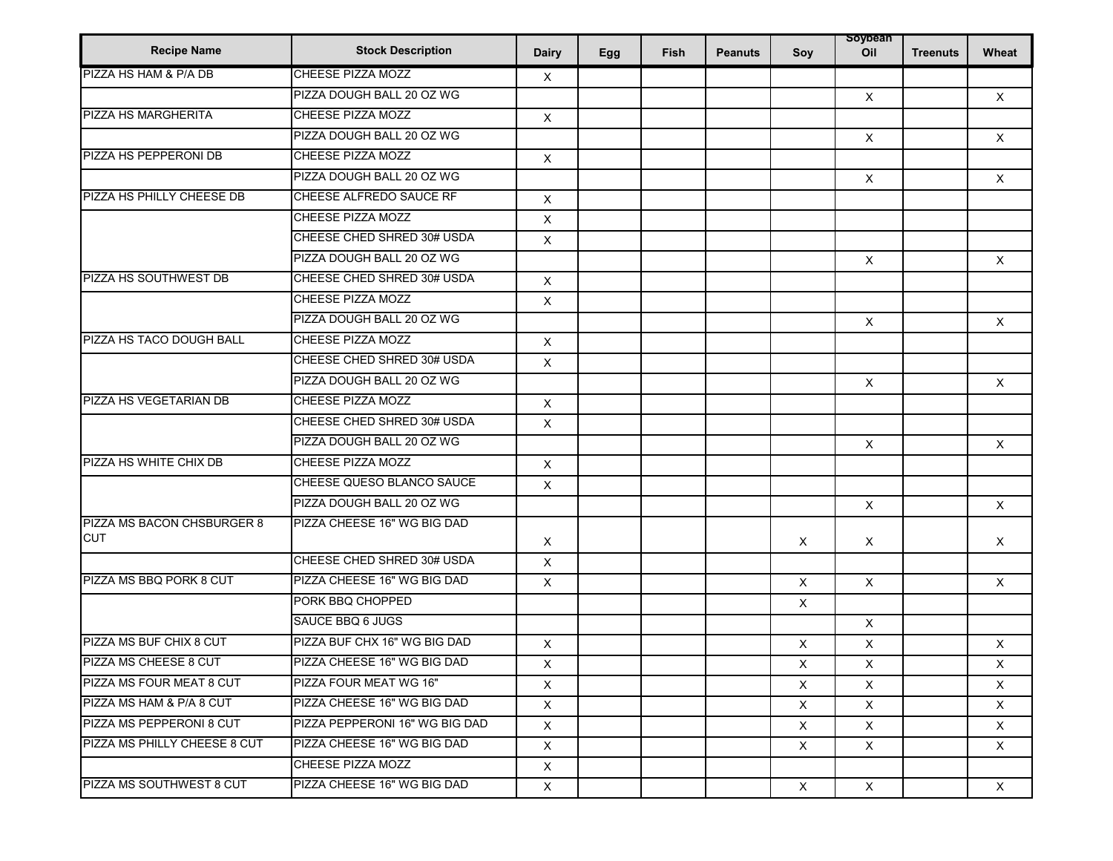| <b>Recipe Name</b>                       | <b>Stock Description</b>       | <b>Dairy</b>   | Egg | <b>Fish</b> | <b>Peanuts</b> | Soy            | soybean<br>Oil | <b>Treenuts</b> | Wheat        |
|------------------------------------------|--------------------------------|----------------|-----|-------------|----------------|----------------|----------------|-----------------|--------------|
| PIZZA HS HAM & P/A DB                    | <b>CHEESE PIZZA MOZZ</b>       | X              |     |             |                |                |                |                 |              |
|                                          | PIZZA DOUGH BALL 20 OZ WG      |                |     |             |                |                | $\mathsf{X}$   |                 | $\mathsf{X}$ |
| <b>PIZZA HS MARGHERITA</b>               | <b>CHEESE PIZZA MOZZ</b>       | $\mathsf X$    |     |             |                |                |                |                 |              |
|                                          | PIZZA DOUGH BALL 20 OZ WG      |                |     |             |                |                | $\mathsf{X}$   |                 | $\mathsf{X}$ |
| PIZZA HS PEPPERONI DB                    | <b>CHEESE PIZZA MOZZ</b>       | $\mathsf X$    |     |             |                |                |                |                 |              |
|                                          | PIZZA DOUGH BALL 20 OZ WG      |                |     |             |                |                | $\times$       |                 | $\times$     |
| PIZZA HS PHILLY CHEESE DB                | CHEESE ALFREDO SAUCE RF        | $\mathsf{X}$   |     |             |                |                |                |                 |              |
|                                          | CHEESE PIZZA MOZZ              | X              |     |             |                |                |                |                 |              |
|                                          | CHEESE CHED SHRED 30# USDA     | $\mathsf X$    |     |             |                |                |                |                 |              |
|                                          | PIZZA DOUGH BALL 20 OZ WG      |                |     |             |                |                | $\mathsf{X}$   |                 | $\times$     |
| PIZZA HS SOUTHWEST DB                    | CHEESE CHED SHRED 30# USDA     | $\times$       |     |             |                |                |                |                 |              |
|                                          | CHEESE PIZZA MOZZ              | $\mathsf X$    |     |             |                |                |                |                 |              |
|                                          | PIZZA DOUGH BALL 20 OZ WG      |                |     |             |                |                | $\times$       |                 | $\mathsf{X}$ |
| PIZZA HS TACO DOUGH BALL                 | <b>CHEESE PIZZA MOZZ</b>       | X              |     |             |                |                |                |                 |              |
|                                          | CHEESE CHED SHRED 30# USDA     | $\mathsf X$    |     |             |                |                |                |                 |              |
|                                          | PIZZA DOUGH BALL 20 OZ WG      |                |     |             |                |                | $\mathsf{X}$   |                 | $\mathsf{X}$ |
| PIZZA HS VEGETARIAN DB                   | CHEESE PIZZA MOZZ              | X              |     |             |                |                |                |                 |              |
|                                          | CHEESE CHED SHRED 30# USDA     | X              |     |             |                |                |                |                 |              |
|                                          | PIZZA DOUGH BALL 20 OZ WG      |                |     |             |                |                | $\mathsf{X}$   |                 | $\times$     |
| PIZZA HS WHITE CHIX DB                   | <b>CHEESE PIZZA MOZZ</b>       | X              |     |             |                |                |                |                 |              |
|                                          | CHEESE QUESO BLANCO SAUCE      | $\mathsf X$    |     |             |                |                |                |                 |              |
|                                          | PIZZA DOUGH BALL 20 OZ WG      |                |     |             |                |                | $\mathsf X$    |                 | $\times$     |
| PIZZA MS BACON CHSBURGER 8<br><b>CUT</b> | PIZZA CHEESE 16" WG BIG DAD    | $\times$       |     |             |                | X              | $\times$       |                 | $\times$     |
|                                          | CHEESE CHED SHRED 30# USDA     | $\mathsf{X}$   |     |             |                |                |                |                 |              |
| PIZZA MS BBQ PORK 8 CUT                  | PIZZA CHEESE 16" WG BIG DAD    | X              |     |             |                | X              | $\mathsf{X}$   |                 | $\times$     |
|                                          | PORK BBQ CHOPPED               |                |     |             |                | X              |                |                 |              |
|                                          | SAUCE BBQ 6 JUGS               |                |     |             |                |                | $\times$       |                 |              |
| PIZZA MS BUF CHIX 8 CUT                  | PIZZA BUF CHX 16" WG BIG DAD   | X              |     |             |                | X              | X              |                 | $\mathsf{X}$ |
| PIZZA MS CHEESE 8 CUT                    | PIZZA CHEESE 16" WG BIG DAD    | $\mathsf{X}^-$ |     |             |                | $\mathsf{X}^-$ | $\mathsf X$    |                 | $\mathsf X$  |
| <b>PIZZA MS FOUR MEAT 8 CUT</b>          | PIZZA FOUR MEAT WG 16"         | $\times$       |     |             |                | $\times$       | $\times$       |                 | $\times$     |
| PIZZA MS HAM & P/A 8 CUT                 | PIZZA CHEESE 16" WG BIG DAD    | $\times$       |     |             |                | $\mathsf{X}$   | $\times$       |                 | X            |
| PIZZA MS PEPPERONI 8 CUT                 | PIZZA PEPPERONI 16" WG BIG DAD | X              |     |             |                | X              | X              |                 | X            |
| <b>PIZZA MS PHILLY CHEESE 8 CUT</b>      | PIZZA CHEESE 16" WG BIG DAD    | $\mathsf{X}$   |     |             |                | $\mathsf{X}$   | $\mathsf{X}$   |                 | $\times$     |
|                                          | CHEESE PIZZA MOZZ              | X              |     |             |                |                |                |                 |              |
| PIZZA MS SOUTHWEST 8 CUT                 | PIZZA CHEESE 16" WG BIG DAD    | X              |     |             |                | $\mathsf{X}$   | $\times$       |                 | $\mathsf{X}$ |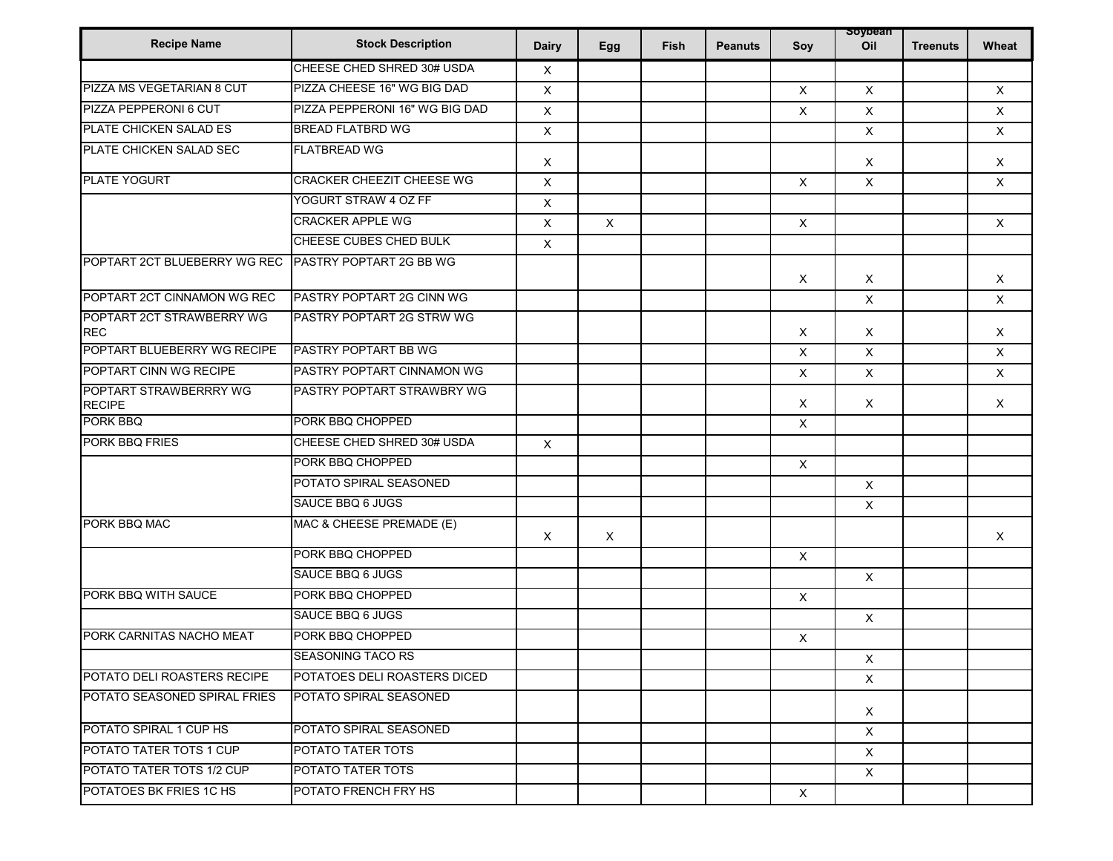|                                         |                                |                           |     |             |                |                           | soybean        |                 |              |
|-----------------------------------------|--------------------------------|---------------------------|-----|-------------|----------------|---------------------------|----------------|-----------------|--------------|
| <b>Recipe Name</b>                      | <b>Stock Description</b>       | <b>Dairy</b>              | Egg | <b>Fish</b> | <b>Peanuts</b> | Soy                       | Oil            | <b>Treenuts</b> | Wheat        |
|                                         | CHEESE CHED SHRED 30# USDA     | Χ                         |     |             |                |                           |                |                 |              |
| PIZZA MS VEGETARIAN 8 CUT               | PIZZA CHEESE 16" WG BIG DAD    | X                         |     |             |                | $\boldsymbol{\mathsf{X}}$ | $\mathsf{X}$   |                 | $\mathsf{X}$ |
| PIZZA PEPPERONI 6 CUT                   | PIZZA PEPPERONI 16" WG BIG DAD | X                         |     |             |                | $\times$                  | X              |                 | $\mathsf{X}$ |
| PLATE CHICKEN SALAD ES                  | <b>BREAD FLATBRD WG</b>        | X                         |     |             |                |                           | $\mathsf{X}$   |                 | $\times$     |
| PLATE CHICKEN SALAD SEC                 | <b>FLATBREAD WG</b>            | X                         |     |             |                |                           | X              |                 | X            |
| PLATE YOGURT                            | CRACKER CHEEZIT CHEESE WG      | $\times$                  |     |             |                | $\times$                  | $\mathsf{X}$   |                 | $\times$     |
|                                         | YOGURT STRAW 4 OZ FF           | X                         |     |             |                |                           |                |                 |              |
|                                         | <b>CRACKER APPLE WG</b>        | X                         | X   |             |                | $\boldsymbol{\mathsf{X}}$ |                |                 | X            |
|                                         | CHEESE CUBES CHED BULK         | $\pmb{\times}$            |     |             |                |                           |                |                 |              |
| POPTART 2CT BLUEBERRY WG REC            | PASTRY POPTART 2G BB WG        |                           |     |             |                | $\boldsymbol{\mathsf{X}}$ | $\times$       |                 | $\times$     |
| POPTART 2CT CINNAMON WG REC             | PASTRY POPTART 2G CINN WG      |                           |     |             |                |                           | X              |                 | $\times$     |
| POPTART 2CT STRAWBERRY WG<br><b>REC</b> | PASTRY POPTART 2G STRW WG      |                           |     |             |                | $\boldsymbol{\mathsf{X}}$ | X              |                 | X            |
| POPTART BLUEBERRY WG RECIPE             | PASTRY POPTART BB WG           |                           |     |             |                | X                         | X              |                 | $\mathsf{X}$ |
| POPTART CINN WG RECIPE                  | PASTRY POPTART CINNAMON WG     |                           |     |             |                | $\boldsymbol{\mathsf{X}}$ | $\mathsf X$    |                 | $\mathsf{X}$ |
| POPTART STRAWBERRRY WG<br><b>RECIPE</b> | PASTRY POPTART STRAWBRY WG     |                           |     |             |                | Χ                         | X              |                 | X            |
| PORK BBQ                                | PORK BBQ CHOPPED               |                           |     |             |                | $\boldsymbol{\mathsf{X}}$ |                |                 |              |
| PORK BBQ FRIES                          | CHEESE CHED SHRED 30# USDA     | $\mathsf{X}$              |     |             |                |                           |                |                 |              |
|                                         | PORK BBQ CHOPPED               |                           |     |             |                | $\boldsymbol{\mathsf{X}}$ |                |                 |              |
|                                         | POTATO SPIRAL SEASONED         |                           |     |             |                |                           | $\mathsf{X}$   |                 |              |
|                                         | SAUCE BBQ 6 JUGS               |                           |     |             |                |                           | $\times$       |                 |              |
| PORK BBQ MAC                            | MAC & CHEESE PREMADE (E)       | $\boldsymbol{\mathsf{X}}$ | X   |             |                |                           |                |                 | $\times$     |
|                                         | PORK BBQ CHOPPED               |                           |     |             |                | $\boldsymbol{\mathsf{X}}$ |                |                 |              |
|                                         | SAUCE BBQ 6 JUGS               |                           |     |             |                |                           | $\pmb{\times}$ |                 |              |
| PORK BBQ WITH SAUCE                     | PORK BBQ CHOPPED               |                           |     |             |                | $\boldsymbol{\mathsf{X}}$ |                |                 |              |
|                                         | SAUCE BBQ 6 JUGS               |                           |     |             |                |                           | $\pmb{\times}$ |                 |              |
| PORK CARNITAS NACHO MEAT                | PORK BBQ CHOPPED               |                           |     |             |                | $\boldsymbol{\mathsf{X}}$ |                |                 |              |
|                                         | <b>SEASONING TACO RS</b>       |                           |     |             |                |                           | $\mathsf{X}^-$ |                 |              |
| POTATO DELI ROASTERS RECIPE             | POTATOES DELI ROASTERS DICED   |                           |     |             |                |                           | $\mathsf{X}$   |                 |              |
| POTATO SEASONED SPIRAL FRIES            | POTATO SPIRAL SEASONED         |                           |     |             |                |                           | $\mathsf{X}$   |                 |              |
| POTATO SPIRAL 1 CUP HS                  | POTATO SPIRAL SEASONED         |                           |     |             |                |                           | $\times$       |                 |              |
| POTATO TATER TOTS 1 CUP                 | POTATO TATER TOTS              |                           |     |             |                |                           | $\mathsf X$    |                 |              |
| POTATO TATER TOTS 1/2 CUP               | POTATO TATER TOTS              |                           |     |             |                |                           | $\times$       |                 |              |
| POTATOES BK FRIES 1C HS                 | POTATO FRENCH FRY HS           |                           |     |             |                | $\boldsymbol{\mathsf{X}}$ |                |                 |              |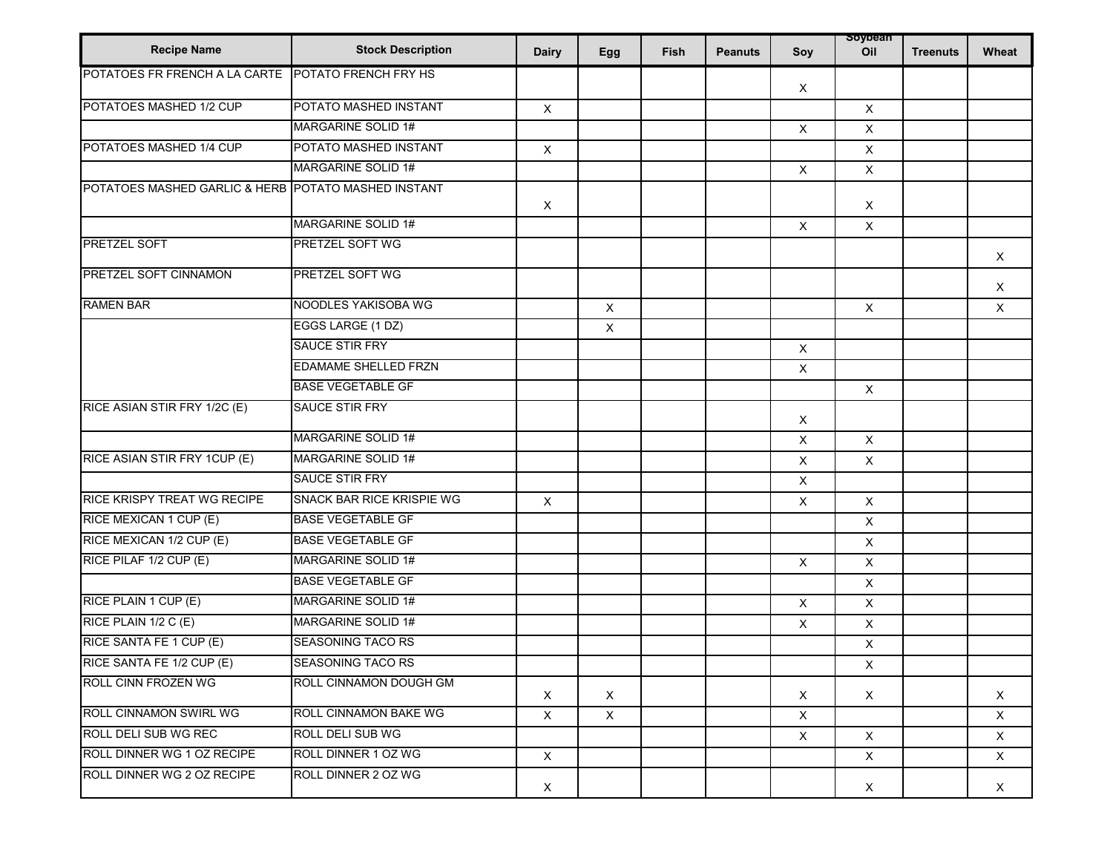| <b>Recipe Name</b>                                  | <b>Stock Description</b>    | <b>Dairy</b> | Egg          | Fish | <b>Peanuts</b> | Soy                       | soypean<br>Oil            | <b>Treenuts</b> | Wheat        |
|-----------------------------------------------------|-----------------------------|--------------|--------------|------|----------------|---------------------------|---------------------------|-----------------|--------------|
| POTATOES FR FRENCH A LA CARTE POTATO FRENCH FRY HS  |                             |              |              |      |                | X                         |                           |                 |              |
| POTATOES MASHED 1/2 CUP                             | POTATO MASHED INSTANT       | $\mathsf X$  |              |      |                |                           | $\mathsf X$               |                 |              |
|                                                     | MARGARINE SOLID 1#          |              |              |      |                | $\boldsymbol{\mathsf{X}}$ | $\times$                  |                 |              |
| POTATOES MASHED 1/4 CUP                             | POTATO MASHED INSTANT       | $\mathsf X$  |              |      |                |                           | $\mathsf{X}$              |                 |              |
|                                                     | <b>MARGARINE SOLID 1#</b>   |              |              |      |                | $\boldsymbol{\mathsf{X}}$ | $\mathsf{X}$              |                 |              |
| POTATOES MASHED GARLIC & HERB POTATO MASHED INSTANT |                             | X            |              |      |                |                           | $\times$                  |                 |              |
|                                                     | MARGARINE SOLID 1#          |              |              |      |                | $\boldsymbol{\mathsf{X}}$ | X                         |                 |              |
| <b>PRETZEL SOFT</b>                                 | PRETZEL SOFT WG             |              |              |      |                |                           |                           |                 | $\mathsf{X}$ |
| <b>PRETZEL SOFT CINNAMON</b>                        | PRETZEL SOFT WG             |              |              |      |                |                           |                           |                 | X            |
| <b>RAMEN BAR</b>                                    | NOODLES YAKISOBA WG         |              | $\mathsf X$  |      |                |                           | $\mathsf X$               |                 | $\mathsf{X}$ |
|                                                     | EGGS LARGE (1 DZ)           |              | X            |      |                |                           |                           |                 |              |
|                                                     | <b>SAUCE STIR FRY</b>       |              |              |      |                | $\times$                  |                           |                 |              |
|                                                     | <b>EDAMAME SHELLED FRZN</b> |              |              |      |                | $\boldsymbol{\mathsf{X}}$ |                           |                 |              |
|                                                     | <b>BASE VEGETABLE GF</b>    |              |              |      |                |                           | $\boldsymbol{\mathsf{X}}$ |                 |              |
| RICE ASIAN STIR FRY 1/2C (E)                        | <b>SAUCE STIR FRY</b>       |              |              |      |                | X                         |                           |                 |              |
|                                                     | MARGARINE SOLID 1#          |              |              |      |                | X                         | $\mathsf{X}$              |                 |              |
| RICE ASIAN STIR FRY 1CUP (E)                        | <b>MARGARINE SOLID 1#</b>   |              |              |      |                | X                         | $\times$                  |                 |              |
|                                                     | <b>SAUCE STIR FRY</b>       |              |              |      |                | X                         |                           |                 |              |
| RICE KRISPY TREAT WG RECIPE                         | SNACK BAR RICE KRISPIE WG   | $\mathsf X$  |              |      |                | $\mathsf{X}$              | $\mathsf{X}$              |                 |              |
| RICE MEXICAN 1 CUP (E)                              | <b>BASE VEGETABLE GF</b>    |              |              |      |                |                           | X                         |                 |              |
| RICE MEXICAN 1/2 CUP (E)                            | <b>BASE VEGETABLE GF</b>    |              |              |      |                |                           | $\mathsf{X}$              |                 |              |
| RICE PILAF 1/2 CUP (E)                              | MARGARINE SOLID 1#          |              |              |      |                | $\boldsymbol{\mathsf{X}}$ | $\pmb{\times}$            |                 |              |
|                                                     | <b>BASE VEGETABLE GF</b>    |              |              |      |                |                           | $\mathsf{X}$              |                 |              |
| RICE PLAIN 1 CUP (E)                                | MARGARINE SOLID 1#          |              |              |      |                | $\boldsymbol{\mathsf{X}}$ | $\mathsf{X}$              |                 |              |
| RICE PLAIN 1/2 C (E)                                | MARGARINE SOLID 1#          |              |              |      |                | $\boldsymbol{\mathsf{X}}$ | X                         |                 |              |
| RICE SANTA FE 1 CUP (E)                             | SEASONING TACO RS           |              |              |      |                |                           | $\mathsf X$               |                 |              |
| RICE SANTA FE 1/2 CUP (E)                           | <b>SEASONING TACO RS</b>    |              |              |      |                |                           | $\mathsf X$               |                 |              |
| <b>ROLL CINN FROZEN WG</b>                          | ROLL CINNAMON DOUGH GM      | $\mathsf{X}$ | $\mathsf{X}$ |      |                | X                         | X                         |                 | X            |
| ROLL CINNAMON SWIRL WG                              | ROLL CINNAMON BAKE WG       | $\times$     | $\times$     |      |                | $\times$                  |                           |                 | $\times$     |
| ROLL DELI SUB WG REC                                | ROLL DELI SUB WG            |              |              |      |                | X                         | $\mathsf{X}$              |                 | X            |
| ROLL DINNER WG 1 OZ RECIPE                          | ROLL DINNER 1 OZ WG         | $\mathsf{X}$ |              |      |                |                           | $\mathsf{X}$              |                 | $\times$     |
| ROLL DINNER WG 2 OZ RECIPE                          | ROLL DINNER 2 OZ WG         | X            |              |      |                |                           | $\mathsf{X}$              |                 | X            |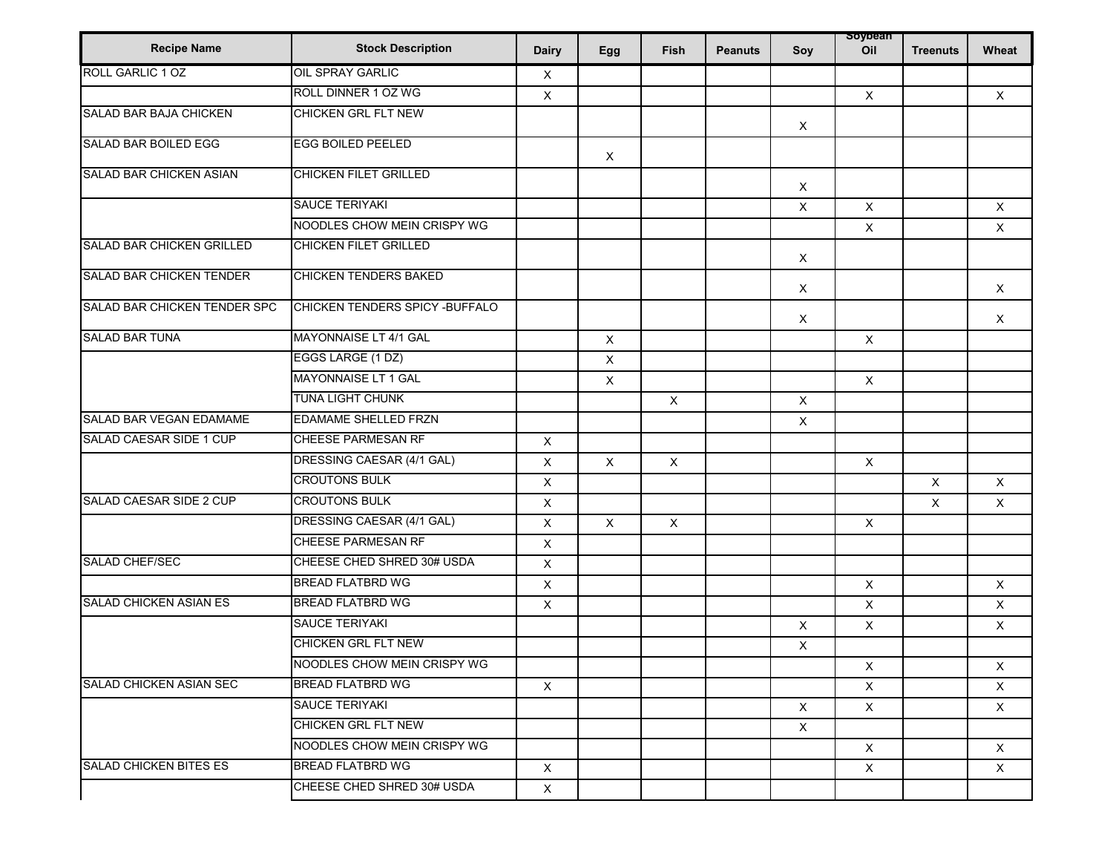| <b>Recipe Name</b>             | <b>Stock Description</b>        | <b>Dairy</b> | Egg                       | Fish                      | <b>Peanuts</b> | Soy                       | soybean<br>Oil            | <b>Treenuts</b> | Wheat        |
|--------------------------------|---------------------------------|--------------|---------------------------|---------------------------|----------------|---------------------------|---------------------------|-----------------|--------------|
| <b>ROLL GARLIC 1 OZ</b>        | <b>OIL SPRAY GARLIC</b>         | $\times$     |                           |                           |                |                           |                           |                 |              |
|                                | ROLL DINNER 1 OZ WG             | X            |                           |                           |                |                           | $\mathsf{X}$              |                 | X            |
| <b>SALAD BAR BAJA CHICKEN</b>  | <b>CHICKEN GRL FLT NEW</b>      |              |                           |                           |                | $\times$                  |                           |                 |              |
| <b>SALAD BAR BOILED EGG</b>    | <b>EGG BOILED PEELED</b>        |              | $\boldsymbol{\mathsf{X}}$ |                           |                |                           |                           |                 |              |
| SALAD BAR CHICKEN ASIAN        | <b>CHICKEN FILET GRILLED</b>    |              |                           |                           |                | $\times$                  |                           |                 |              |
|                                | <b>SAUCE TERIYAKI</b>           |              |                           |                           |                | X                         | $\mathsf{X}$              |                 | $\mathsf{X}$ |
|                                | NOODLES CHOW MEIN CRISPY WG     |              |                           |                           |                |                           | $\times$                  |                 | $\mathsf{X}$ |
| SALAD BAR CHICKEN GRILLED      | <b>CHICKEN FILET GRILLED</b>    |              |                           |                           |                | $\boldsymbol{\mathsf{X}}$ |                           |                 |              |
| SALAD BAR CHICKEN TENDER       | CHICKEN TENDERS BAKED           |              |                           |                           |                | X                         |                           |                 | X            |
| SALAD BAR CHICKEN TENDER SPC   | CHICKEN TENDERS SPICY - BUFFALO |              |                           |                           |                | $\boldsymbol{\mathsf{X}}$ |                           |                 | $\times$     |
| <b>SALAD BAR TUNA</b>          | MAYONNAISE LT 4/1 GAL           |              | $\pmb{\times}$            |                           |                |                           | $\mathsf X$               |                 |              |
|                                | EGGS LARGE (1 DZ)               |              | $\pmb{\times}$            |                           |                |                           |                           |                 |              |
|                                | MAYONNAISE LT 1 GAL             |              | $\pmb{\times}$            |                           |                |                           | $\times$                  |                 |              |
|                                | <b>TUNA LIGHT CHUNK</b>         |              |                           | $\boldsymbol{\mathsf{X}}$ |                | $\mathsf X$               |                           |                 |              |
| SALAD BAR VEGAN EDAMAME        | EDAMAME SHELLED FRZN            |              |                           |                           |                | X                         |                           |                 |              |
| <b>SALAD CAESAR SIDE 1 CUP</b> | <b>CHEESE PARMESAN RF</b>       | X            |                           |                           |                |                           |                           |                 |              |
|                                | DRESSING CAESAR (4/1 GAL)       | X            | X                         | $\boldsymbol{\mathsf{X}}$ |                |                           | $\boldsymbol{\mathsf{X}}$ |                 |              |
|                                | <b>CROUTONS BULK</b>            | $\mathsf X$  |                           |                           |                |                           |                           | $\mathsf{X}$    | $\mathsf{X}$ |
| SALAD CAESAR SIDE 2 CUP        | <b>CROUTONS BULK</b>            | X            |                           |                           |                |                           |                           | $\times$        | $\times$     |
|                                | DRESSING CAESAR (4/1 GAL)       | X            | X                         | $\boldsymbol{\mathsf{X}}$ |                |                           | $\mathsf{X}$              |                 |              |
|                                | <b>CHEESE PARMESAN RF</b>       | X            |                           |                           |                |                           |                           |                 |              |
| SALAD CHEF/SEC                 | CHEESE CHED SHRED 30# USDA      | X            |                           |                           |                |                           |                           |                 |              |
|                                | <b>BREAD FLATBRD WG</b>         | X            |                           |                           |                |                           | $\mathsf{X}$              |                 | X            |
| <b>SALAD CHICKEN ASIAN ES</b>  | <b>BREAD FLATBRD WG</b>         | X            |                           |                           |                |                           | X                         |                 | $\mathsf X$  |
|                                | <b>SAUCE TERIYAKI</b>           |              |                           |                           |                | $\boldsymbol{\mathsf{X}}$ | $\times$                  |                 | X            |
|                                | <b>CHICKEN GRL FLT NEW</b>      |              |                           |                           |                | X                         |                           |                 |              |
|                                | NOODLES CHOW MEIN CRISPY WG     |              |                           |                           |                |                           | $\boldsymbol{\mathsf{X}}$ |                 | X            |
| <b>SALAD CHICKEN ASIAN SEC</b> | BREAD FLATBRD WG                | $\times$     |                           |                           |                |                           | $\mathsf{X}$              |                 | $\times$     |
|                                | <b>SAUCE TERIYAKI</b>           |              |                           |                           |                | $\boldsymbol{\mathsf{X}}$ | $\mathsf{X}$              |                 | $\mathsf{X}$ |
|                                | CHICKEN GRL FLT NEW             |              |                           |                           |                | $\mathsf{X}$              |                           |                 |              |
|                                | NOODLES CHOW MEIN CRISPY WG     |              |                           |                           |                |                           | $\times$                  |                 | $\times$     |
| <b>SALAD CHICKEN BITES ES</b>  | <b>BREAD FLATBRD WG</b>         | $\mathsf{X}$ |                           |                           |                |                           | X                         |                 | $\times$     |
|                                | CHEESE CHED SHRED 30# USDA      | $\mathsf{X}$ |                           |                           |                |                           |                           |                 |              |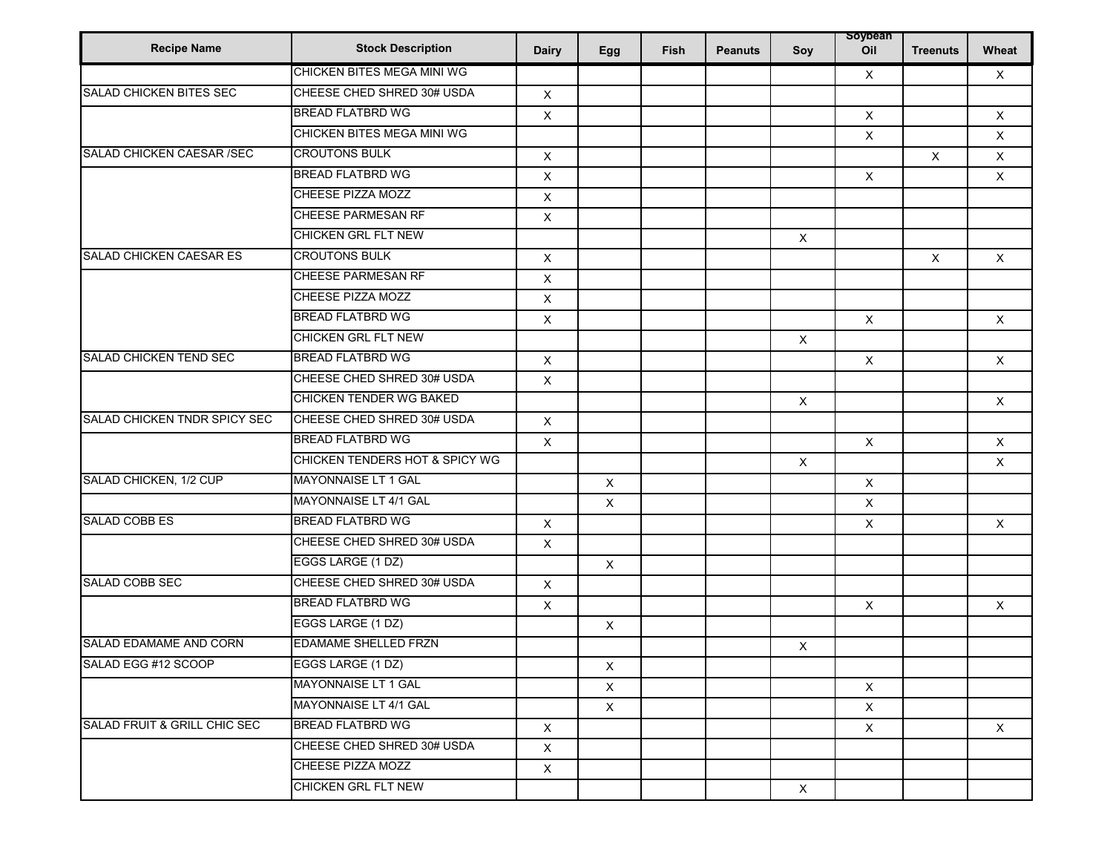| <b>Recipe Name</b>             | <b>Stock Description</b>          | <b>Dairy</b>              | Egg          | Fish | <b>Peanuts</b> | Soy                       | soybean<br>Oil            | <b>Treenuts</b> | Wheat          |
|--------------------------------|-----------------------------------|---------------------------|--------------|------|----------------|---------------------------|---------------------------|-----------------|----------------|
|                                | CHICKEN BITES MEGA MINI WG        |                           |              |      |                |                           | $\mathsf{X}$              |                 | $\mathsf{X}$   |
| <b>SALAD CHICKEN BITES SEC</b> | CHEESE CHED SHRED 30# USDA        | X                         |              |      |                |                           |                           |                 |                |
|                                | <b>BREAD FLATBRD WG</b>           | X                         |              |      |                |                           | $\mathsf X$               |                 | X              |
|                                | <b>CHICKEN BITES MEGA MINI WG</b> |                           |              |      |                |                           | $\mathsf X$               |                 | X              |
| SALAD CHICKEN CAESAR / SEC     | <b>CROUTONS BULK</b>              | $\mathsf X$               |              |      |                |                           |                           | $\mathsf X$     | $\mathsf{X}$   |
|                                | <b>BREAD FLATBRD WG</b>           | $\mathsf X$               |              |      |                |                           | $\mathsf X$               |                 | $\mathsf{X}$   |
|                                | CHEESE PIZZA MOZZ                 | X                         |              |      |                |                           |                           |                 |                |
|                                | <b>CHEESE PARMESAN RF</b>         | X                         |              |      |                |                           |                           |                 |                |
|                                | <b>CHICKEN GRL FLT NEW</b>        |                           |              |      |                | $\mathsf X$               |                           |                 |                |
| SALAD CHICKEN CAESAR ES        | <b>CROUTONS BULK</b>              | $\mathsf X$               |              |      |                |                           |                           | $\mathsf{X}$    | $\times$       |
|                                | CHEESE PARMESAN RF                | X                         |              |      |                |                           |                           |                 |                |
|                                | <b>CHEESE PIZZA MOZZ</b>          | X                         |              |      |                |                           |                           |                 |                |
|                                | <b>BREAD FLATBRD WG</b>           | X                         |              |      |                |                           | $\times$                  |                 | $\mathsf{X}$   |
|                                | <b>CHICKEN GRL FLT NEW</b>        |                           |              |      |                | $\boldsymbol{\mathsf{X}}$ |                           |                 |                |
| <b>SALAD CHICKEN TEND SEC</b>  | <b>BREAD FLATBRD WG</b>           | X                         |              |      |                |                           | $\boldsymbol{\mathsf{X}}$ |                 | $\pmb{\times}$ |
|                                | CHEESE CHED SHRED 30# USDA        | $\mathsf X$               |              |      |                |                           |                           |                 |                |
|                                | <b>CHICKEN TENDER WG BAKED</b>    |                           |              |      |                | $\times$                  |                           |                 | $\mathsf{X}$   |
| SALAD CHICKEN TNDR SPICY SEC   | CHEESE CHED SHRED 30# USDA        | X                         |              |      |                |                           |                           |                 |                |
|                                | <b>BREAD FLATBRD WG</b>           | $\boldsymbol{\mathsf{X}}$ |              |      |                |                           | $\boldsymbol{\mathsf{X}}$ |                 | $\mathsf{X}$   |
|                                | CHICKEN TENDERS HOT & SPICY WG    |                           |              |      |                | $\boldsymbol{\mathsf{X}}$ |                           |                 | X              |
| SALAD CHICKEN, 1/2 CUP         | MAYONNAISE LT 1 GAL               |                           | X            |      |                |                           | $\mathsf X$               |                 |                |
|                                | MAYONNAISE LT 4/1 GAL             |                           | $\mathsf X$  |      |                |                           | $\pmb{\times}$            |                 |                |
| SALAD COBB ES                  | <b>BREAD FLATBRD WG</b>           | $\mathsf X$               |              |      |                |                           | $\mathsf{X}$              |                 | $\mathsf{X}$   |
|                                | CHEESE CHED SHRED 30# USDA        | X                         |              |      |                |                           |                           |                 |                |
|                                | EGGS LARGE (1 DZ)                 |                           | X            |      |                |                           |                           |                 |                |
| <b>SALAD COBB SEC</b>          | CHEESE CHED SHRED 30# USDA        | $\mathsf{X}$              |              |      |                |                           |                           |                 |                |
|                                | <b>BREAD FLATBRD WG</b>           | X                         |              |      |                |                           | X                         |                 | X              |
|                                | EGGS LARGE (1 DZ)                 |                           | X            |      |                |                           |                           |                 |                |
| SALAD EDAMAME AND CORN         | <b>EDAMAME SHELLED FRZN</b>       |                           |              |      |                | $\boldsymbol{\mathsf{X}}$ |                           |                 |                |
| SALAD EGG #12 SCOOP            | EGGS LARGE (1 DZ)                 |                           | X            |      |                |                           |                           |                 |                |
|                                | MAYONNAISE LT 1 GAL               |                           | $\mathsf{X}$ |      |                |                           | $\times$                  |                 |                |
|                                | <b>MAYONNAISE LT 4/1 GAL</b>      |                           | $\mathsf{X}$ |      |                |                           | $\mathsf{X}$              |                 |                |
| SALAD FRUIT & GRILL CHIC SEC   | <b>BREAD FLATBRD WG</b>           | $\mathsf{X}$              |              |      |                |                           | $\mathsf{X}$              |                 | $\times$       |
|                                | CHEESE CHED SHRED 30# USDA        | X                         |              |      |                |                           |                           |                 |                |
|                                | CHEESE PIZZA MOZZ                 | $\mathsf{X}$              |              |      |                |                           |                           |                 |                |
|                                | <b>CHICKEN GRL FLT NEW</b>        |                           |              |      |                | $\mathsf{X}$              |                           |                 |                |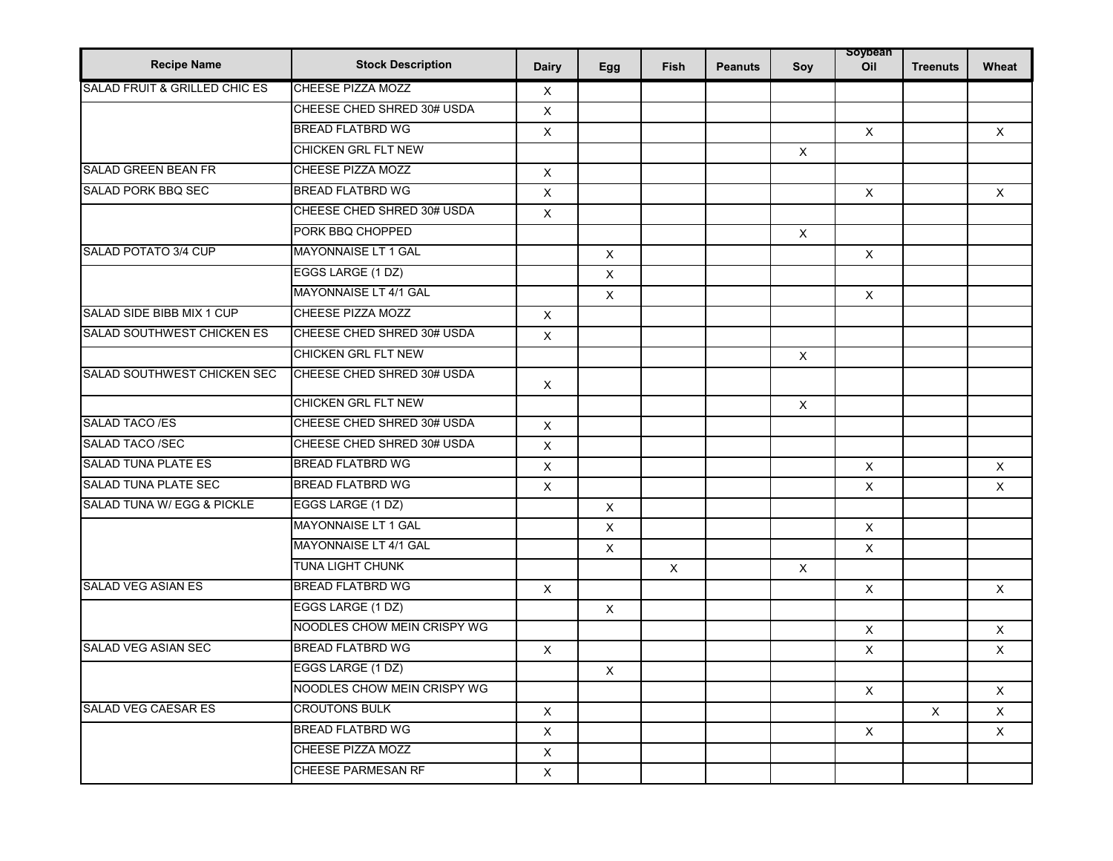| <b>Recipe Name</b>                       | <b>Stock Description</b>    | <b>Dairy</b>              | Egg            | <b>Fish</b>  | <b>Peanuts</b> | Soy                       | soybean<br>Oil | <b>Treenuts</b> | Wheat    |
|------------------------------------------|-----------------------------|---------------------------|----------------|--------------|----------------|---------------------------|----------------|-----------------|----------|
| <b>SALAD FRUIT &amp; GRILLED CHIC ES</b> | CHEESE PIZZA MOZZ           | $\times$                  |                |              |                |                           |                |                 |          |
|                                          | CHEESE CHED SHRED 30# USDA  | X                         |                |              |                |                           |                |                 |          |
|                                          | <b>BREAD FLATBRD WG</b>     | $\pmb{\times}$            |                |              |                |                           | $\mathsf{X}$   |                 | $\times$ |
|                                          | CHICKEN GRL FLT NEW         |                           |                |              |                | $\times$                  |                |                 |          |
| <b>SALAD GREEN BEAN FR</b>               | <b>CHEESE PIZZA MOZZ</b>    | X                         |                |              |                |                           |                |                 |          |
| <b>SALAD PORK BBQ SEC</b>                | <b>BREAD FLATBRD WG</b>     | $\mathsf X$               |                |              |                |                           | $\times$       |                 | $\times$ |
|                                          | CHEESE CHED SHRED 30# USDA  | $\mathsf X$               |                |              |                |                           |                |                 |          |
|                                          | PORK BBQ CHOPPED            |                           |                |              |                | X                         |                |                 |          |
| SALAD POTATO 3/4 CUP                     | MAYONNAISE LT 1 GAL         |                           | X              |              |                |                           | $\times$       |                 |          |
|                                          | EGGS LARGE (1 DZ)           |                           | X              |              |                |                           |                |                 |          |
|                                          | MAYONNAISE LT 4/1 GAL       |                           | $\times$       |              |                |                           | $\times$       |                 |          |
| SALAD SIDE BIBB MIX 1 CUP                | CHEESE PIZZA MOZZ           | X                         |                |              |                |                           |                |                 |          |
| SALAD SOUTHWEST CHICKEN ES               | CHEESE CHED SHRED 30# USDA  | X                         |                |              |                |                           |                |                 |          |
|                                          | <b>CHICKEN GRL FLT NEW</b>  |                           |                |              |                | $\boldsymbol{\mathsf{X}}$ |                |                 |          |
| SALAD SOUTHWEST CHICKEN SEC              | CHEESE CHED SHRED 30# USDA  | X                         |                |              |                |                           |                |                 |          |
|                                          | CHICKEN GRL FLT NEW         |                           |                |              |                | X                         |                |                 |          |
| SALAD TACO /ES                           | CHEESE CHED SHRED 30# USDA  | X                         |                |              |                |                           |                |                 |          |
| <b>SALAD TACO /SEC</b>                   | CHEESE CHED SHRED 30# USDA  | $\pmb{\times}$            |                |              |                |                           |                |                 |          |
| <b>SALAD TUNA PLATE ES</b>               | <b>BREAD FLATBRD WG</b>     | $\boldsymbol{\mathsf{X}}$ |                |              |                |                           | $\times$       |                 | X        |
| <b>SALAD TUNA PLATE SEC</b>              | <b>BREAD FLATBRD WG</b>     | X                         |                |              |                |                           | $\times$       |                 | $\times$ |
| SALAD TUNA W/ EGG & PICKLE               | EGGS LARGE (1 DZ)           |                           | $\times$       |              |                |                           |                |                 |          |
|                                          | <b>MAYONNAISE LT 1 GAL</b>  |                           | $\pmb{\times}$ |              |                |                           | $\mathsf{X}$   |                 |          |
|                                          | MAYONNAISE LT 4/1 GAL       |                           | $\times$       |              |                |                           | $\times$       |                 |          |
|                                          | <b>TUNA LIGHT CHUNK</b>     |                           |                | $\mathsf{X}$ |                | $\times$                  |                |                 |          |
| SALAD VEG ASIAN ES                       | <b>BREAD FLATBRD WG</b>     | $\times$                  |                |              |                |                           | $\times$       |                 | $\times$ |
|                                          | EGGS LARGE (1 DZ)           |                           | X              |              |                |                           |                |                 |          |
|                                          | NOODLES CHOW MEIN CRISPY WG |                           |                |              |                |                           | $\times$       |                 | $\times$ |
| <b>SALAD VEG ASIAN SEC</b>               | <b>BREAD FLATBRD WG</b>     | $\times$                  |                |              |                |                           | X              |                 | $\times$ |
|                                          | EGGS LARGE (1 DZ)           |                           | $\mathsf{X}$   |              |                |                           |                |                 |          |
|                                          | NOODLES CHOW MEIN CRISPY WG |                           |                |              |                |                           | $\mathsf{X}$   |                 | X        |
| <b>SALAD VEG CAESAR ES</b>               | <b>CROUTONS BULK</b>        | $\mathsf X$               |                |              |                |                           |                | $\times$        | $\times$ |
|                                          | <b>BREAD FLATBRD WG</b>     | X                         |                |              |                |                           | $\mathsf{X}$   |                 | X        |
|                                          | <b>CHEESE PIZZA MOZZ</b>    | X                         |                |              |                |                           |                |                 |          |
|                                          | <b>CHEESE PARMESAN RF</b>   | X                         |                |              |                |                           |                |                 |          |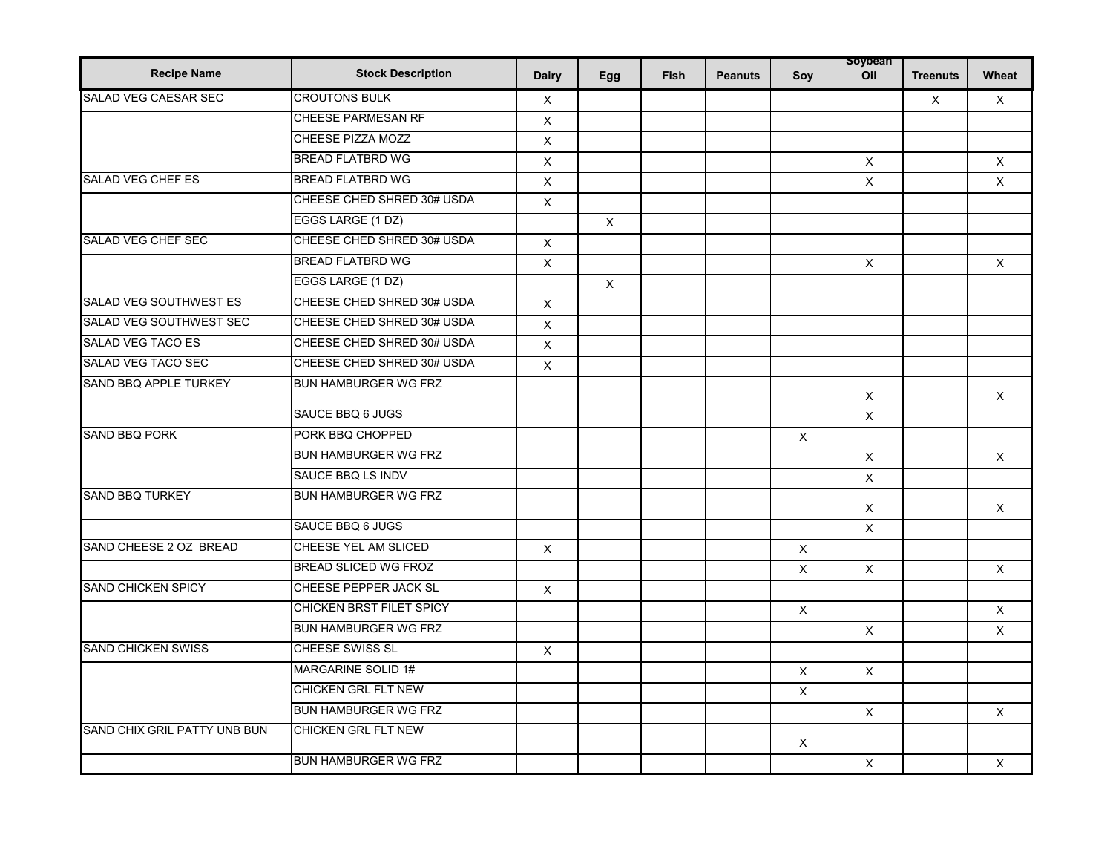| <b>Recipe Name</b>             | <b>Stock Description</b>        | <b>Dairy</b> | Egg          | Fish | <b>Peanuts</b> | Soy            | soybean<br>Oil | <b>Treenuts</b> | Wheat        |
|--------------------------------|---------------------------------|--------------|--------------|------|----------------|----------------|----------------|-----------------|--------------|
| SALAD VEG CAESAR SEC           | <b>CROUTONS BULK</b>            | $\mathsf X$  |              |      |                |                |                | $\mathsf{X}$    | $\mathsf{X}$ |
|                                | <b>CHEESE PARMESAN RF</b>       | X            |              |      |                |                |                |                 |              |
|                                | CHEESE PIZZA MOZZ               | $\mathsf X$  |              |      |                |                |                |                 |              |
|                                | <b>BREAD FLATBRD WG</b>         | $\times$     |              |      |                |                | X              |                 | X            |
| <b>SALAD VEG CHEF ES</b>       | <b>BREAD FLATBRD WG</b>         | $\mathsf X$  |              |      |                |                | $\mathsf X$    |                 | X            |
|                                | CHEESE CHED SHRED 30# USDA      | X            |              |      |                |                |                |                 |              |
|                                | EGGS LARGE (1 DZ)               |              | $\mathsf{X}$ |      |                |                |                |                 |              |
| SALAD VEG CHEF SEC             | CHEESE CHED SHRED 30# USDA      | $\times$     |              |      |                |                |                |                 |              |
|                                | <b>BREAD FLATBRD WG</b>         | $\mathsf X$  |              |      |                |                | $\mathsf{X}$   |                 | X.           |
|                                | EGGS LARGE (1 DZ)               |              | $\mathsf{X}$ |      |                |                |                |                 |              |
| <b>SALAD VEG SOUTHWEST ES</b>  | CHEESE CHED SHRED 30# USDA      | $\mathsf{X}$ |              |      |                |                |                |                 |              |
| <b>SALAD VEG SOUTHWEST SEC</b> | CHEESE CHED SHRED 30# USDA      | X            |              |      |                |                |                |                 |              |
| SALAD VEG TACO ES              | CHEESE CHED SHRED 30# USDA      | $\mathsf X$  |              |      |                |                |                |                 |              |
| SALAD VEG TACO SEC             | CHEESE CHED SHRED 30# USDA      | $\times$     |              |      |                |                |                |                 |              |
| SAND BBQ APPLE TURKEY          | BUN HAMBURGER WG FRZ            |              |              |      |                |                | X              |                 | X.           |
|                                | <b>SAUCE BBQ 6 JUGS</b>         |              |              |      |                |                | X              |                 |              |
| <b>SAND BBQ PORK</b>           | PORK BBQ CHOPPED                |              |              |      |                | $\times$       |                |                 |              |
|                                | <b>BUN HAMBURGER WG FRZ</b>     |              |              |      |                |                | $\mathsf{X}$   |                 | $\mathsf{x}$ |
|                                | SAUCE BBQ LS INDV               |              |              |      |                |                | X              |                 |              |
| <b>SAND BBQ TURKEY</b>         | <b>BUN HAMBURGER WG FRZ</b>     |              |              |      |                |                | X              |                 | X.           |
|                                | <b>SAUCE BBQ 6 JUGS</b>         |              |              |      |                |                | $\times$       |                 |              |
| SAND CHEESE 2 OZ BREAD         | CHEESE YEL AM SLICED            | X            |              |      |                | X              |                |                 |              |
|                                | <b>BREAD SLICED WG FROZ</b>     |              |              |      |                | $\times$       | $\mathsf{X}$   |                 | X            |
| <b>SAND CHICKEN SPICY</b>      | CHEESE PEPPER JACK SL           | $\mathsf{X}$ |              |      |                |                |                |                 |              |
|                                | <b>CHICKEN BRST FILET SPICY</b> |              |              |      |                | X              |                |                 | X            |
|                                | <b>BUN HAMBURGER WG FRZ</b>     |              |              |      |                |                | $\mathsf{X}$   |                 | $\mathsf{X}$ |
| <b>SAND CHICKEN SWISS</b>      | CHEESE SWISS SL                 | $\times$     |              |      |                |                |                |                 |              |
|                                | MARGARINE SOLID 1#              |              |              |      |                | $\pmb{\times}$ | $\mathsf{X}$   |                 |              |
|                                | CHICKEN GRL FLT NEW             |              |              |      |                | X              |                |                 |              |
|                                | BUN HAMBURGER WG FRZ            |              |              |      |                |                | X              |                 | X            |
| SAND CHIX GRIL PATTY UNB BUN   | <b>CHICKEN GRL FLT NEW</b>      |              |              |      |                | X              |                |                 |              |
|                                | <b>BUN HAMBURGER WG FRZ</b>     |              |              |      |                |                | $\mathsf X$    |                 | $\times$     |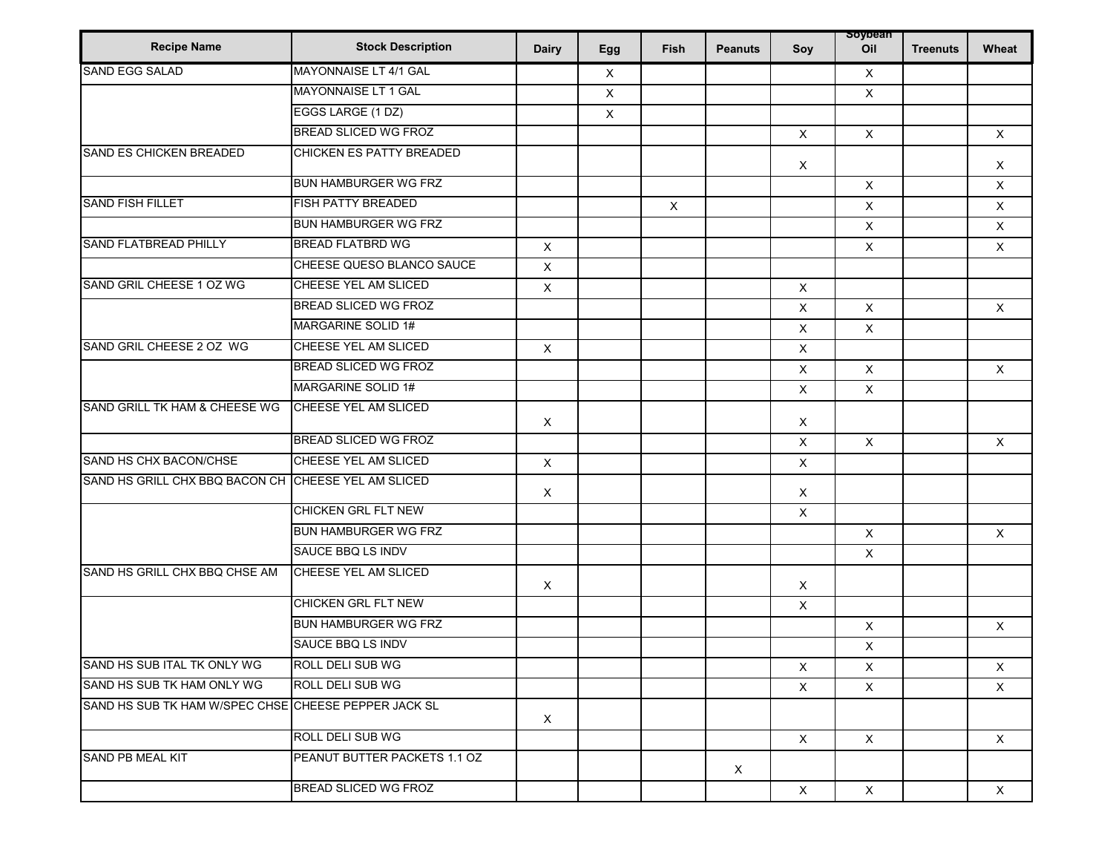| <b>Recipe Name</b>                                   | <b>Stock Description</b>     | <b>Dairy</b>              | Egg         | <b>Fish</b>    | <b>Peanuts</b> | Soy                       | soypean<br>Oil | <b>Treenuts</b> | Wheat        |
|------------------------------------------------------|------------------------------|---------------------------|-------------|----------------|----------------|---------------------------|----------------|-----------------|--------------|
| <b>SAND EGG SALAD</b>                                | MAYONNAISE LT 4/1 GAL        |                           | X           |                |                |                           | X              |                 |              |
|                                                      | MAYONNAISE LT 1 GAL          |                           | $\mathsf X$ |                |                |                           | $\mathsf{X}$   |                 |              |
|                                                      | EGGS LARGE (1 DZ)            |                           | $\mathsf X$ |                |                |                           |                |                 |              |
|                                                      | <b>BREAD SLICED WG FROZ</b>  |                           |             |                |                | $\boldsymbol{\mathsf{X}}$ | $\mathsf{X}$   |                 | $\times$     |
| <b>SAND ES CHICKEN BREADED</b>                       | CHICKEN ES PATTY BREADED     |                           |             |                |                | $\times$                  |                |                 | $\mathsf X$  |
|                                                      | BUN HAMBURGER WG FRZ         |                           |             |                |                |                           | $\mathsf X$    |                 | $\mathsf{X}$ |
| <b>SAND FISH FILLET</b>                              | <b>FISH PATTY BREADED</b>    |                           |             | $\pmb{\times}$ |                |                           | $\pmb{\times}$ |                 | $\mathsf{X}$ |
|                                                      | BUN HAMBURGER WG FRZ         |                           |             |                |                |                           | $\mathsf{X}$   |                 | $\mathsf X$  |
| <b>SAND FLATBREAD PHILLY</b>                         | <b>BREAD FLATBRD WG</b>      | $\mathsf X$               |             |                |                |                           | $\mathsf{X}$   |                 | $\mathsf{X}$ |
|                                                      | CHEESE QUESO BLANCO SAUCE    | X                         |             |                |                |                           |                |                 |              |
| SAND GRIL CHEESE 1 OZ WG                             | CHEESE YEL AM SLICED         | X                         |             |                |                | $\boldsymbol{\mathsf{X}}$ |                |                 |              |
|                                                      | <b>BREAD SLICED WG FROZ</b>  |                           |             |                |                | $\pmb{\times}$            | $\mathsf X$    |                 | $\mathsf{X}$ |
|                                                      | MARGARINE SOLID 1#           |                           |             |                |                | $\mathsf X$               | $\times$       |                 |              |
| SAND GRIL CHEESE 2 OZ WG                             | CHEESE YEL AM SLICED         | $\boldsymbol{\mathsf{X}}$ |             |                |                | $\pmb{\times}$            |                |                 |              |
|                                                      | <b>BREAD SLICED WG FROZ</b>  |                           |             |                |                | X                         | $\mathsf{X}$   |                 | $\times$     |
|                                                      | <b>MARGARINE SOLID 1#</b>    |                           |             |                |                | X                         | $\mathsf{X}$   |                 |              |
| SAND GRILL TK HAM & CHEESE WG                        | CHEESE YEL AM SLICED         | $\times$                  |             |                |                | $\times$                  |                |                 |              |
|                                                      | <b>BREAD SLICED WG FROZ</b>  |                           |             |                |                | $\pmb{\times}$            | $\mathsf X$    |                 | $\mathsf{X}$ |
| SAND HS CHX BACON/CHSE                               | CHEESE YEL AM SLICED         | X                         |             |                |                | X                         |                |                 |              |
| SAND HS GRILL CHX BBQ BACON CH CHEESE YEL AM SLICED  |                              | $\boldsymbol{\mathsf{X}}$ |             |                |                | X                         |                |                 |              |
|                                                      | <b>CHICKEN GRL FLT NEW</b>   |                           |             |                |                | X                         |                |                 |              |
|                                                      | BUN HAMBURGER WG FRZ         |                           |             |                |                |                           | $\mathsf X$    |                 | $\mathsf{X}$ |
|                                                      | SAUCE BBQ LS INDV            |                           |             |                |                |                           | $\mathsf{X}$   |                 |              |
| SAND HS GRILL CHX BBQ CHSE AM                        | CHEESE YEL AM SLICED         | $\boldsymbol{\mathsf{X}}$ |             |                |                | X                         |                |                 |              |
|                                                      | <b>CHICKEN GRL FLT NEW</b>   |                           |             |                |                | X                         |                |                 |              |
|                                                      | <b>BUN HAMBURGER WG FRZ</b>  |                           |             |                |                |                           | X              |                 | $\mathsf{X}$ |
|                                                      | <b>SAUCE BBQ LS INDV</b>     |                           |             |                |                |                           | $\mathsf X$    |                 |              |
| SAND HS SUB ITAL TK ONLY WG                          | ROLL DELI SUB WG             |                           |             |                |                | $\mathsf{X}$              | $\times$       |                 | X            |
| SAND HS SUB TK HAM ONLY WG                           | ROLL DELI SUB WG             |                           |             |                |                | $\times$                  | $\times$       |                 | $\mathsf{X}$ |
| SAND HS SUB TK HAM W/SPEC CHSE CHEESE PEPPER JACK SL |                              | $\mathsf{X}$              |             |                |                |                           |                |                 |              |
|                                                      | ROLL DELI SUB WG             |                           |             |                |                | $\mathsf{X}$              | $\mathsf{X}$   |                 | $\mathsf{X}$ |
| SAND PB MEAL KIT                                     | PEANUT BUTTER PACKETS 1.1 OZ |                           |             |                | $\mathsf{x}$   |                           |                |                 |              |
|                                                      | BREAD SLICED WG FROZ         |                           |             |                |                | $\mathsf X$               | $\mathsf{X}$   |                 | X            |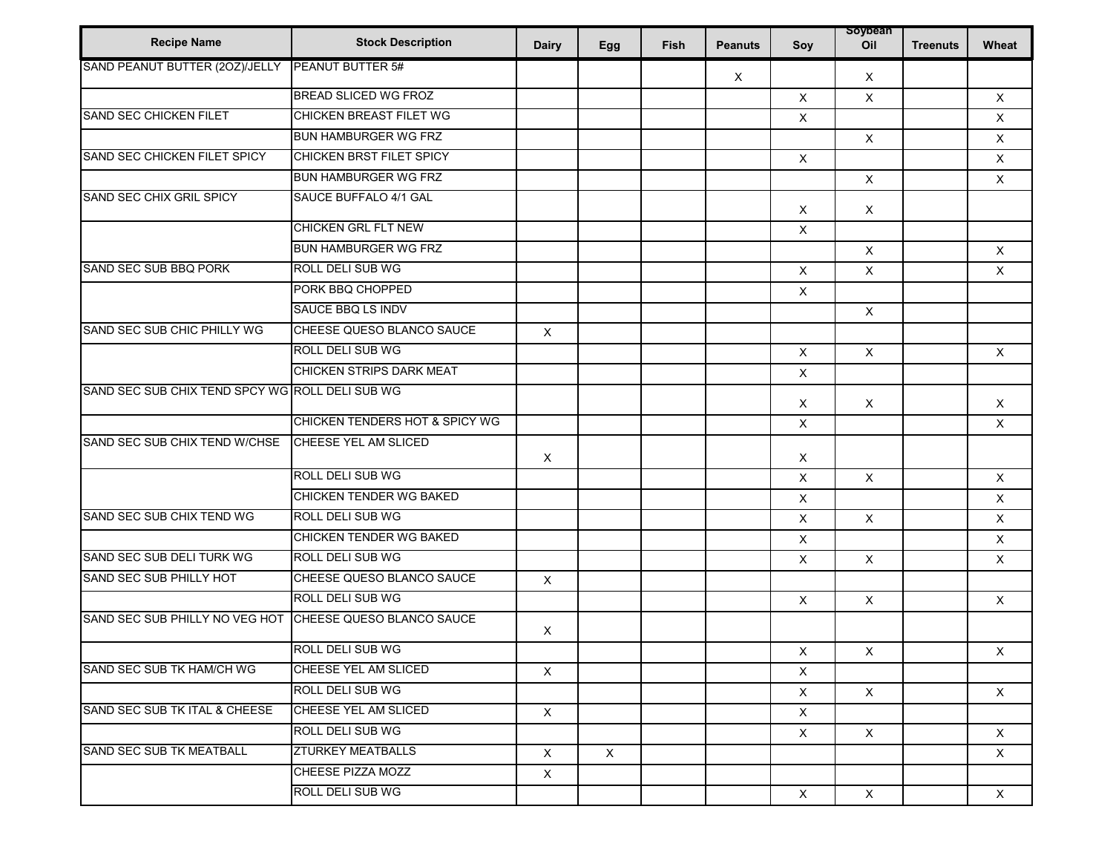| <b>Recipe Name</b>                              | <b>Stock Description</b>       | <b>Dairy</b> | Egg          | Fish | <b>Peanuts</b> | Soy                       | soypean<br>Oil | <b>Treenuts</b> | Wheat        |
|-------------------------------------------------|--------------------------------|--------------|--------------|------|----------------|---------------------------|----------------|-----------------|--------------|
| SAND PEANUT BUTTER (20Z)/JELLY                  | <b>PEANUT BUTTER 5#</b>        |              |              |      | X              |                           | $\times$       |                 |              |
|                                                 | <b>BREAD SLICED WG FROZ</b>    |              |              |      |                | $\boldsymbol{\mathsf{X}}$ | $\mathsf{X}$   |                 | X            |
| <b>SAND SEC CHICKEN FILET</b>                   | <b>CHICKEN BREAST FILET WG</b> |              |              |      |                | $\boldsymbol{\mathsf{X}}$ |                |                 | $\mathsf{X}$ |
|                                                 | <b>BUN HAMBURGER WG FRZ</b>    |              |              |      |                |                           | $\times$       |                 | $\mathsf X$  |
| SAND SEC CHICKEN FILET SPICY                    | CHICKEN BRST FILET SPICY       |              |              |      |                | $\mathsf X$               |                |                 | $\mathsf{X}$ |
|                                                 | <b>BUN HAMBURGER WG FRZ</b>    |              |              |      |                |                           | X              |                 | $\mathsf X$  |
| <b>SAND SEC CHIX GRIL SPICY</b>                 | SAUCE BUFFALO 4/1 GAL          |              |              |      |                | $\times$                  | $\times$       |                 |              |
|                                                 | CHICKEN GRL FLT NEW            |              |              |      |                | $\boldsymbol{\mathsf{X}}$ |                |                 |              |
|                                                 | <b>BUN HAMBURGER WG FRZ</b>    |              |              |      |                |                           | $\mathsf X$    |                 | $\mathsf X$  |
| SAND SEC SUB BBQ PORK                           | ROLL DELI SUB WG               |              |              |      |                | $\boldsymbol{\mathsf{X}}$ | $\pmb{\times}$ |                 | $\mathsf X$  |
|                                                 | PORK BBQ CHOPPED               |              |              |      |                | $\boldsymbol{\mathsf{X}}$ |                |                 |              |
|                                                 | SAUCE BBQ LS INDV              |              |              |      |                |                           | $\mathsf X$    |                 |              |
| SAND SEC SUB CHIC PHILLY WG                     | CHEESE QUESO BLANCO SAUCE      | X            |              |      |                |                           |                |                 |              |
|                                                 | ROLL DELI SUB WG               |              |              |      |                | $\mathsf X$               | $\mathsf X$    |                 | $\mathsf{X}$ |
|                                                 | CHICKEN STRIPS DARK MEAT       |              |              |      |                | $\boldsymbol{\mathsf{X}}$ |                |                 |              |
| SAND SEC SUB CHIX TEND SPCY WG ROLL DELI SUB WG |                                |              |              |      |                | Χ                         | X              |                 | $\mathsf X$  |
|                                                 | CHICKEN TENDERS HOT & SPICY WG |              |              |      |                | $\boldsymbol{\mathsf{X}}$ |                |                 | X            |
| SAND SEC SUB CHIX TEND W/CHSE                   | CHEESE YEL AM SLICED           | $\times$     |              |      |                | $\boldsymbol{\mathsf{X}}$ |                |                 |              |
|                                                 | ROLL DELI SUB WG               |              |              |      |                | $\mathsf X$               | $\mathsf{X}$   |                 | $\mathsf{X}$ |
|                                                 | CHICKEN TENDER WG BAKED        |              |              |      |                | $\boldsymbol{\mathsf{X}}$ |                |                 | $\mathsf{X}$ |
| SAND SEC SUB CHIX TEND WG                       | ROLL DELI SUB WG               |              |              |      |                | $\boldsymbol{\mathsf{X}}$ | $\mathsf{X}$   |                 | $\mathsf X$  |
|                                                 | CHICKEN TENDER WG BAKED        |              |              |      |                | $\times$                  |                |                 | $\mathsf{X}$ |
| SAND SEC SUB DELI TURK WG                       | <b>ROLL DELI SUB WG</b>        |              |              |      |                | X                         | $\pmb{\times}$ |                 | $\mathsf X$  |
| SAND SEC SUB PHILLY HOT                         | CHEESE QUESO BLANCO SAUCE      | $\mathsf X$  |              |      |                |                           |                |                 |              |
|                                                 | ROLL DELI SUB WG               |              |              |      |                | $\boldsymbol{\mathsf{X}}$ | $\mathsf{X}$   |                 | $\mathsf{X}$ |
| SAND SEC SUB PHILLY NO VEG HOT                  | CHEESE QUESO BLANCO SAUCE      | $\times$     |              |      |                |                           |                |                 |              |
|                                                 | <b>ROLL DELI SUB WG</b>        |              |              |      |                | Χ                         | X              |                 | X            |
| SAND SEC SUB TK HAM/CH WG                       | CHEESE YEL AM SLICED           | $\times$     |              |      |                | $\boldsymbol{\mathsf{X}}$ |                |                 |              |
|                                                 | ROLL DELI SUB WG               |              |              |      |                | $\mathsf{X}$              | $\times$       |                 | $\mathsf{X}$ |
| SAND SEC SUB TK ITAL & CHEESE                   | CHEESE YEL AM SLICED           | $\times$     |              |      |                | $\mathsf{X}$              |                |                 |              |
|                                                 | <b>ROLL DELI SUB WG</b>        |              |              |      |                | $\mathsf{X}$              | $\mathsf{X}$   |                 | $\mathsf{X}$ |
| SAND SEC SUB TK MEATBALL                        | <b>ZTURKEY MEATBALLS</b>       | $\times$     | $\mathsf{X}$ |      |                |                           |                |                 | $\times$     |
|                                                 | CHEESE PIZZA MOZZ              | $\mathsf X$  |              |      |                |                           |                |                 |              |
|                                                 | <b>ROLL DELI SUB WG</b>        |              |              |      |                | $\mathsf{X}$              | $\mathsf{X}$   |                 | $\mathsf{X}$ |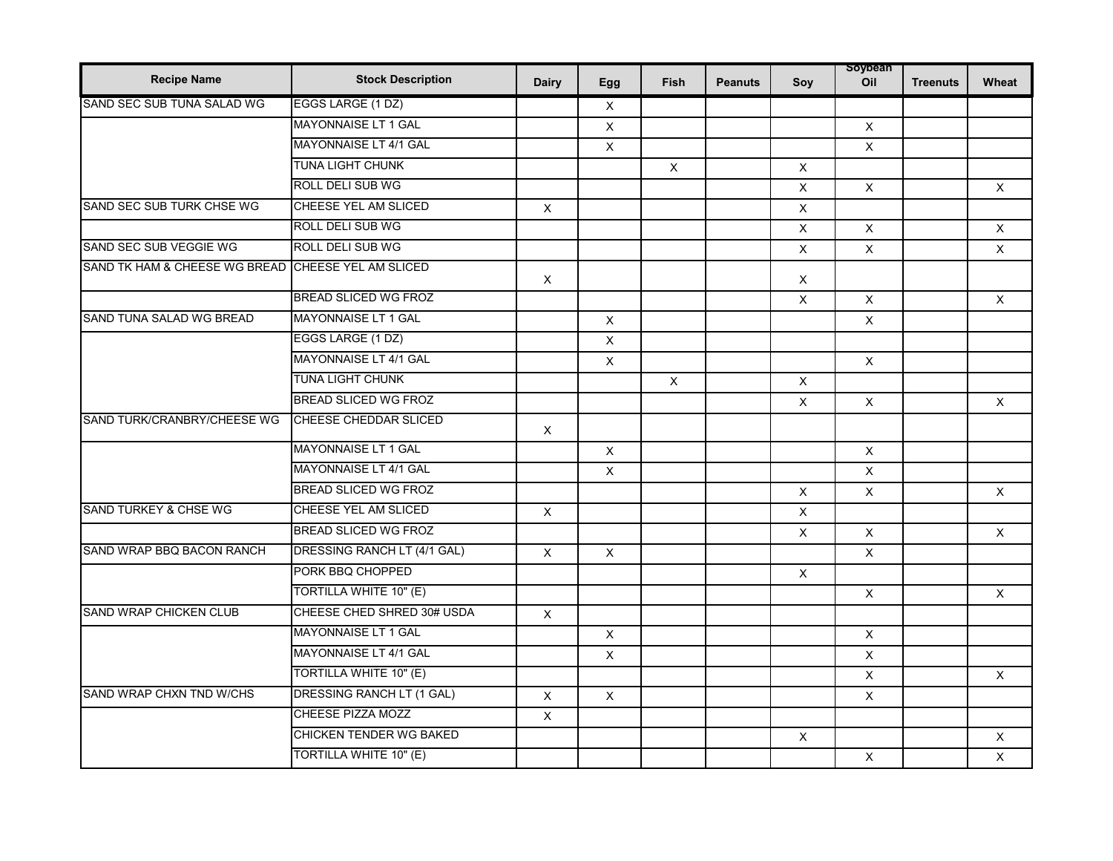| <b>Recipe Name</b>               | <b>Stock Description</b>       | <b>Dairy</b>   | Egg            | Fish         | <b>Peanuts</b> | Soy            | soypean<br>Oil | <b>Treenuts</b> | Wheat        |
|----------------------------------|--------------------------------|----------------|----------------|--------------|----------------|----------------|----------------|-----------------|--------------|
| SAND SEC SUB TUNA SALAD WG       | EGGS LARGE (1 DZ)              |                | $\mathsf X$    |              |                |                |                |                 |              |
|                                  | MAYONNAISE LT 1 GAL            |                | $\times$       |              |                |                | $\times$       |                 |              |
|                                  | MAYONNAISE LT 4/1 GAL          |                | $\mathsf{X}$   |              |                |                | $\times$       |                 |              |
|                                  | <b>TUNA LIGHT CHUNK</b>        |                |                | $\mathsf X$  |                | $\mathsf X$    |                |                 |              |
|                                  | ROLL DELI SUB WG               |                |                |              |                | X              | $\times$       |                 | $\times$     |
| SAND SEC SUB TURK CHSE WG        | CHEESE YEL AM SLICED           | $\mathsf{X}$   |                |              |                | $\pmb{\times}$ |                |                 |              |
|                                  | ROLL DELI SUB WG               |                |                |              |                | $\pmb{\times}$ | $\mathsf{X}$   |                 | $\mathsf{X}$ |
| SAND SEC SUB VEGGIE WG           | <b>ROLL DELI SUB WG</b>        |                |                |              |                | $\times$       | $\times$       |                 | $\times$     |
| SAND TK HAM & CHEESE WG BREAD    | CHEESE YEL AM SLICED           | $\times$       |                |              |                | $\times$       |                |                 |              |
|                                  | <b>BREAD SLICED WG FROZ</b>    |                |                |              |                | X              | $\times$       |                 | $\times$     |
| SAND TUNA SALAD WG BREAD         | <b>MAYONNAISE LT 1 GAL</b>     |                | $\pmb{\times}$ |              |                |                | $\times$       |                 |              |
|                                  | EGGS LARGE (1 DZ)              |                | $\mathsf X$    |              |                |                |                |                 |              |
|                                  | MAYONNAISE LT 4/1 GAL          |                | $\times$       |              |                |                | $\mathsf{X}$   |                 |              |
|                                  | <b>TUNA LIGHT CHUNK</b>        |                |                | $\mathsf{X}$ |                | $\pmb{\times}$ |                |                 |              |
|                                  | <b>BREAD SLICED WG FROZ</b>    |                |                |              |                | X              | $\mathsf X$    |                 | $\mathsf{X}$ |
| SAND TURK/CRANBRY/CHEESE WG      | CHEESE CHEDDAR SLICED          | $\mathsf X$    |                |              |                |                |                |                 |              |
|                                  | <b>MAYONNAISE LT 1 GAL</b>     |                | $\mathsf X$    |              |                |                | $\mathsf X$    |                 |              |
|                                  | MAYONNAISE LT 4/1 GAL          |                | $\mathsf X$    |              |                |                | $\times$       |                 |              |
|                                  | <b>BREAD SLICED WG FROZ</b>    |                |                |              |                | $\mathsf{X}$   | $\mathsf X$    |                 | $\mathsf{X}$ |
| <b>SAND TURKEY &amp; CHSE WG</b> | <b>CHEESE YEL AM SLICED</b>    | $\mathsf X$    |                |              |                | X              |                |                 |              |
|                                  | <b>BREAD SLICED WG FROZ</b>    |                |                |              |                | $\pmb{\times}$ | $\times$       |                 | $\times$     |
| SAND WRAP BBQ BACON RANCH        | DRESSING RANCH LT (4/1 GAL)    | $\pmb{\times}$ | $\mathsf X$    |              |                |                | X              |                 |              |
|                                  | PORK BBQ CHOPPED               |                |                |              |                | X              |                |                 |              |
|                                  | TORTILLA WHITE 10" (E)         |                |                |              |                |                | $\times$       |                 | $\times$     |
| <b>SAND WRAP CHICKEN CLUB</b>    | CHEESE CHED SHRED 30# USDA     | $\mathsf X$    |                |              |                |                |                |                 |              |
|                                  | MAYONNAISE LT 1 GAL            |                | $\mathsf X$    |              |                |                | $\times$       |                 |              |
|                                  | <b>MAYONNAISE LT 4/1 GAL</b>   |                | $\mathsf X$    |              |                |                | $\pmb{\times}$ |                 |              |
|                                  | TORTILLA WHITE 10" (E)         |                |                |              |                |                | X              |                 | $\times$     |
| SAND WRAP CHXN TND W/CHS         | DRESSING RANCH LT (1 GAL)      | X              | $\mathsf X$    |              |                |                | X.             |                 |              |
|                                  | <b>CHEESE PIZZA MOZZ</b>       | $\mathsf X$    |                |              |                |                |                |                 |              |
|                                  | <b>CHICKEN TENDER WG BAKED</b> |                |                |              |                | $\times$       |                |                 | $\times$     |
|                                  | TORTILLA WHITE 10" (E)         |                |                |              |                |                | $\times$       |                 | X            |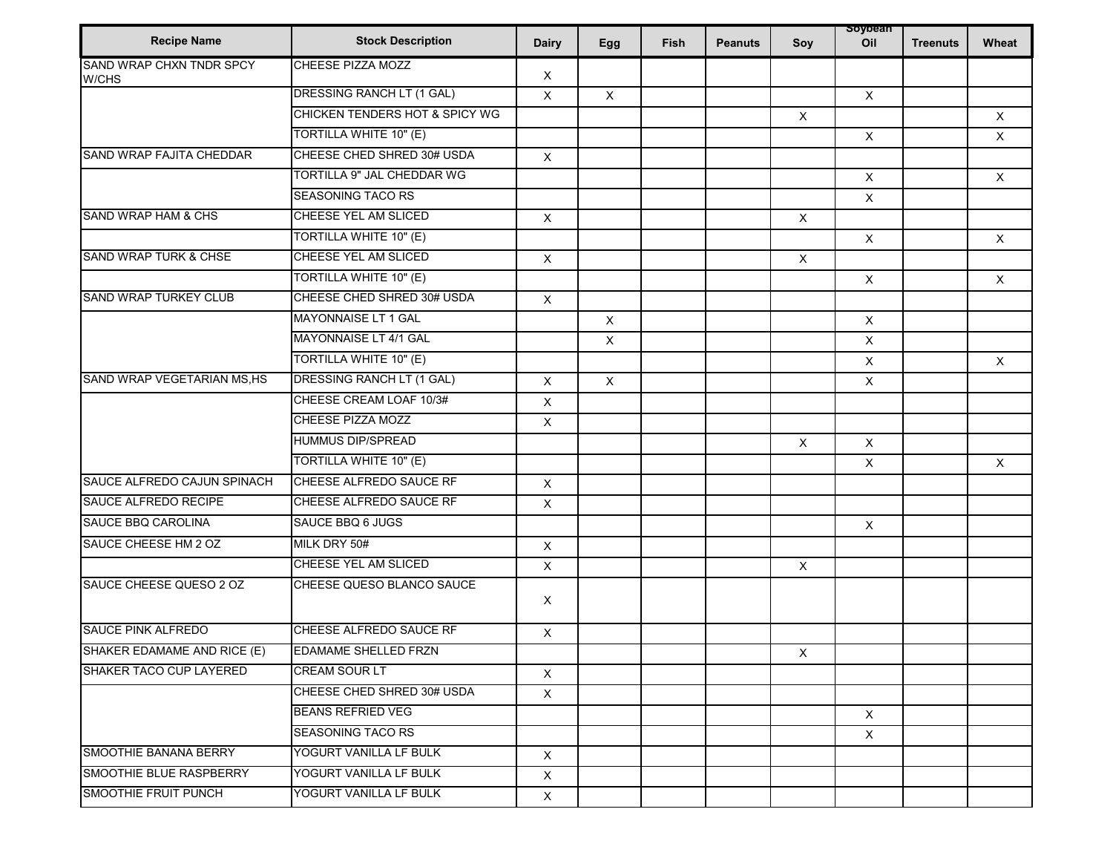| <b>Recipe Name</b>                | <b>Stock Description</b>          | <b>Dairy</b>              | Egg          | Fish | <b>Peanuts</b> | Soy                       | soypean<br>Oil | <b>Treenuts</b> | Wheat    |
|-----------------------------------|-----------------------------------|---------------------------|--------------|------|----------------|---------------------------|----------------|-----------------|----------|
| SAND WRAP CHXN TNDR SPCY<br>W/CHS | <b>CHEESE PIZZA MOZZ</b>          | X                         |              |      |                |                           |                |                 |          |
|                                   | DRESSING RANCH LT (1 GAL)         | $\times$                  | $\mathsf{X}$ |      |                |                           | $\mathsf{X}$   |                 |          |
|                                   | CHICKEN TENDERS HOT & SPICY WG    |                           |              |      |                | $\boldsymbol{\mathsf{X}}$ |                |                 | $\times$ |
|                                   | TORTILLA WHITE 10" (E)            |                           |              |      |                |                           | $\mathsf{X}$   |                 | $\times$ |
| SAND WRAP FAJITA CHEDDAR          | CHEESE CHED SHRED 30# USDA        | $\mathsf X$               |              |      |                |                           |                |                 |          |
|                                   | <b>TORTILLA 9" JAL CHEDDAR WG</b> |                           |              |      |                |                           | $\mathsf{X}$   |                 | $\times$ |
|                                   | SEASONING TACO RS                 |                           |              |      |                |                           | $\mathsf{X}$   |                 |          |
| SAND WRAP HAM & CHS               | CHEESE YEL AM SLICED              | $\mathsf X$               |              |      |                | $\boldsymbol{\mathsf{X}}$ |                |                 |          |
|                                   | TORTILLA WHITE 10" (E)            |                           |              |      |                |                           | $\mathsf{X}$   |                 | $\times$ |
| SAND WRAP TURK & CHSE             | <b>CHEESE YEL AM SLICED</b>       | $\boldsymbol{\mathsf{X}}$ |              |      |                | $\boldsymbol{\mathsf{x}}$ |                |                 |          |
|                                   | TORTILLA WHITE 10" (E)            |                           |              |      |                |                           | $\mathsf{X}$   |                 | $\times$ |
| <b>SAND WRAP TURKEY CLUB</b>      | CHEESE CHED SHRED 30# USDA        | $\mathsf X$               |              |      |                |                           |                |                 |          |
|                                   | <b>MAYONNAISE LT 1 GAL</b>        |                           | $\mathsf X$  |      |                |                           | $\mathsf X$    |                 |          |
|                                   | MAYONNAISE LT 4/1 GAL             |                           | $\mathsf X$  |      |                |                           | $\mathsf X$    |                 |          |
|                                   | TORTILLA WHITE 10" (E)            |                           |              |      |                |                           | $\mathsf{X}$   |                 | $\times$ |
| SAND WRAP VEGETARIAN MS, HS       | DRESSING RANCH LT (1 GAL)         | X                         | X            |      |                |                           | $\times$       |                 |          |
|                                   | CHEESE CREAM LOAF 10/3#           | X                         |              |      |                |                           |                |                 |          |
|                                   | CHEESE PIZZA MOZZ                 | X                         |              |      |                |                           |                |                 |          |
|                                   | <b>HUMMUS DIP/SPREAD</b>          |                           |              |      |                | $\boldsymbol{\mathsf{x}}$ | $\mathsf{X}$   |                 |          |
|                                   | TORTILLA WHITE 10" (E)            |                           |              |      |                |                           | X              |                 | $\times$ |
| SAUCE ALFREDO CAJUN SPINACH       | CHEESE ALFREDO SAUCE RF           | $\mathsf X$               |              |      |                |                           |                |                 |          |
| SAUCE ALFREDO RECIPE              | CHEESE ALFREDO SAUCE RF           | $\mathsf{X}$              |              |      |                |                           |                |                 |          |
| SAUCE BBQ CAROLINA                | SAUCE BBQ 6 JUGS                  |                           |              |      |                |                           | $\times$       |                 |          |
| SAUCE CHEESE HM 2 OZ              | MILK DRY 50#                      | $\mathsf X$               |              |      |                |                           |                |                 |          |
|                                   | CHEESE YEL AM SLICED              | X                         |              |      |                | $\boldsymbol{\mathsf{X}}$ |                |                 |          |
| SAUCE CHEESE QUESO 2 OZ           | CHEESE QUESO BLANCO SAUCE         | X                         |              |      |                |                           |                |                 |          |
| <b>SAUCE PINK ALFREDO</b>         | CHEESE ALFREDO SAUCE RF           | $\pmb{\times}$            |              |      |                |                           |                |                 |          |
| SHAKER EDAMAME AND RICE (E)       | EDAMAME SHELLED FRZN              |                           |              |      |                | $\mathsf X$               |                |                 |          |
| SHAKER TACO CUP LAYERED           | <b>CREAM SOUR LT</b>              | $\boldsymbol{\mathsf{X}}$ |              |      |                |                           |                |                 |          |
|                                   | CHEESE CHED SHRED 30# USDA        | $\times$                  |              |      |                |                           |                |                 |          |
|                                   | <b>BEANS REFRIED VEG</b>          |                           |              |      |                |                           | $\mathsf{X}$   |                 |          |
|                                   | <b>SEASONING TACO RS</b>          |                           |              |      |                |                           | $\times$       |                 |          |
| SMOOTHIE BANANA BERRY             | YOGURT VANILLA LF BULK            | $\mathsf{X}$              |              |      |                |                           |                |                 |          |
| SMOOTHIE BLUE RASPBERRY           | YOGURT VANILLA LF BULK            | $\times$                  |              |      |                |                           |                |                 |          |
| <b>SMOOTHIE FRUIT PUNCH</b>       | YOGURT VANILLA LF BULK            | $\mathsf X$               |              |      |                |                           |                |                 |          |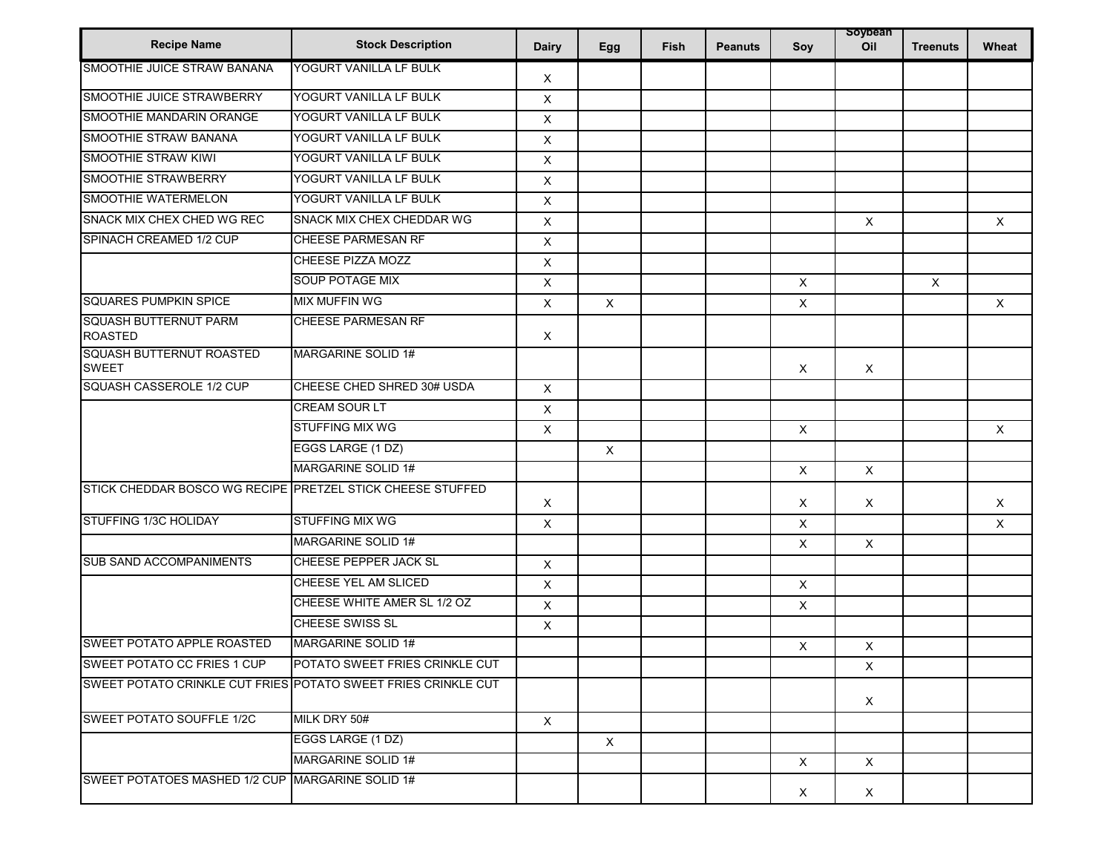| <b>Recipe Name</b>                                         | <b>Stock Description</b>                                      | <b>Dairy</b> | Egg          | Fish | <b>Peanuts</b> | Soy                       | soypean<br>Oil | <b>Treenuts</b> | Wheat    |
|------------------------------------------------------------|---------------------------------------------------------------|--------------|--------------|------|----------------|---------------------------|----------------|-----------------|----------|
| SMOOTHIE JUICE STRAW BANANA                                | YOGURT VANILLA LF BULK                                        | X            |              |      |                |                           |                |                 |          |
| SMOOTHIE JUICE STRAWBERRY                                  | YOGURT VANILLA LF BULK                                        | X            |              |      |                |                           |                |                 |          |
| SMOOTHIE MANDARIN ORANGE                                   | YOGURT VANILLA LF BULK                                        | X            |              |      |                |                           |                |                 |          |
| SMOOTHIE STRAW BANANA                                      | YOGURT VANILLA LF BULK                                        | X            |              |      |                |                           |                |                 |          |
| SMOOTHIE STRAW KIWI                                        | YOGURT VANILLA LF BULK                                        | X            |              |      |                |                           |                |                 |          |
| SMOOTHIE STRAWBERRY                                        | YOGURT VANILLA LF BULK                                        | X            |              |      |                |                           |                |                 |          |
| SMOOTHIE WATERMELON                                        | YOGURT VANILLA LF BULK                                        | X            |              |      |                |                           |                |                 |          |
| SNACK MIX CHEX CHED WG REC                                 | <b>SNACK MIX CHEX CHEDDAR WG</b>                              | $\times$     |              |      |                |                           | $\times$       |                 | $\times$ |
| SPINACH CREAMED 1/2 CUP                                    | CHEESE PARMESAN RF                                            | X            |              |      |                |                           |                |                 |          |
|                                                            | CHEESE PIZZA MOZZ                                             | X            |              |      |                |                           |                |                 |          |
|                                                            | <b>SOUP POTAGE MIX</b>                                        | $\mathsf X$  |              |      |                | $\times$                  |                | X               |          |
| <b>SQUARES PUMPKIN SPICE</b>                               | <b>MIX MUFFIN WG</b>                                          | X            | X            |      |                | X                         |                |                 | X        |
| <b>SQUASH BUTTERNUT PARM</b><br><b>ROASTED</b>             | <b>CHEESE PARMESAN RF</b>                                     | Χ            |              |      |                |                           |                |                 |          |
| SQUASH BUTTERNUT ROASTED<br><b>SWEET</b>                   | <b>MARGARINE SOLID 1#</b>                                     |              |              |      |                | $\times$                  | $\times$       |                 |          |
| SQUASH CASSEROLE 1/2 CUP                                   | CHEESE CHED SHRED 30# USDA                                    | $\mathsf{X}$ |              |      |                |                           |                |                 |          |
|                                                            | CREAM SOUR LT                                                 | X            |              |      |                |                           |                |                 |          |
|                                                            | <b>STUFFING MIX WG</b>                                        | X            |              |      |                | $\boldsymbol{\mathsf{X}}$ |                |                 | X        |
|                                                            | EGGS LARGE (1 DZ)                                             |              | $\mathsf X$  |      |                |                           |                |                 |          |
|                                                            | <b>MARGARINE SOLID 1#</b>                                     |              |              |      |                | $\boldsymbol{\mathsf{X}}$ | $\times$       |                 |          |
| STICK CHEDDAR BOSCO WG RECIPE PRETZEL STICK CHEESE STUFFED |                                                               | Χ            |              |      |                | Χ                         | $\times$       |                 | X        |
| STUFFING 1/3C HOLIDAY                                      | <b>STUFFING MIX WG</b>                                        | $\times$     |              |      |                | X                         |                |                 | $\times$ |
|                                                            | <b>MARGARINE SOLID 1#</b>                                     |              |              |      |                | X                         | X              |                 |          |
| SUB SAND ACCOMPANIMENTS                                    | CHEESE PEPPER JACK SL                                         | X            |              |      |                |                           |                |                 |          |
|                                                            | CHEESE YEL AM SLICED                                          | X            |              |      |                | $\mathsf X$               |                |                 |          |
|                                                            | CHEESE WHITE AMER SL 1/2 OZ                                   | $\mathsf X$  |              |      |                | $\boldsymbol{\mathsf{X}}$ |                |                 |          |
|                                                            | <b>CHEESE SWISS SL</b>                                        | X            |              |      |                |                           |                |                 |          |
| <b>SWEET POTATO APPLE ROASTED</b>                          | MARGARINE SOLID 1#                                            |              |              |      |                | X                         | $\times$       |                 |          |
| <b>SWEET POTATO CC FRIES 1 CUP</b>                         | POTATO SWEET FRIES CRINKLE CUT                                |              |              |      |                |                           | $\times$       |                 |          |
|                                                            | SWEET POTATO CRINKLE CUT FRIES POTATO SWEET FRIES CRINKLE CUT |              |              |      |                |                           | X              |                 |          |
| <b>SWEET POTATO SOUFFLE 1/2C</b>                           | MILK DRY 50#                                                  | $\mathsf{X}$ |              |      |                |                           |                |                 |          |
|                                                            | EGGS LARGE (1 DZ)                                             |              | $\mathsf{X}$ |      |                |                           |                |                 |          |
|                                                            | <b>MARGARINE SOLID 1#</b>                                     |              |              |      |                | $\boldsymbol{\mathsf{x}}$ | $\mathsf X$    |                 |          |
| SWEET POTATOES MASHED 1/2 CUP MARGARINE SOLID 1#           |                                                               |              |              |      |                | $\mathsf{X}$              | $\times$       |                 |          |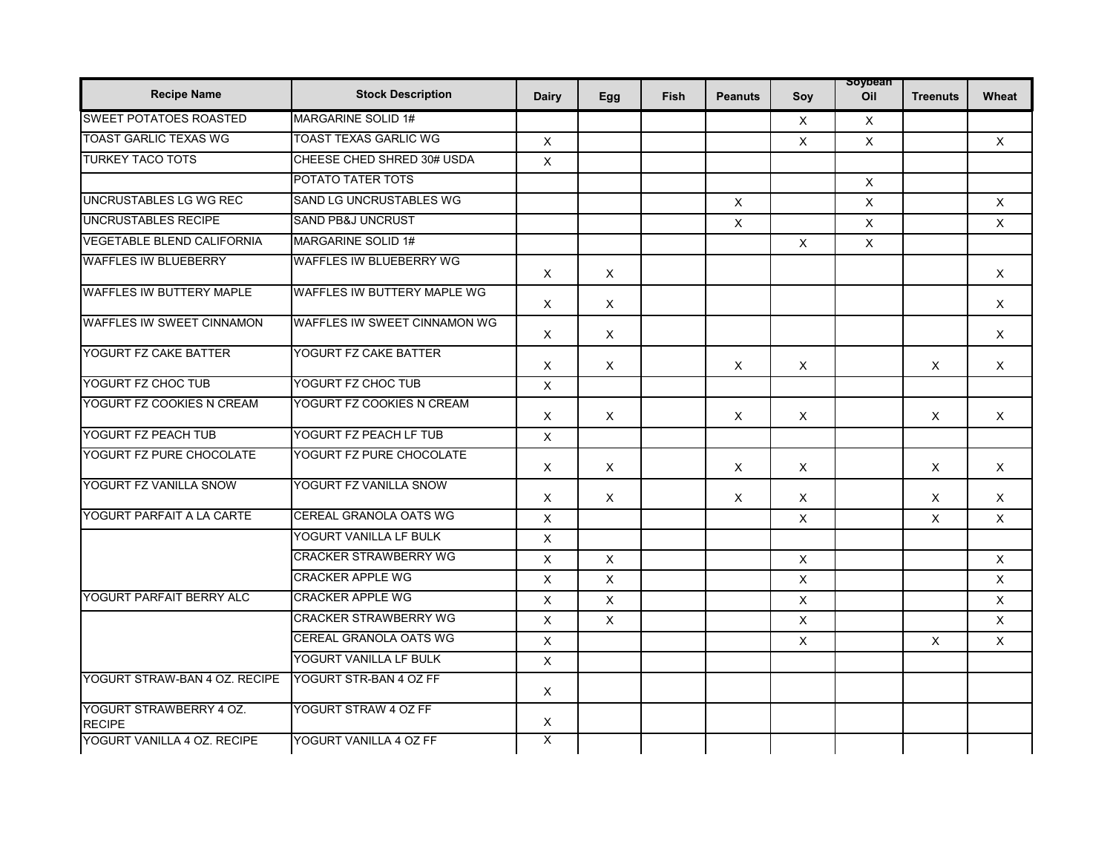| <b>Recipe Name</b>                       | <b>Stock Description</b>            | <b>Dairy</b> | Egg                       | <b>Fish</b> | <b>Peanuts</b> | Soy          | soypean<br>Oil | <b>Treenuts</b> | Wheat                                                 |
|------------------------------------------|-------------------------------------|--------------|---------------------------|-------------|----------------|--------------|----------------|-----------------|-------------------------------------------------------|
| <b>SWEET POTATOES ROASTED</b>            | MARGARINE SOLID 1#                  |              |                           |             |                | X            | $\mathsf{X}$   |                 |                                                       |
| <b>TOAST GARLIC TEXAS WG</b>             | <b>TOAST TEXAS GARLIC WG</b>        | $\mathsf{X}$ |                           |             |                | $\mathsf{X}$ | $\times$       |                 | $\mathsf{X}$                                          |
| <b>TURKEY TACO TOTS</b>                  | CHEESE CHED SHRED 30# USDA          | $\mathsf{X}$ |                           |             |                |              |                |                 |                                                       |
|                                          | POTATO TATER TOTS                   |              |                           |             |                |              | $\times$       |                 |                                                       |
| UNCRUSTABLES LG WG REC                   | SAND LG UNCRUSTABLES WG             |              |                           |             | $\times$       |              | $\times$       |                 | $\times$                                              |
| <b>UNCRUSTABLES RECIPE</b>               | <b>SAND PB&amp;J UNCRUST</b>        |              |                           |             | $\times$       |              | $\times$       |                 | $\times$                                              |
| <b>VEGETABLE BLEND CALIFORNIA</b>        | MARGARINE SOLID 1#                  |              |                           |             |                | $\times$     | $\times$       |                 |                                                       |
| <b>WAFFLES IW BLUEBERRY</b>              | <b>WAFFLES IW BLUEBERRY WG</b>      | $\times$     | X                         |             |                |              |                |                 | $\times$                                              |
| <b>WAFFLES IW BUTTERY MAPLE</b>          | <b>WAFFLES IW BUTTERY MAPLE WG</b>  | $\times$     | $\times$                  |             |                |              |                |                 | $\times$                                              |
| <b>WAFFLES IW SWEET CINNAMON</b>         | <b>WAFFLES IW SWEET CINNAMON WG</b> | $\times$     | $\times$                  |             |                |              |                |                 | $\times$                                              |
| YOGURT FZ CAKE BATTER                    | YOGURT FZ CAKE BATTER               | $\times$     | $\boldsymbol{\mathsf{X}}$ |             | $\times$       | $\times$     |                | $\times$        | $\times$                                              |
| YOGURT FZ CHOC TUB                       | YOGURT FZ CHOC TUB                  | $\mathsf{X}$ |                           |             |                |              |                |                 |                                                       |
| YOGURT FZ COOKIES N CREAM                | YOGURT FZ COOKIES N CREAM           | $\times$     | $\times$                  |             | $\times$       | X            |                | $\times$        | X                                                     |
| YOGURT FZ PEACH TUB                      | YOGURT FZ PEACH LF TUB              | $\mathsf X$  |                           |             |                |              |                |                 |                                                       |
| YOGURT FZ PURE CHOCOLATE                 | YOGURT FZ PURE CHOCOLATE            | $\times$     | X                         |             | X              | $\times$     |                | X               | $\times$                                              |
| YOGURT FZ VANILLA SNOW                   | YOGURT FZ VANILLA SNOW              | $\times$     | $\times$                  |             | X              | $\times$     |                | $\times$        | $\times$                                              |
| YOGURT PARFAIT A LA CARTE                | <b>CEREAL GRANOLA OATS WG</b>       | $\mathsf{X}$ |                           |             |                | $\times$     |                | $\times$        | $\times$                                              |
|                                          | YOGURT VANILLA LF BULK              | $\mathsf{X}$ |                           |             |                |              |                |                 |                                                       |
|                                          | <b>CRACKER STRAWBERRY WG</b>        | $\mathsf X$  | $\mathsf X$               |             |                | $\mathsf{X}$ |                |                 | $\times$<br>$\times$<br>$\mathsf{X}$<br>X<br>$\times$ |
|                                          | <b>CRACKER APPLE WG</b>             | $\times$     | $\mathsf{X}$              |             |                | $\times$     |                |                 |                                                       |
| YOGURT PARFAIT BERRY ALC                 | <b>CRACKER APPLE WG</b>             | $\mathsf X$  | $\mathsf{x}$              |             |                | $\mathsf{X}$ |                |                 |                                                       |
|                                          | <b>CRACKER STRAWBERRY WG</b>        | $\times$     | $\mathsf{X}$              |             |                | $\times$     |                |                 |                                                       |
|                                          | CEREAL GRANOLA OATS WG              | $\times$     |                           |             |                | $\times$     |                | $\times$        |                                                       |
|                                          | YOGURT VANILLA LF BULK              | $\mathsf X$  |                           |             |                |              |                |                 |                                                       |
| YOGURT STRAW-BAN 4 OZ. RECIPE            | YOGURT STR-BAN 4 OZ FF              | $\times$     |                           |             |                |              |                |                 |                                                       |
| YOGURT STRAWBERRY 4 OZ.<br><b>RECIPE</b> | YOGURT STRAW 4 OZ FF                | $\mathsf X$  |                           |             |                |              |                |                 |                                                       |
| YOGURT VANILLA 4 OZ. RECIPE              | YOGURT VANILLA 4 OZ FF              | X            |                           |             |                |              |                |                 |                                                       |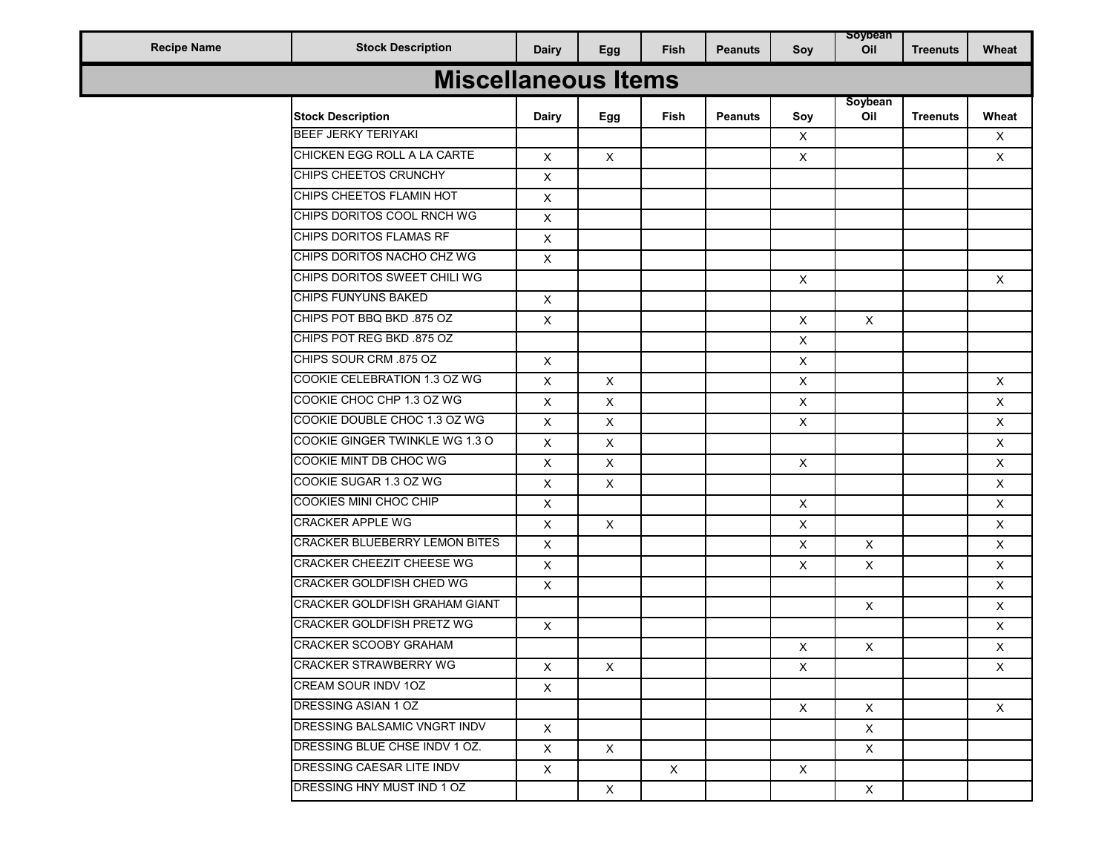|                    |                                  |                |              |              |                |                | soybean      |                 |              |
|--------------------|----------------------------------|----------------|--------------|--------------|----------------|----------------|--------------|-----------------|--------------|
| <b>Recipe Name</b> | <b>Stock Description</b>         | <b>Dairy</b>   | Egg          | Fish         | <b>Peanuts</b> | Soy            | Oil          | <b>Treenuts</b> | Wheat        |
|                    | <b>Miscellaneous Items</b>       |                |              |              |                |                |              |                 |              |
|                    |                                  |                |              |              |                |                | Soybean      |                 |              |
|                    | <b>Stock Description</b>         | Dairy          | Egg          | Fish         | <b>Peanuts</b> | Soy            | Oil          | <b>Treenuts</b> | Wheat        |
|                    | <b>BEEF JERKY TERIYAKI</b>       |                |              |              |                | X              |              |                 | X            |
|                    | CHICKEN EGG ROLL A LA CARTE      | X              | X            |              |                | X              |              |                 | $\times$     |
|                    | CHIPS CHEETOS CRUNCHY            | X              |              |              |                |                |              |                 |              |
|                    | CHIPS CHEETOS FLAMIN HOT         | X              |              |              |                |                |              |                 |              |
|                    | CHIPS DORITOS COOL RNCH WG       | X              |              |              |                |                |              |                 |              |
|                    | CHIPS DORITOS FLAMAS RF          | $\mathsf X$    |              |              |                |                |              |                 |              |
|                    | CHIPS DORITOS NACHO CHZ WG       | $\mathsf X$    |              |              |                |                |              |                 |              |
|                    | CHIPS DORITOS SWEET CHILI WG     |                |              |              |                | X              |              |                 | $\mathsf{X}$ |
|                    | CHIPS FUNYUNS BAKED              | $\mathsf X$    |              |              |                |                |              |                 |              |
|                    | CHIPS POT BBQ BKD .875 OZ        | X              |              |              |                | X              | $\mathsf{X}$ |                 |              |
|                    | CHIPS POT REG BKD .875 OZ        |                |              |              |                | X              |              |                 |              |
|                    | CHIPS SOUR CRM .875 OZ           | $\mathsf X$    |              |              |                | X              |              |                 |              |
|                    | COOKIE CELEBRATION 1.3 OZ WG     | $\mathsf X$    | X            |              |                | X              |              |                 | X            |
|                    | COOKIE CHOC CHP 1.3 OZ WG        | $\mathsf X$    | X            |              |                | X              |              |                 | X            |
|                    | COOKIE DOUBLE CHOC 1.3 OZ WG     | X              | X            |              |                | X              |              |                 | $\times$     |
|                    | COOKIE GINGER TWINKLE WG 1.3 O   | $\pmb{\times}$ | X            |              |                |                |              |                 | X            |
|                    | COOKIE MINT DB CHOC WG           | X              | X            |              |                | $\mathsf{X}$   |              |                 | X            |
|                    | COOKIE SUGAR 1.3 OZ WG           | X              | X            |              |                |                |              |                 | X            |
|                    | COOKIES MINI CHOC CHIP           | $\mathsf X$    |              |              |                | X              |              |                 | X            |
|                    | <b>CRACKER APPLE WG</b>          | X              | $\times$     |              |                | X              |              |                 | X            |
|                    | CRACKER BLUEBERRY LEMON BITES    | X              |              |              |                | X              | X            |                 | $\times$     |
|                    | CRACKER CHEEZIT CHEESE WG        | $\mathsf X$    |              |              |                | X              | $\times$     |                 | X            |
|                    | CRACKER GOLDFISH CHED WG         | $\mathsf X$    |              |              |                |                |              |                 | X            |
|                    | CRACKER GOLDFISH GRAHAM GIANT    |                |              |              |                |                | X            |                 | X            |
|                    | <b>CRACKER GOLDFISH PRETZ WG</b> | $\mathsf X$    |              |              |                |                |              |                 | X            |
|                    | CRACKER SCOOBY GRAHAM            |                |              |              |                | X              | X            |                 | X            |
|                    | <b>CRACKER STRAWBERRY WG</b>     | $\mathsf X$    | X            |              |                | $\pmb{\times}$ |              |                 | X            |
|                    | <b>CREAM SOUR INDV 10Z</b>       |                |              |              |                |                |              |                 |              |
|                    | DRESSING ASIAN 1 OZ              | $\mathsf{X}$   |              |              |                |                |              |                 |              |
|                    | DRESSING BALSAMIC VNGRT INDV     |                |              |              |                | $\times$       | $\mathsf{X}$ |                 | $\mathsf{X}$ |
|                    | DRESSING BLUE CHSE INDV 1 OZ.    | $\mathsf X$    |              |              |                |                | $\mathsf{X}$ |                 |              |
|                    | DRESSING CAESAR LITE INDV        | $\times$       | $\mathsf{X}$ |              |                |                | $\mathsf{X}$ |                 |              |
|                    |                                  | $\mathsf X$    |              | $\mathsf{X}$ |                | $\times$       |              |                 |              |
|                    | DRESSING HNY MUST IND 1 OZ       |                | X            |              |                |                | $\mathsf{X}$ |                 |              |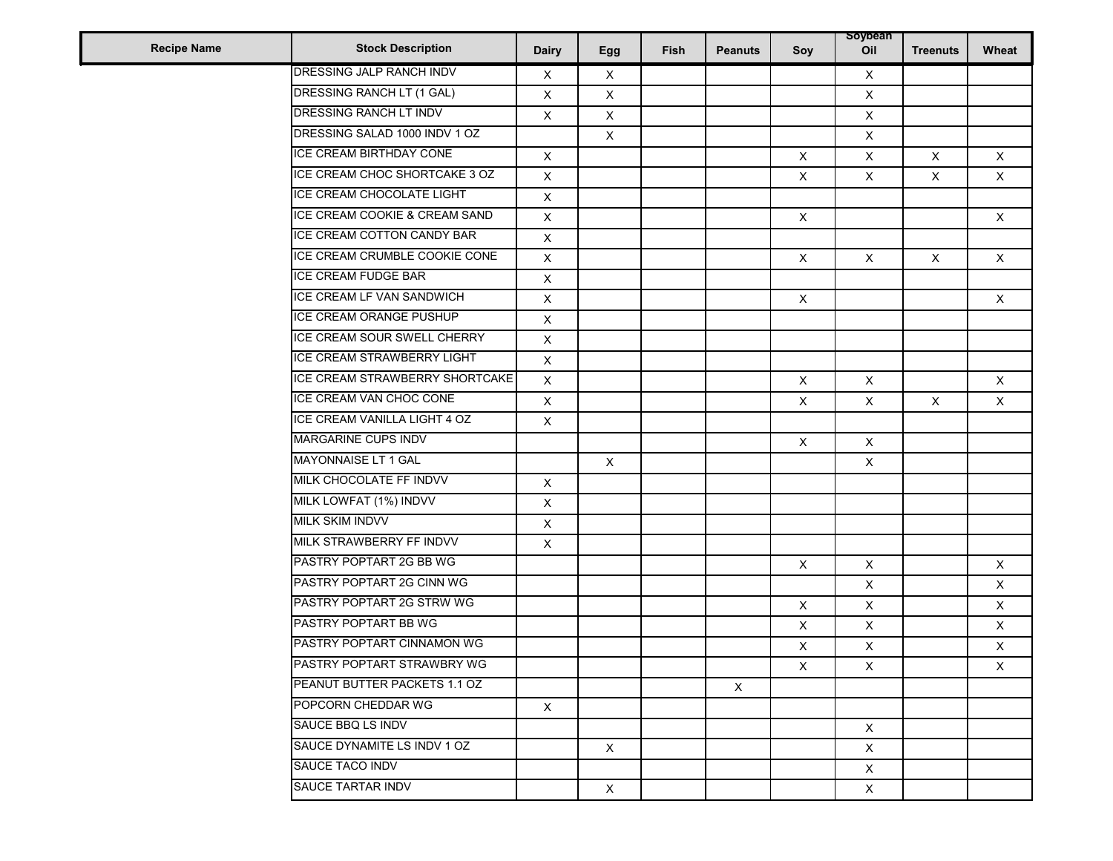| <b>Recipe Name</b> | <b>Stock Description</b>          | <b>Dairy</b>              | Egg                       | Fish | <b>Peanuts</b> | Soy                       | soybean<br>Oil | <b>Treenuts</b> | Wheat        |
|--------------------|-----------------------------------|---------------------------|---------------------------|------|----------------|---------------------------|----------------|-----------------|--------------|
|                    | DRESSING JALP RANCH INDV          | X                         | $\boldsymbol{\mathsf{X}}$ |      |                |                           | X              |                 |              |
|                    | DRESSING RANCH LT (1 GAL)         | $\mathsf X$               | $\mathsf{X}$              |      |                |                           | $\mathsf{X}$   |                 |              |
|                    | DRESSING RANCH LT INDV            | X                         | X                         |      |                |                           | X              |                 |              |
|                    | DRESSING SALAD 1000 INDV 1 OZ     |                           | X                         |      |                |                           | X              |                 |              |
|                    | ICE CREAM BIRTHDAY CONE           | $\mathsf X$               |                           |      |                | $\boldsymbol{\mathsf{X}}$ | X              | X               | $\times$     |
|                    | ICE CREAM CHOC SHORTCAKE 3 OZ     | $\mathsf X$               |                           |      |                | X                         | $\mathsf X$    | X               | $\times$     |
|                    | ICE CREAM CHOCOLATE LIGHT         | $\mathsf X$               |                           |      |                |                           |                |                 |              |
|                    | ICE CREAM COOKIE & CREAM SAND     | $\mathsf X$               |                           |      |                | $\boldsymbol{\mathsf{X}}$ |                |                 | $\times$     |
|                    | ICE CREAM COTTON CANDY BAR        | X                         |                           |      |                |                           |                |                 |              |
|                    | ICE CREAM CRUMBLE COOKIE CONE     | $\mathsf X$               |                           |      |                | $\mathsf{X}$              | $\mathsf{X}$   | $\times$        | $\times$     |
|                    | ICE CREAM FUDGE BAR               | X                         |                           |      |                |                           |                |                 |              |
|                    | ICE CREAM LF VAN SANDWICH         | $\mathsf X$               |                           |      |                | $\pmb{\mathsf{X}}$        |                |                 | $\times$     |
|                    | ICE CREAM ORANGE PUSHUP           | $\mathsf X$               |                           |      |                |                           |                |                 |              |
|                    | ICE CREAM SOUR SWELL CHERRY       | $\mathsf X$               |                           |      |                |                           |                |                 |              |
|                    | <b>ICE CREAM STRAWBERRY LIGHT</b> | $\mathsf X$               |                           |      |                |                           |                |                 |              |
|                    | ICE CREAM STRAWBERRY SHORTCAKE    | $\mathsf X$               |                           |      |                | X                         | $\mathsf{X}$   |                 | $\mathsf{X}$ |
|                    | ICE CREAM VAN CHOC CONE           | $\mathsf X$               |                           |      |                | X                         | $\pmb{\times}$ | $\mathsf{X}$    | $\times$     |
|                    | ICE CREAM VANILLA LIGHT 4 OZ      | $\mathsf X$               |                           |      |                |                           |                |                 |              |
|                    | <b>MARGARINE CUPS INDV</b>        |                           |                           |      |                | $\times$                  | $\mathsf X$    |                 |              |
|                    | MAYONNAISE LT 1 GAL               |                           | X                         |      |                |                           | $\pmb{\times}$ |                 |              |
|                    | MILK CHOCOLATE FF INDVV           | $\mathsf X$               |                           |      |                |                           |                |                 |              |
|                    | MILK LOWFAT (1%) INDVV            | $\mathsf X$               |                           |      |                |                           |                |                 |              |
|                    | MILK SKIM INDVV                   | $\boldsymbol{\mathsf{X}}$ |                           |      |                |                           |                |                 |              |
|                    | MILK STRAWBERRY FF INDVV          | $\mathsf X$               |                           |      |                |                           |                |                 |              |
|                    | PASTRY POPTART 2G BB WG           |                           |                           |      |                | $\mathsf{X}$              | $\mathsf X$    |                 | $\times$     |
|                    | PASTRY POPTART 2G CINN WG         |                           |                           |      |                |                           | X              |                 | $\times$     |
|                    | PASTRY POPTART 2G STRW WG         |                           |                           |      |                | $\mathsf X$               | X              |                 | $\times$     |
|                    | PASTRY POPTART BB WG              |                           |                           |      |                | X                         | $\mathsf X$    |                 | $\mathsf X$  |
|                    | PASTRY POPTART CINNAMON WG        |                           |                           |      |                | X                         | $\pmb{\times}$ |                 | $\times$     |
|                    | PASTRY POPTART STRAWBRY WG        |                           |                           |      |                | X                         | X              |                 | X            |
|                    | PEANUT BUTTER PACKETS 1.1 OZ      |                           |                           |      | $\times$       |                           |                |                 |              |
|                    | POPCORN CHEDDAR WG                | $\mathsf{X}$              |                           |      |                |                           |                |                 |              |
|                    | SAUCE BBQ LS INDV                 |                           |                           |      |                |                           | $\times$       |                 |              |
|                    | SAUCE DYNAMITE LS INDV 1 OZ       |                           | $\mathsf{X}$              |      |                |                           | $\mathsf X$    |                 |              |
|                    | SAUCE TACO INDV                   |                           |                           |      |                |                           | X              |                 |              |
|                    | SAUCE TARTAR INDV                 |                           | X                         |      |                |                           | X              |                 |              |